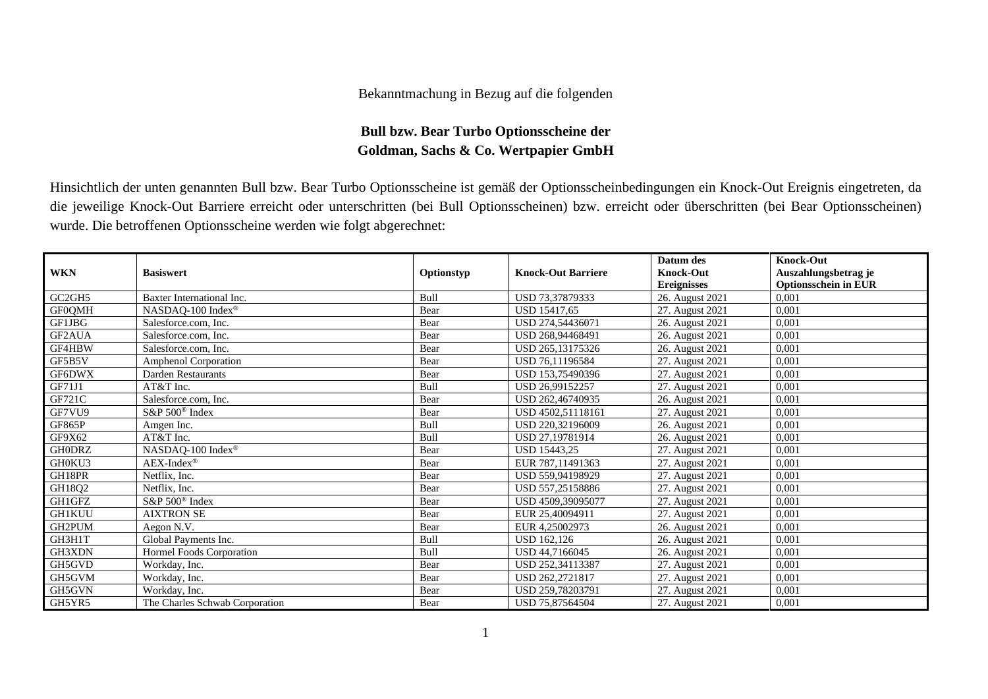## Bekanntmachung in Bezug auf die folgenden

## **Bull bzw. Bear Turbo Optionsscheine der Goldman, Sachs & Co. Wertpapier GmbH**

Hinsichtlich der unten genannten Bull bzw. Bear Turbo Optionsscheine ist gemäß der Optionsscheinbedingungen ein Knock-Out Ereignis eingetreten, da die jeweilige Knock-Out Barriere erreicht oder unterschritten (bei Bull Optionsscheinen) bzw. erreicht oder überschritten (bei Bear Optionsscheinen) wurde. Die betroffenen Optionsscheine werden wie folgt abgerechnet:

|               |                                |            |                           | Datum des          | <b>Knock-Out</b>            |
|---------------|--------------------------------|------------|---------------------------|--------------------|-----------------------------|
| <b>WKN</b>    | <b>Basiswert</b>               | Optionstyp | <b>Knock-Out Barriere</b> | <b>Knock-Out</b>   | Auszahlungsbetrag je        |
|               |                                |            |                           | <b>Ereignisses</b> | <b>Optionsschein in EUR</b> |
| GC2GH5        | Baxter International Inc.      | Bull       | USD 73,37879333           | 26. August 2021    | 0.001                       |
| <b>GF0QMH</b> | NASDAQ-100 Index®              | Bear       | USD 15417,65              | 27. August 2021    | 0,001                       |
| GF1JBG        | Salesforce.com. Inc.           | Bear       | USD 274.54436071          | 26. August 2021    | 0,001                       |
| GF2AUA        | Salesforce.com, Inc.           | Bear       | USD 268,94468491          | 26. August 2021    | 0,001                       |
| GF4HBW        | Salesforce.com, Inc.           | Bear       | USD 265,13175326          | 26. August 2021    | 0,001                       |
| GF5B5V        | Amphenol Corporation           | Bear       | USD 76.11196584           | 27. August 2021    | 0,001                       |
| GF6DWX        | Darden Restaurants             | Bear       | USD 153,75490396          | 27. August 2021    | 0,001                       |
| GF71J1        | AT&T Inc.                      | Bull       | USD 26,99152257           | 27. August 2021    | 0,001                       |
| <b>GF721C</b> | Salesforce.com, Inc.           | Bear       | USD 262,46740935          | 26. August 2021    | 0,001                       |
| GF7VU9        | $S\&P 500^{\circ}$ Index       | Bear       | USD 4502.51118161         | 27. August 2021    | 0,001                       |
| GF865P        | Amgen Inc.                     | Bull       | USD 220,32196009          | 26. August 2021    | 0,001                       |
| GF9X62        | AT&T Inc.                      | Bull       | USD 27,19781914           | 26. August 2021    | 0,001                       |
| <b>GHODRZ</b> | NASDAQ-100 Index®              | Bear       | <b>USD 15443.25</b>       | 27. August 2021    | 0,001                       |
| GH0KU3        | $AEX-Index^{\circledR}$        | Bear       | EUR 787,11491363          | 27. August 2021    | 0,001                       |
| GH18PR        | Netflix, Inc.                  | Bear       | USD 559.94198929          | 27. August 2021    | 0,001                       |
| GH18Q2        | Netflix, Inc.                  | Bear       | USD 557,25158886          | 27. August 2021    | 0,001                       |
| GH1GFZ        | S&P 500 <sup>®</sup> Index     | Bear       | USD 4509,39095077         | 27. August 2021    | 0.001                       |
| <b>GH1KUU</b> | <b>AIXTRON SE</b>              | Bear       | EUR 25,40094911           | 27. August 2021    | 0,001                       |
| GH2PUM        | Aegon N.V.                     | Bear       | EUR 4.25002973            | 26. August 2021    | 0,001                       |
| GH3H1T        | Global Payments Inc.           | Bull       | USD 162,126               | 26. August 2021    | 0,001                       |
| GH3XDN        | Hormel Foods Corporation       | Bull       | USD 44,7166045            | 26. August 2021    | 0,001                       |
| GH5GVD        | Workday, Inc.                  | Bear       | USD 252,34113387          | 27. August 2021    | 0,001                       |
| GH5GVM        | Workday, Inc.                  | Bear       | USD 262,2721817           | 27. August 2021    | 0,001                       |
| GH5GVN        | Workday, Inc.                  | Bear       | USD 259.78203791          | 27. August 2021    | 0,001                       |
| GH5YR5        | The Charles Schwab Corporation | Bear       | USD 75.87564504           | 27. August 2021    | 0,001                       |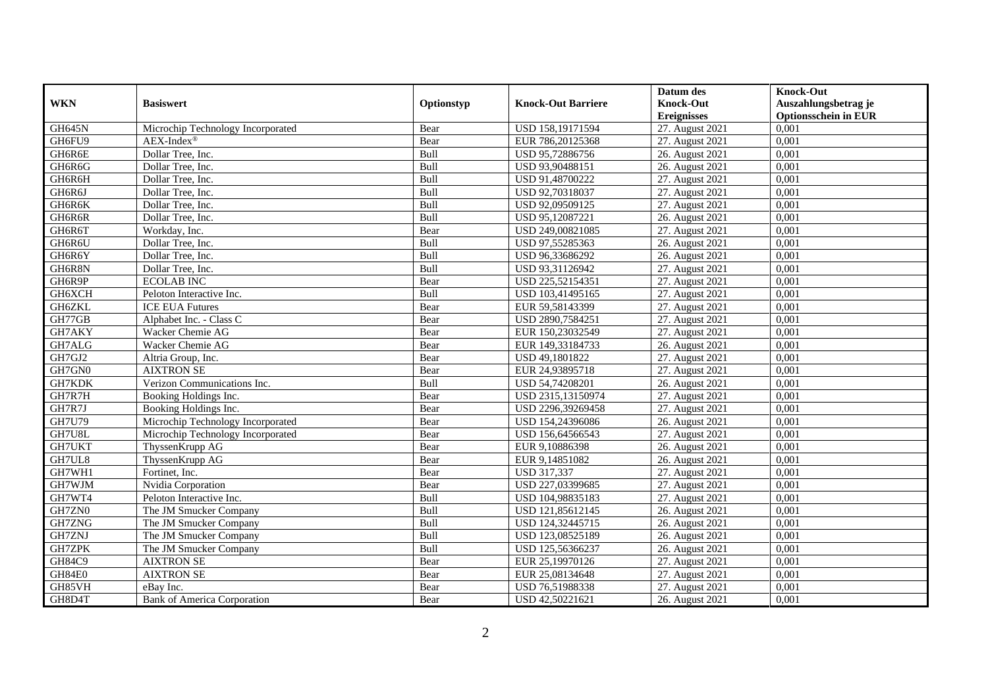|               |                                   |            |                           | Datum des          | <b>Knock-Out</b>            |
|---------------|-----------------------------------|------------|---------------------------|--------------------|-----------------------------|
| <b>WKN</b>    | <b>Basiswert</b>                  | Optionstyp | <b>Knock-Out Barriere</b> | <b>Knock-Out</b>   | Auszahlungsbetrag je        |
|               |                                   |            |                           | <b>Ereignisses</b> | <b>Optionsschein in EUR</b> |
| <b>GH645N</b> | Microchip Technology Incorporated | Bear       | USD 158,19171594          | 27. August 2021    | 0,001                       |
| GH6FU9        | $AEX-Index^{\circledR}$           | Bear       | EUR 786,20125368          | 27. August 2021    | 0,001                       |
| GH6R6E        | Dollar Tree, Inc.                 | Bull       | USD 95,72886756           | 26. August 2021    | 0,001                       |
| GH6R6G        | Dollar Tree, Inc.                 | Bull       | USD 93,90488151           | 26. August 2021    | 0,001                       |
| GH6R6H        | Dollar Tree, Inc.                 | Bull       | USD 91,48700222           | 27. August 2021    | 0,001                       |
| GH6R6J        | Dollar Tree, Inc.                 | Bull       | USD 92,70318037           | 27. August 2021    | 0,001                       |
| GH6R6K        | Dollar Tree, Inc.                 | Bull       | USD 92,09509125           | 27. August 2021    | 0,001                       |
| GH6R6R        | Dollar Tree, Inc.                 | Bull       | USD 95,12087221           | 26. August 2021    | 0,001                       |
| GH6R6T        | Workday, Inc.                     | Bear       | USD 249,00821085          | 27. August 2021    | 0,001                       |
| GH6R6U        | Dollar Tree, Inc.                 | Bull       | USD 97,55285363           | 26. August 2021    | 0,001                       |
| GH6R6Y        | Dollar Tree, Inc.                 | Bull       | USD 96,33686292           | 26. August 2021    | 0,001                       |
| GH6R8N        | Dollar Tree, Inc.                 | Bull       | USD 93,31126942           | 27. August 2021    | 0,001                       |
| GH6R9P        | <b>ECOLAB INC</b>                 | Bear       | USD 225,52154351          | 27. August 2021    | 0,001                       |
| GH6XCH        | Peloton Interactive Inc.          | Bull       | USD 103,41495165          | 27. August 2021    | 0,001                       |
| GH6ZKL        | <b>ICE EUA Futures</b>            | Bear       | EUR 59,58143399           | 27. August 2021    | 0,001                       |
| GH77GB        | Alphabet Inc. - Class C           | Bear       | USD 2890,7584251          | 27. August 2021    | 0,001                       |
| GH7AKY        | Wacker Chemie AG                  | Bear       | EUR 150,23032549          | 27. August 2021    | 0,001                       |
| GH7ALG        | Wacker Chemie AG                  | Bear       | EUR 149.33184733          | 26. August 2021    | 0,001                       |
| GH7GJ2        | Altria Group, Inc.                | Bear       | USD 49,1801822            | 27. August 2021    | 0,001                       |
| GH7GN0        | <b>AIXTRON SE</b>                 | Bear       | EUR 24,93895718           | 27. August 2021    | 0,001                       |
| GH7KDK        | Verizon Communications Inc.       | Bull       | USD 54,74208201           | 26. August 2021    | 0,001                       |
| GH7R7H        | Booking Holdings Inc.             | Bear       | USD 2315,13150974         | 27. August 2021    | 0,001                       |
| GH7R7J        | Booking Holdings Inc.             | Bear       | USD 2296,39269458         | 27. August 2021    | 0,001                       |
| <b>GH7U79</b> | Microchip Technology Incorporated | Bear       | USD 154,24396086          | 26. August 2021    | 0,001                       |
| GH7U8L        | Microchip Technology Incorporated | Bear       | USD 156,64566543          | 27. August 2021    | 0,001                       |
| GH7UKT        | ThyssenKrupp AG                   | Bear       | EUR 9,10886398            | 26. August 2021    | 0,001                       |
| GH7UL8        | ThyssenKrupp AG                   | Bear       | EUR 9,14851082            | 26. August 2021    | 0,001                       |
| GH7WH1        | Fortinet, Inc.                    | Bear       | <b>USD 317,337</b>        | 27. August 2021    | 0.001                       |
| GH7WJM        | Nvidia Corporation                | Bear       | USD 227,03399685          | 27. August 2021    | 0,001                       |
| GH7WT4        | Peloton Interactive Inc.          | Bull       | USD 104,98835183          | 27. August 2021    | 0,001                       |
| GH7ZN0        | The JM Smucker Company            | Bull       | USD 121,85612145          | 26. August 2021    | 0,001                       |
| GH7ZNG        | The JM Smucker Company            | Bull       | USD 124,32445715          | 26. August 2021    | 0,001                       |
| GH7ZNJ        | The JM Smucker Company            | Bull       | USD 123,08525189          | 26. August 2021    | 0,001                       |
| <b>GH7ZPK</b> | The JM Smucker Company            | Bull       | USD 125,56366237          | 26. August 2021    | 0,001                       |
| GH84C9        | <b>AIXTRON SE</b>                 | Bear       | EUR 25,19970126           | 27. August 2021    | 0,001                       |
| GH84E0        | <b>AIXTRON SE</b>                 | Bear       | EUR 25,08134648           | 27. August 2021    | 0,001                       |
| GH85VH        | eBay Inc.                         | Bear       | USD 76,51988338           | 27. August 2021    | 0,001                       |
| GH8D4T        | Bank of America Corporation       | Bear       | USD 42,50221621           | 26. August 2021    | 0,001                       |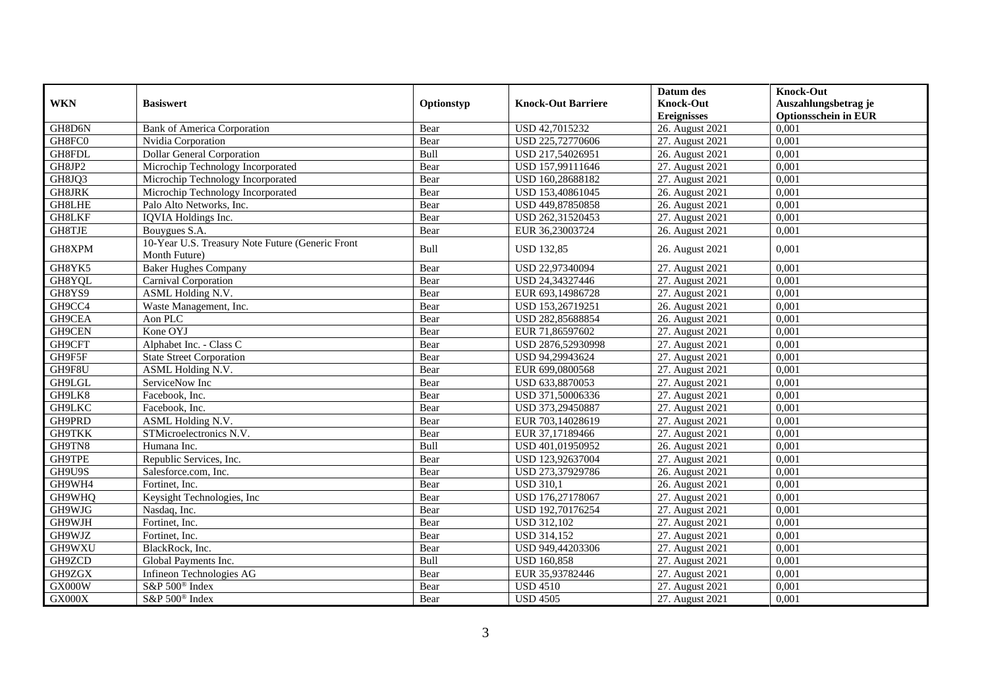|                |                                                  |            |                           | Datum des          | <b>Knock-Out</b>            |
|----------------|--------------------------------------------------|------------|---------------------------|--------------------|-----------------------------|
| <b>WKN</b>     | <b>Basiswert</b>                                 | Optionstyp | <b>Knock-Out Barriere</b> | <b>Knock-Out</b>   | Auszahlungsbetrag je        |
|                |                                                  |            |                           | <b>Ereignisses</b> | <b>Optionsschein in EUR</b> |
| GH8D6N         | <b>Bank of America Corporation</b>               | Bear       | USD 42,7015232            | 26. August 2021    | 0,001                       |
| GH8FC0         | Nvidia Corporation                               | Bear       | USD 225,72770606          | 27. August 2021    | 0,001                       |
| GH8FDL         | <b>Dollar General Corporation</b>                | Bull       | USD 217,54026951          | 26. August 2021    | 0,001                       |
| GH8JP2         | Microchip Technology Incorporated                | Bear       | USD 157,99111646          | 27. August 2021    | 0.001                       |
| GH8JQ3         | Microchip Technology Incorporated                | Bear       | USD 160,28688182          | 27. August 2021    | 0,001                       |
| <b>GH8JRK</b>  | Microchip Technology Incorporated                | Bear       | USD 153,40861045          | 26. August 2021    | 0,001                       |
| <b>GH8LHE</b>  | Palo Alto Networks, Inc.                         | Bear       | USD 449,87850858          | 26. August 2021    | 0,001                       |
| GH8LKF         | IQVIA Holdings Inc.                              | Bear       | USD 262,31520453          | 27. August 2021    | 0,001                       |
| GH8TJE         | Bouygues S.A.                                    | Bear       | EUR 36,23003724           | 26. August 2021    | 0,001                       |
|                | 10-Year U.S. Treasury Note Future (Generic Front |            |                           |                    |                             |
| GH8XPM         | Month Future)                                    | Bull       | <b>USD 132,85</b>         | 26. August 2021    | 0,001                       |
| GH8YK5         | <b>Baker Hughes Company</b>                      | Bear       | USD 22,97340094           | 27. August 2021    | 0,001                       |
| GH8YQL         | Carnival Corporation                             | Bear       | USD 24,34327446           | 27. August 2021    | 0,001                       |
| GH8YS9         | ASML Holding N.V.                                | Bear       | EUR 693,14986728          | 27. August 2021    | 0,001                       |
| GH9CC4         | Waste Management, Inc.                           | Bear       | USD 153,26719251          | 26. August 2021    | 0,001                       |
| GH9CEA         | Aon PLC                                          | Bear       | USD 282,85688854          | 26. August 2021    | 0,001                       |
| GH9CEN         | Kone OYJ                                         | Bear       | EUR 71,86597602           | 27. August 2021    | 0,001                       |
| GH9CFT         | Alphabet Inc. - Class C                          | Bear       | USD 2876.52930998         | 27. August 2021    | 0.001                       |
| GH9F5F         | <b>State Street Corporation</b>                  | Bear       | USD 94,29943624           | 27. August 2021    | 0,001                       |
| GH9F8U         | ASML Holding N.V.                                | Bear       | EUR 699,0800568           | 27. August 2021    | 0,001                       |
| GH9LGL         | ServiceNow Inc                                   | Bear       | USD 633,8870053           | 27. August 2021    | 0,001                       |
| GH9LK8         | Facebook. Inc.                                   | Bear       | USD 371,50006336          | 27. August 2021    | 0,001                       |
| GH9LKC         | Facebook, Inc.                                   | Bear       | USD 373,29450887          | 27. August 2021    | 0,001                       |
| GH9PRD         | ASML Holding N.V.                                | Bear       | EUR 703,14028619          | 27. August 2021    | 0,001                       |
| GH9TKK         | STMicroelectronics N.V.                          | Bear       | EUR 37,17189466           | 27. August 2021    | 0.001                       |
| GH9TN8         | Humana Inc.                                      | Bull       | USD 401,01950952          | 26. August 2021    | 0,001                       |
| GH9TPE         | Republic Services, Inc.                          | Bear       | USD 123,92637004          | 27. August 2021    | 0,001                       |
| GH9U9S         | Salesforce.com, Inc.                             | Bear       | USD 273,37929786          | 26. August 2021    | 0,001                       |
| GH9WH4         | Fortinet, Inc.                                   | Bear       | <b>USD 310,1</b>          | 26. August 2021    | 0,001                       |
| GH9WHQ         | Keysight Technologies, Inc.                      | Bear       | USD 176,27178067          | 27. August 2021    | 0,001                       |
| GH9WJG         | Nasdaq, Inc.                                     | Bear       | USD 192,70176254          | 27. August 2021    | 0,001                       |
| GH9WJH         | Fortinet. Inc.                                   | Bear       | <b>USD 312,102</b>        | 27. August 2021    | 0,001                       |
| GH9WJZ         | Fortinet, Inc.                                   | Bear       | <b>USD 314,152</b>        | 27. August 2021    | 0,001                       |
| GH9WXU         | BlackRock, Inc.                                  | Bear       | USD 949,44203306          | 27. August 2021    | 0,001                       |
| GH9ZCD         | Global Payments Inc.                             | Bull       | <b>USD 160,858</b>        | 27. August 2021    | 0,001                       |
| GH9ZGX         | Infineon Technologies AG                         | Bear       | EUR 35,93782446           | 27. August 2021    | 0,001                       |
| GX000W         | S&P 500 <sup>®</sup> Index                       | Bear       | <b>USD 4510</b>           | 27. August 2021    | 0,001                       |
| ${\rm GX000X}$ | S&P 500 <sup>®</sup> Index                       | Bear       | <b>USD 4505</b>           | 27. August 2021    | 0,001                       |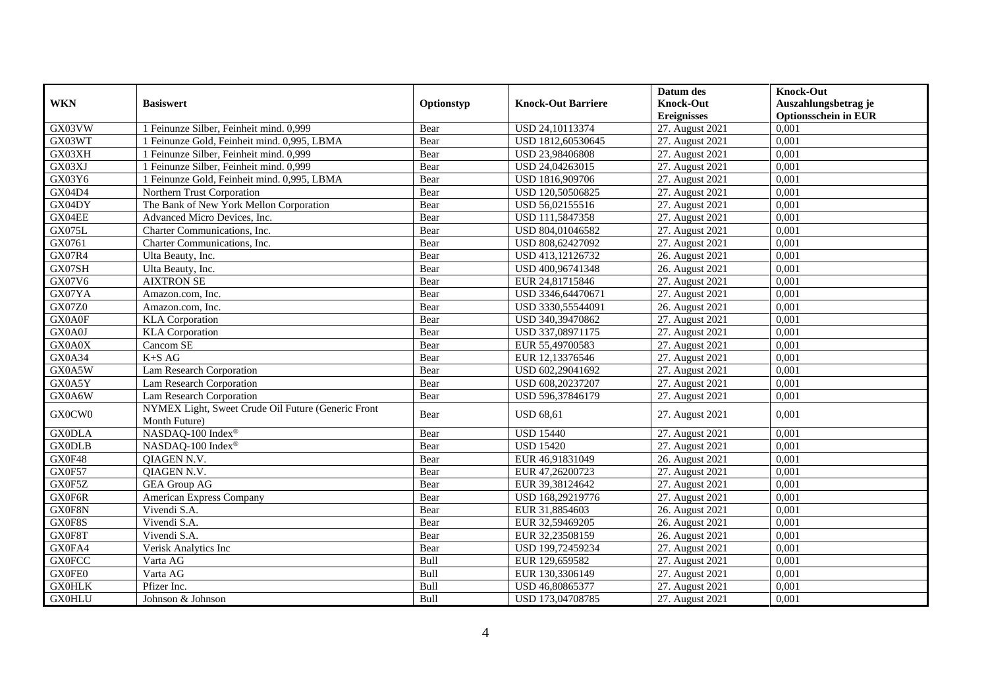|                |                                                                     |            |                           | Datum des                              | <b>Knock-Out</b>                                    |
|----------------|---------------------------------------------------------------------|------------|---------------------------|----------------------------------------|-----------------------------------------------------|
| <b>WKN</b>     | <b>Basiswert</b>                                                    | Optionstyp | <b>Knock-Out Barriere</b> | <b>Knock-Out</b><br><b>Ereignisses</b> | Auszahlungsbetrag je<br><b>Optionsschein in EUR</b> |
| GX03VW         | 1 Feinunze Silber, Feinheit mind. 0,999                             | Bear       | USD 24,10113374           | 27. August 2021                        | 0,001                                               |
| GX03WT         | 1 Feinunze Gold, Feinheit mind. 0,995, LBMA                         | Bear       | USD 1812,60530645         | 27. August 2021                        | 0,001                                               |
| GX03XH         | 1 Feinunze Silber, Feinheit mind. 0,999                             | Bear       | USD 23,98406808           | 27. August 2021                        | 0,001                                               |
| GX03XJ         | 1 Feinunze Silber, Feinheit mind. 0,999                             | Bear       | USD 24,04263015           | 27. August 2021                        | 0,001                                               |
| GX03Y6         | 1 Feinunze Gold, Feinheit mind. 0,995, LBMA                         | Bear       | USD 1816,909706           | 27. August 2021                        | 0,001                                               |
| GX04D4         | Northern Trust Corporation                                          | Bear       | USD 120,50506825          | 27. August 2021                        | 0,001                                               |
| GX04DY         | The Bank of New York Mellon Corporation                             | Bear       | USD 56,02155516           | 27. August 2021                        | 0,001                                               |
| GX04EE         | Advanced Micro Devices, Inc.                                        | Bear       | USD 111,5847358           | 27. August 2021                        | 0,001                                               |
| GX075L         | Charter Communications, Inc.                                        | Bear       | USD 804,01046582          | 27. August 2021                        | 0,001                                               |
| GX0761         | Charter Communications, Inc.                                        | Bear       | USD 808,62427092          | 27. August 2021                        | 0,001                                               |
| GX07R4         | Ulta Beauty, Inc.                                                   | Bear       | USD 413,12126732          | 26. August 2021                        | 0.001                                               |
| GX07SH         | Ulta Beauty, Inc.                                                   | Bear       | USD 400,96741348          | 26. August 2021                        | 0,001                                               |
| GX07V6         | <b>AIXTRON SE</b>                                                   | Bear       | EUR 24,81715846           | 27. August 2021                        | 0,001                                               |
| GX07YA         | Amazon.com, Inc.                                                    | Bear       | USD 3346,64470671         | 27. August 2021                        | 0,001                                               |
| <b>GX07Z0</b>  | Amazon.com, Inc.                                                    | Bear       | USD 3330,55544091         | 26. August 2021                        | 0,001                                               |
| GX0A0F         | <b>KLA</b> Corporation                                              | Bear       | USD 340,39470862          | 27. August 2021                        | 0,001                                               |
| ${\rm GX0A0J}$ | <b>KLA</b> Corporation                                              | Bear       | USD 337,08971175          | 27. August 2021                        | 0,001                                               |
| GX0A0X         | Cancom SE                                                           | Bear       | EUR 55,49700583           | 27. August 2021                        | 0,001                                               |
| GX0A34         | $K+SAG$                                                             | Bear       | EUR 12,13376546           | 27. August 2021                        | 0,001                                               |
| GX0A5W         | Lam Research Corporation                                            | Bear       | USD 602,29041692          | 27. August 2021                        | 0,001                                               |
| GX0A5Y         | Lam Research Corporation                                            | Bear       | USD 608,20237207          | 27. August 2021                        | 0,001                                               |
| GX0A6W         | Lam Research Corporation                                            | Bear       | USD 596,37846179          | 27. August 2021                        | 0,001                                               |
| GX0CW0         | NYMEX Light, Sweet Crude Oil Future (Generic Front<br>Month Future) | Bear       | <b>USD 68,61</b>          | 27. August 2021                        | 0,001                                               |
| <b>GX0DLA</b>  | NASDAQ-100 Index®                                                   | Bear       | <b>USD 15440</b>          | 27. August 2021                        | 0.001                                               |
| <b>GX0DLB</b>  | NASDAQ-100 Index®                                                   | Bear       | <b>USD 15420</b>          | 27. August 2021                        | 0,001                                               |
| GX0F48         | QIAGEN N.V.                                                         | Bear       | EUR 46,91831049           | 26. August 2021                        | 0,001                                               |
| GX0F57         | QIAGEN N.V.                                                         | Bear       | EUR 47,26200723           | 27. August 2021                        | 0,001                                               |
| GX0F5Z         | <b>GEA Group AG</b>                                                 | Bear       | EUR 39,38124642           | 27. August 2021                        | 0,001                                               |
| GX0F6R         | American Express Company                                            | Bear       | USD 168,29219776          | 27. August 2021                        | 0,001                                               |
| GX0F8N         | Vivendi S.A.                                                        | Bear       | EUR 31,8854603            | 26. August 2021                        | 0,001                                               |
| GX0F8S         | Vivendi S.A.                                                        | Bear       | EUR 32,59469205           | 26. August 2021                        | 0.001                                               |
| GX0F8T         | Vivendi S.A.                                                        | Bear       | EUR 32,23508159           | 26. August 2021                        | 0,001                                               |
| GX0FA4         | Verisk Analytics Inc                                                | Bear       | USD 199,72459234          | 27. August 2021                        | 0,001                                               |
| <b>GX0FCC</b>  | Varta AG                                                            | Bull       | EUR 129,659582            | 27. August 2021                        | 0,001                                               |
| GX0FE0         | Varta AG                                                            | Bull       | EUR 130,3306149           | 27. August 2021                        | 0,001                                               |
| <b>GX0HLK</b>  | Pfizer Inc.                                                         | Bull       | USD 46,80865377           | 27. August 2021                        | 0,001                                               |
| <b>GX0HLU</b>  | Johnson & Johnson                                                   | Bull       | USD 173,04708785          | 27. August 2021                        | 0,001                                               |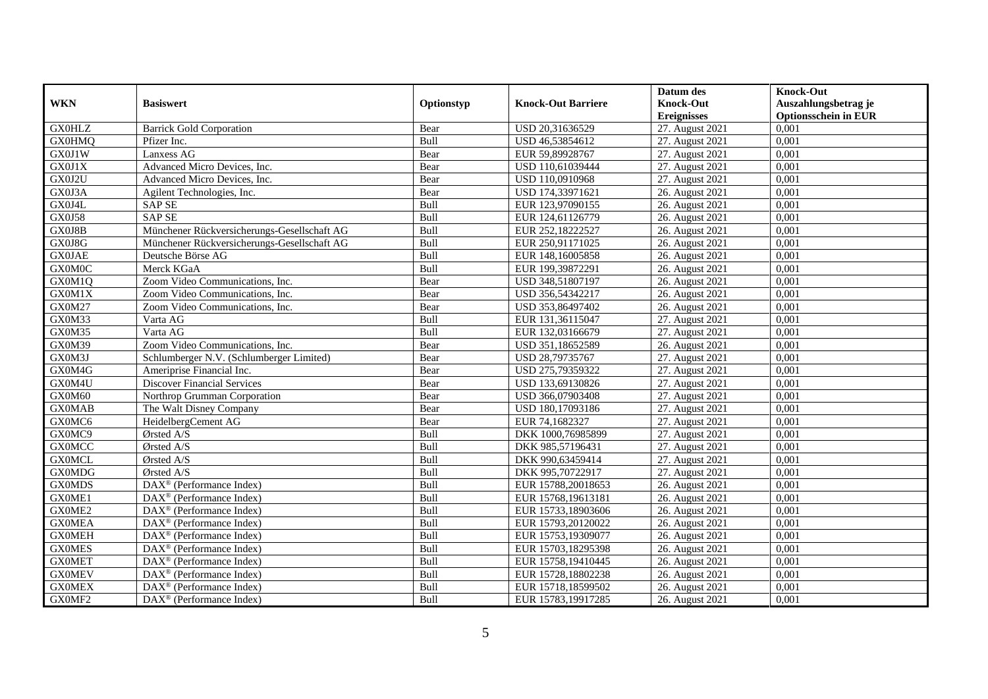|               |                                                       |            |                           | Datum des          | <b>Knock-Out</b>            |
|---------------|-------------------------------------------------------|------------|---------------------------|--------------------|-----------------------------|
| <b>WKN</b>    | <b>Basiswert</b>                                      | Optionstyp | <b>Knock-Out Barriere</b> | <b>Knock-Out</b>   | Auszahlungsbetrag je        |
|               |                                                       |            |                           | <b>Ereignisses</b> | <b>Optionsschein in EUR</b> |
| <b>GX0HLZ</b> | <b>Barrick Gold Corporation</b>                       | Bear       | USD 20,31636529           | 27. August 2021    | 0,001                       |
| <b>GX0HMQ</b> | Pfizer Inc.                                           | Bull       | USD 46,53854612           | 27. August 2021    | 0,001                       |
| GX0J1W        | Lanxess AG                                            | Bear       | EUR 59,89928767           | 27. August 2021    | 0,001                       |
| GX0J1X        | Advanced Micro Devices, Inc.                          | Bear       | USD 110,61039444          | 27. August 2021    | 0,001                       |
| GX0J2U        | Advanced Micro Devices, Inc.                          | Bear       | USD 110,0910968           | 27. August 2021    | 0,001                       |
| GX0J3A        | Agilent Technologies, Inc.                            | Bear       | USD 174,33971621          | 26. August 2021    | 0.001                       |
| GX0J4L        | <b>SAP SE</b>                                         | Bull       | EUR 123,97090155          | 26. August 2021    | 0,001                       |
| <b>GX0J58</b> | <b>SAP SE</b>                                         | Bull       | EUR 124,61126779          | 26. August 2021    | 0,001                       |
| GX0J8B        | Münchener Rückversicherungs-Gesellschaft AG           | Bull       | EUR 252,18222527          | 26. August 2021    | 0,001                       |
| GX0J8G        | Münchener Rückversicherungs-Gesellschaft AG           | Bull       | EUR 250,91171025          | 26. August 2021    | 0,001                       |
| <b>GX0JAE</b> | Deutsche Börse AG                                     | Bull       | EUR 148,16005858          | 26. August 2021    | 0,001                       |
| <b>GX0M0C</b> | Merck KGaA                                            | Bull       | EUR 199,39872291          | 26. August 2021    | 0,001                       |
| GX0M1Q        | Zoom Video Communications, Inc.                       | Bear       | USD 348,51807197          | 26. August 2021    | 0,001                       |
| GX0M1X        | Zoom Video Communications, Inc.                       | Bear       | USD 356,54342217          | 26. August 2021    | 0,001                       |
| GX0M27        | Zoom Video Communications, Inc.                       | Bear       | USD 353,86497402          | 26. August 2021    | 0,001                       |
| GX0M33        | Varta AG                                              | Bull       | EUR 131,36115047          | 27. August 2021    | 0,001                       |
| GX0M35        | Varta AG                                              | Bull       | EUR 132,03166679          | 27. August 2021    | 0,001                       |
| GX0M39        | Zoom Video Communications, Inc.                       | Bear       | USD 351.18652589          | 26. August 2021    | 0.001                       |
| GX0M3J        | Schlumberger N.V. (Schlumberger Limited)              | Bear       | USD 28,79735767           | 27. August 2021    | 0,001                       |
| GX0M4G        | Ameriprise Financial Inc.                             | Bear       | USD 275,79359322          | 27. August 2021    | 0,001                       |
| GX0M4U        | <b>Discover Financial Services</b>                    | Bear       | USD 133,69130826          | 27. August 2021    | 0,001                       |
| GX0M60        | Northrop Grumman Corporation                          | Bear       | USD 366,07903408          | 27. August 2021    | 0,001                       |
| <b>GX0MAB</b> | The Walt Disney Company                               | Bear       | USD 180,17093186          | 27. August 2021    | 0,001                       |
| GX0MC6        | HeidelbergCement AG                                   | Bear       | EUR 74,1682327            | 27. August 2021    | 0,001                       |
| GX0MC9        | Ørsted A/S                                            | Bull       | DKK 1000,76985899         | 27. August 2021    | 0,001                       |
| <b>GX0MCC</b> | Ørsted A/S                                            | Bull       | DKK 985,57196431          | 27. August 2021    | 0,001                       |
| <b>GX0MCL</b> | Ørsted A/S                                            | Bull       | DKK 990,63459414          | 27. August 2021    | 0,001                       |
| <b>GX0MDG</b> | Ørsted A/S                                            | Bull       | DKK 995,70722917          | 27. August 2021    | 0.001                       |
| <b>GX0MDS</b> | DAX <sup>®</sup> (Performance Index)                  | Bull       | EUR 15788,20018653        | 26. August 2021    | 0,001                       |
| GX0ME1        | $DAX^{\circledR}$ (Performance Index)                 | Bull       | EUR 15768,19613181        | 26. August 2021    | 0,001                       |
| GX0ME2        | $DAX^{\circledR}$ (Performance Index)                 | Bull       | EUR 15733,18903606        | 26. August 2021    | 0,001                       |
| <b>GX0MEA</b> | DAX <sup>®</sup> (Performance Index)                  | Bull       | EUR 15793,20120022        | 26. August 2021    | 0.001                       |
| <b>GX0MEH</b> | $\overline{\text{DAX}^{\otimes}}$ (Performance Index) | Bull       | EUR 15753,19309077        | 26. August 2021    | 0,001                       |
| <b>GX0MES</b> | $\overline{\text{DAX}^{\otimes}}$ (Performance Index) | Bull       | EUR 15703,18295398        | 26. August 2021    | 0,001                       |
| <b>GX0MET</b> | $DAX^{\circledast}$ (Performance Index)               | Bull       | EUR 15758,19410445        | 26. August 2021    | 0,001                       |
| <b>GX0MEV</b> | $DAX^{\circledast}$ (Performance Index)               | Bull       | EUR 15728,18802238        | 26. August 2021    | 0,001                       |
| <b>GX0MEX</b> | DAX <sup>®</sup> (Performance Index)                  | Bull       | EUR 15718,18599502        | 26. August 2021    | 0,001                       |
| GX0MF2        | $\text{DAX}^{\textcircled{}}$ (Performance Index)     | Bull       | EUR 15783,19917285        | 26. August 2021    | 0,001                       |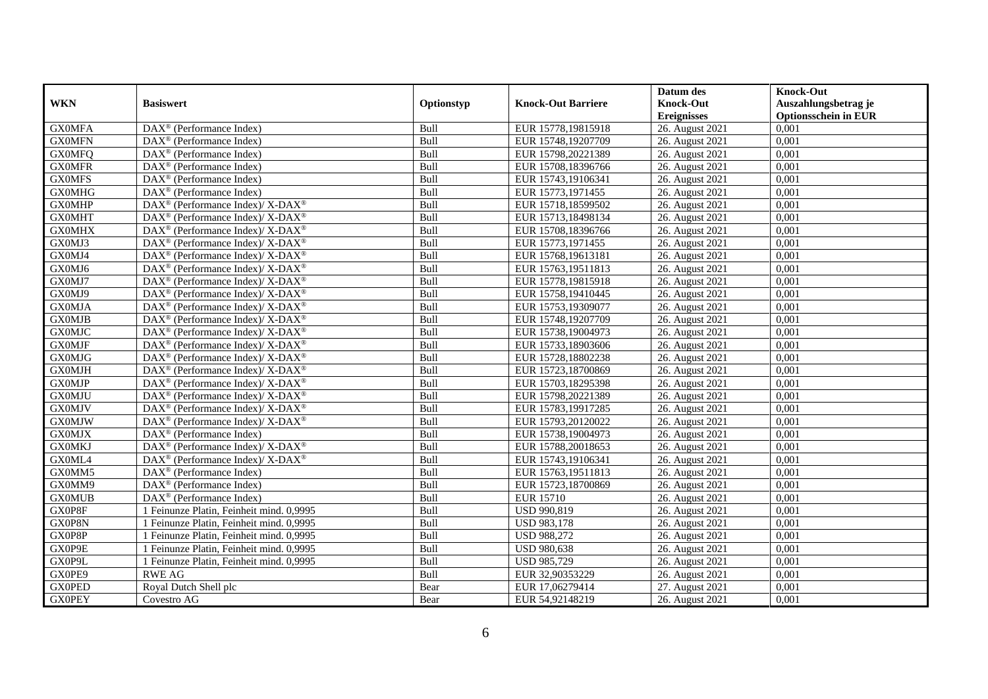|               |                                                             |             |                           | Datum des          | <b>Knock-Out</b>            |
|---------------|-------------------------------------------------------------|-------------|---------------------------|--------------------|-----------------------------|
| <b>WKN</b>    | <b>Basiswert</b>                                            | Optionstyp  | <b>Knock-Out Barriere</b> | <b>Knock-Out</b>   | Auszahlungsbetrag je        |
|               |                                                             |             |                           | <b>Ereignisses</b> | <b>Optionsschein in EUR</b> |
| <b>GX0MFA</b> | DAX <sup>®</sup> (Performance Index)                        | Bull        | EUR 15778,19815918        | 26. August 2021    | 0,001                       |
| <b>GX0MFN</b> | $DAX^{\circledast}$ (Performance Index)                     | Bull        | EUR 15748,19207709        | 26. August 2021    | 0,001                       |
| <b>GX0MFQ</b> | $DAX^{\circledcirc}$ (Performance Index)                    | Bull        | EUR 15798,20221389        | 26. August 2021    | 0,001                       |
| <b>GX0MFR</b> | $DAX^{\circledast}$ (Performance Index)                     | Bull        | EUR 15708,18396766        | 26. August 2021    | 0,001                       |
| <b>GX0MFS</b> | $\overline{\text{DAX}}^{\textcirc}$ (Performance Index)     | Bull        | EUR 15743,19106341        | 26. August 2021    | 0,001                       |
| <b>GX0MHG</b> | $\text{DAX}^{\circledast}$ (Performance Index)              | Bull        | EUR 15773,1971455         | 26. August 2021    | 0,001                       |
| <b>GX0MHP</b> | DAX <sup>®</sup> (Performance Index)/ X-DAX <sup>®</sup>    | Bull        | EUR 15718,18599502        | 26. August 2021    | 0,001                       |
| <b>GX0MHT</b> | DAX <sup>®</sup> (Performance Index)/ X-DAX <sup>®</sup>    | Bull        | EUR 15713,18498134        | 26. August 2021    | 0,001                       |
| <b>GX0MHX</b> | DAX <sup>®</sup> (Performance Index)/ X-DAX <sup>®</sup>    | Bull        | EUR 15708,18396766        | 26. August 2021    | 0,001                       |
| GX0MJ3        | DAX <sup>®</sup> (Performance Index)/X-DAX <sup>®</sup>     | Bull        | EUR 15773,1971455         | 26. August 2021    | 0.001                       |
| GX0MJ4        | DAX <sup>®</sup> (Performance Index)/ X-DAX <sup>®</sup>    | Bull        | EUR 15768,19613181        | 26. August 2021    | 0,001                       |
| GX0MJ6        | DAX <sup>®</sup> (Performance Index)/ X-DAX <sup>®</sup>    | Bull        | EUR 15763,19511813        | 26. August 2021    | 0,001                       |
| GX0MJ7        | $DAX^{\circledast}$ (Performance Index)/ X-DAX <sup>®</sup> | Bull        | EUR 15778,19815918        | 26. August 2021    | 0,001                       |
| GX0MJ9        | $DAX^{\circledcirc}$ (Performance Index)/X-DAX <sup>®</sup> | <b>Bull</b> | EUR 15758,19410445        | 26. August 2021    | 0.001                       |
| <b>GX0MJA</b> | DAX <sup>®</sup> (Performance Index)/X-DAX <sup>®</sup>     | Bull        | EUR 15753,19309077        | 26. August 2021    | 0,001                       |
| <b>GX0MJB</b> | DAX <sup>®</sup> (Performance Index)/ X-DAX <sup>®</sup>    | Bull        | EUR 15748,19207709        | 26. August 2021    | 0,001                       |
| <b>GX0MJC</b> | DAX <sup>®</sup> (Performance Index)/ X-DAX <sup>®</sup>    | Bull        | EUR 15738,19004973        | 26. August 2021    | 0,001                       |
| <b>GX0MJF</b> | $DAX^{\circledast}$ (Performance Index)/ X-DAX <sup>®</sup> | Bull        | EUR 15733,18903606        | 26. August 2021    | 0,001                       |
| <b>GX0MJG</b> | $DAX^{\circledast}$ (Performance Index)/ X-DAX <sup>®</sup> | Bull        | EUR 15728,18802238        | 26. August 2021    | 0,001                       |
| <b>GX0MJH</b> | DAX <sup>®</sup> (Performance Index)/ X-DAX <sup>®</sup>    | Bull        | EUR 15723,18700869        | 26. August 2021    | 0,001                       |
| <b>GX0MJP</b> | $DAX^{\circledast}$ (Performance Index)/ X-DAX <sup>®</sup> | Bull        | EUR 15703,18295398        | 26. August 2021    | 0,001                       |
| <b>GX0MJU</b> | $DAX^{\circledast}$ (Performance Index)/ X-DAX <sup>®</sup> | <b>Bull</b> | EUR 15798,20221389        | 26. August 2021    | 0,001                       |
| <b>GX0MJV</b> | DAX <sup>®</sup> (Performance Index)/ X-DAX <sup>®</sup>    | Bull        | EUR 15783,19917285        | 26. August 2021    | 0,001                       |
| <b>GX0MJW</b> | DAX <sup>®</sup> (Performance Index)/ X-DAX <sup>®</sup>    | Bull        | EUR 15793,20120022        | 26. August 2021    | 0,001                       |
| <b>GX0MJX</b> | $DAX^{\circledcirc}$ (Performance Index)                    | Bull        | EUR 15738,19004973        | 26. August 2021    | 0,001                       |
| <b>GX0MKJ</b> | DAX <sup>®</sup> (Performance Index)/X-DAX <sup>®</sup>     | Bull        | EUR 15788,20018653        | 26. August 2021    | 0,001                       |
| GX0ML4        | $DAX^{\circledast}$ (Performance Index)/ X-DAX <sup>®</sup> | Bull        | EUR 15743,19106341        | 26. August 2021    | 0,001                       |
| GX0MM5        | DAX <sup>®</sup> (Performance Index)                        | Bull        | EUR 15763,19511813        | 26. August 2021    | 0,001                       |
| GX0MM9        | $DAX^{\circledast}$ (Performance Index)                     | Bull        | EUR 15723,18700869        | 26. August 2021    | 0,001                       |
| <b>GX0MUB</b> | $DAX^{\circledast}$ (Performance Index)                     | Bull        | <b>EUR 15710</b>          | 26. August 2021    | 0,001                       |
| GX0P8F        | 1 Feinunze Platin, Feinheit mind. 0,9995                    | Bull        | USD 990,819               | 26. August 2021    | 0,001                       |
| GX0P8N        | 1 Feinunze Platin, Feinheit mind. 0,9995                    | Bull        | <b>USD 983,178</b>        | 26. August 2021    | 0.001                       |
| GX0P8P        | 1 Feinunze Platin, Feinheit mind. 0,9995                    | Bull        | <b>USD 988,272</b>        | 26. August 2021    | 0,001                       |
| GX0P9E        | 1 Feinunze Platin, Feinheit mind. 0,9995                    | Bull        | <b>USD 980,638</b>        | 26. August 2021    | 0,001                       |
| GX0P9L        | 1 Feinunze Platin, Feinheit mind. 0,9995                    | Bull        | USD 985,729               | 26. August 2021    | 0,001                       |
| GX0PE9        | <b>RWE AG</b>                                               | Bull        | EUR 32,90353229           | 26. August 2021    | 0,001                       |
| <b>GX0PED</b> | Royal Dutch Shell plc                                       | Bear        | EUR 17,06279414           | 27. August 2021    | 0,001                       |
| <b>GX0PEY</b> | Covestro AG                                                 | Bear        | EUR 54,92148219           | 26. August 2021    | 0,001                       |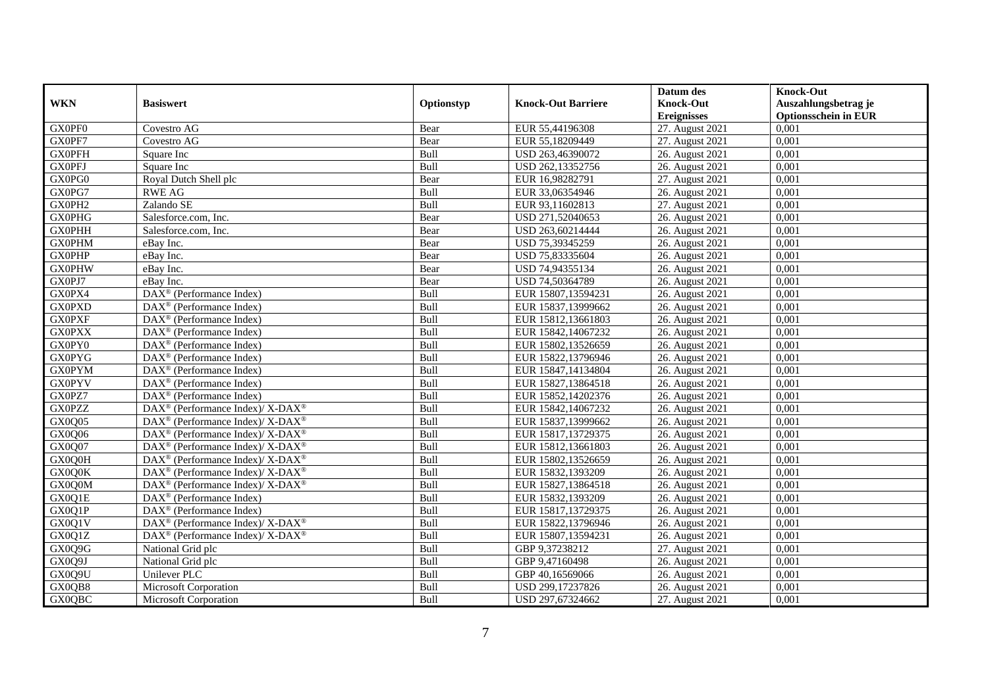|               |                                                                                        |            |                           | Datum des          | <b>Knock-Out</b>            |
|---------------|----------------------------------------------------------------------------------------|------------|---------------------------|--------------------|-----------------------------|
| <b>WKN</b>    | <b>Basiswert</b>                                                                       | Optionstyp | <b>Knock-Out Barriere</b> | <b>Knock-Out</b>   | Auszahlungsbetrag je        |
|               |                                                                                        |            |                           | <b>Ereignisses</b> | <b>Optionsschein in EUR</b> |
| GX0PF0        | Covestro AG                                                                            | Bear       | EUR 55,44196308           | 27. August 2021    | 0,001                       |
| GX0PF7        | Covestro AG                                                                            | Bear       | EUR 55,18209449           | 27. August 2021    | 0,001                       |
| <b>GX0PFH</b> | Square Inc                                                                             | Bull       | USD 263,46390072          | 26. August 2021    | 0,001                       |
| <b>GX0PFJ</b> | Square Inc                                                                             | Bull       | USD 262,13352756          | 26. August 2021    | 0,001                       |
| GX0PG0        | Royal Dutch Shell plc                                                                  | Bear       | EUR 16,98282791           | 27. August 2021    | 0,001                       |
| GX0PG7        | <b>RWE AG</b>                                                                          | Bull       | EUR 33,06354946           | 26. August 2021    | 0,001                       |
| GX0PH2        | Zalando SE                                                                             | Bull       | EUR 93,11602813           | 27. August 2021    | 0,001                       |
| <b>GX0PHG</b> | Salesforce.com, Inc.                                                                   | Bear       | USD 271,52040653          | 26. August 2021    | 0,001                       |
| <b>GX0PHH</b> | Salesforce.com, Inc.                                                                   | Bear       | USD 263,60214444          | 26. August 2021    | 0,001                       |
| <b>GX0PHM</b> | eBay Inc.                                                                              | Bear       | USD 75,39345259           | 26. August 2021    | 0,001                       |
| <b>GX0PHP</b> | eBay Inc.                                                                              | Bear       | USD 75,83335604           | 26. August 2021    | 0,001                       |
| <b>GX0PHW</b> | eBay Inc.                                                                              | Bear       | USD 74,94355134           | 26. August 2021    | 0,001                       |
| GX0PJ7        | eBay Inc.                                                                              | Bear       | USD 74,50364789           | 26. August 2021    | 0,001                       |
| GX0PX4        | DAX <sup>®</sup> (Performance Index)                                                   | Bull       | EUR 15807,13594231        | 26. August 2021    | 0,001                       |
| <b>GX0PXD</b> | DAX <sup>®</sup> (Performance Index)                                                   | Bull       | EUR 15837,13999662        | 26. August 2021    | 0,001                       |
| <b>GX0PXF</b> | DAX <sup>®</sup> (Performance Index)                                                   | Bull       | EUR 15812,13661803        | 26. August 2021    | 0,001                       |
| <b>GX0PXX</b> | $\text{DAX}^{\textcircled{p}}$ (Performance Index)                                     | Bull       | EUR 15842,14067232        | 26. August 2021    | 0,001                       |
| GX0PY0        | $\overline{\text{DAX}^{\otimes}}$ (Performance Index)                                  | Bull       | EUR 15802,13526659        | 26. August 2021    | 0,001                       |
| <b>GX0PYG</b> | $\text{DAX}^{\textcircled{n}}$ (Performance Index)                                     | Bull       | EUR 15822,13796946        | 26. August 2021    | 0,001                       |
| <b>GX0PYM</b> | $\text{DAX}^{\textcircled{n}}$ (Performance Index)                                     | Bull       | EUR 15847,14134804        | 26. August 2021    | 0,001                       |
| <b>GX0PYV</b> | DAX <sup>®</sup> (Performance Index)                                                   | Bull       | EUR 15827,13864518        | 26. August 2021    | 0,001                       |
| GX0PZ7        | $\text{DAX}^{\textcircled{p}}$ (Performance Index)                                     | Bull       | EUR 15852,14202376        | 26. August 2021    | 0.001                       |
| <b>GX0PZZ</b> | DAX <sup>®</sup> (Performance Index)/X-DAX <sup>®</sup>                                | Bull       | EUR 15842,14067232        | 26. August 2021    | 0,001                       |
| GX0Q05        | $DAX^{\circledast}$ (Performance Index)/X-DAX <sup>®</sup>                             | Bull       | EUR 15837,13999662        | 26. August 2021    | 0,001                       |
| GX0Q06        | $\overline{\text{DAX}^{\textcircled{\tiny 0}}}$ (Performance Index)/X-DAX <sup>®</sup> | Bull       | EUR 15817,13729375        | 26. August 2021    | 0,001                       |
| GX0Q07        | $\text{DAX}^{\circledast}$ (Performance Index)/ X-DAX <sup>®</sup>                     | Bull       | EUR 15812,13661803        | 26. August 2021    | 0,001                       |
| GX0Q0H        | $\text{DAX}^{\circledast}$ (Performance Index)/ X-DAX <sup>®</sup>                     | Bull       | EUR 15802,13526659        | 26. August 2021    | 0,001                       |
| GX0Q0K        | DAX <sup>®</sup> (Performance Index)/ X-DAX <sup>®</sup>                               | Bull       | EUR 15832,1393209         | 26. August 2021    | 0,001                       |
| GX0Q0M        | $\text{DAX}^{\circledR}$ (Performance Index)/ X-DAX <sup>®</sup>                       | Bull       | EUR 15827,13864518        | 26. August 2021    | 0,001                       |
| GX0Q1E        | $DAX^{\circledR}$ (Performance Index)                                                  | Bull       | EUR 15832,1393209         | 26. August 2021    | 0.001                       |
| GX0Q1P        | $\text{DAX}^{\textcircled{D}}$ (Performance Index)                                     | Bull       | EUR 15817,13729375        | 26. August 2021    | 0,001                       |
| GX0Q1V        | DAX <sup>®</sup> (Performance Index)/ X-DAX <sup>®</sup>                               | Bull       | EUR 15822,13796946        | 26. August 2021    | 0,001                       |
| GX0Q1Z        | DAX <sup>®</sup> (Performance Index)/ X-DAX <sup>®</sup>                               | Bull       | EUR 15807,13594231        | 26. August 2021    | 0,001                       |
| GX0Q9G        | National Grid plc                                                                      | Bull       | GBP 9,37238212            | 27. August 2021    | 0,001                       |
| GX0Q9J        | National Grid plc                                                                      | Bull       | GBP 9,47160498            | 26. August 2021    | 0,001                       |
| GX0Q9U        | Unilever PLC                                                                           | Bull       | GBP 40,16569066           | 26. August 2021    | 0,001                       |
| GX0QB8        | Microsoft Corporation                                                                  | Bull       | USD 299,17237826          | 26. August 2021    | 0,001                       |
| <b>GX0QBC</b> | Microsoft Corporation                                                                  | Bull       | USD 297,67324662          | 27. August 2021    | 0,001                       |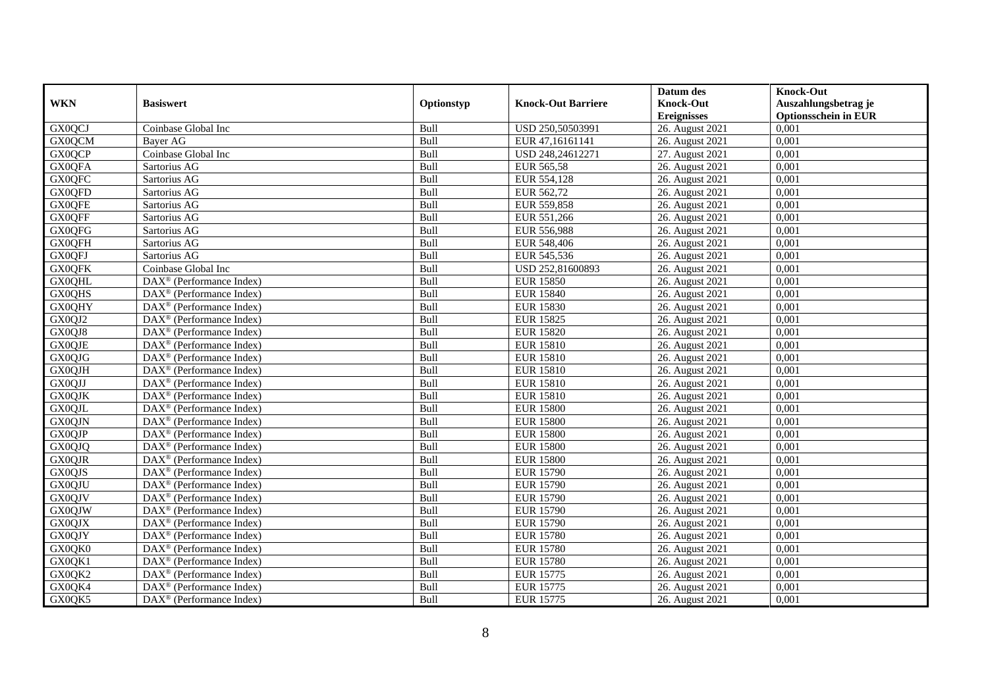|               |                                                         |            |                           | Datum des          | <b>Knock-Out</b>            |
|---------------|---------------------------------------------------------|------------|---------------------------|--------------------|-----------------------------|
| <b>WKN</b>    | <b>Basiswert</b>                                        | Optionstyp | <b>Knock-Out Barriere</b> | <b>Knock-Out</b>   | Auszahlungsbetrag je        |
|               |                                                         |            |                           | <b>Ereignisses</b> | <b>Optionsschein in EUR</b> |
| GX0QCJ        | Coinbase Global Inc                                     | Bull       | USD 250,50503991          | 26. August 2021    | 0,001                       |
| GX0QCM        | Bayer AG                                                | Bull       | EUR 47,16161141           | 26. August 2021    | 0,001                       |
| <b>GX0QCP</b> | Coinbase Global Inc                                     | Bull       | USD 248,24612271          | 27. August 2021    | 0,001                       |
| <b>GX0QFA</b> | Sartorius AG                                            | Bull       | EUR 565,58                | 26. August 2021    | 0,001                       |
| <b>GX0QFC</b> | Sartorius AG                                            | Bull       | EUR 554,128               | 26. August 2021    | 0,001                       |
| GX0QFD        | Sartorius AG                                            | Bull       | EUR 562,72                | 26. August 2021    | 0,001                       |
| <b>GX0QFE</b> | Sartorius AG                                            | Bull       | EUR 559,858               | 26. August 2021    | 0,001                       |
| <b>GX0QFF</b> | Sartorius AG                                            | Bull       | EUR 551,266               | 26. August 2021    | 0,001                       |
| GX0QFG        | Sartorius AG                                            | Bull       | EUR 556,988               | 26. August 2021    | 0,001                       |
| <b>GX0QFH</b> | Sartorius AG                                            | Bull       | EUR 548,406               | 26. August 2021    | 0,001                       |
| GX0QFJ        | Sartorius AG                                            | Bull       | EUR 545,536               | 26. August 2021    | 0,001                       |
| <b>GX0QFK</b> | Coinbase Global Inc                                     | Bull       | USD 252,81600893          | 26. August 2021    | 0,001                       |
| <b>GX0QHL</b> | $DAX^{\circledast}$ (Performance Index)                 | Bull       | <b>EUR 15850</b>          | 26. August 2021    | 0,001                       |
| <b>GX0QHS</b> | DAX <sup>®</sup> (Performance Index)                    | Bull       | <b>EUR 15840</b>          | 26. August 2021    | 0,001                       |
| <b>GX0QHY</b> | $DAX^{\circledast}$ (Performance Index)                 | Bull       | <b>EUR 15830</b>          | 26. August 2021    | 0,001                       |
| GX0QJ2        | DAX <sup>®</sup> (Performance Index)                    | Bull       | <b>EUR 15825</b>          | 26. August 2021    | 0,001                       |
| GX0QJ8        | $\text{DAX}^{\textcircled{}}$ (Performance Index)       | Bull       | <b>EUR 15820</b>          | 26. August 2021    | 0,001                       |
| <b>GX0QJE</b> | $\overline{\text{DAX}}^{\textcirc}$ (Performance Index) | Bull       | <b>EUR 15810</b>          | 26. August 2021    | 0,001                       |
| GX0QJG        | DAX <sup>®</sup> (Performance Index)                    | Bull       | <b>EUR 15810</b>          | 26. August 2021    | 0,001                       |
| GX0QJH        | DAX <sup>®</sup> (Performance Index)                    | Bull       | <b>EUR 15810</b>          | 26. August 2021    | 0,001                       |
| GX0QJJ        | DAX <sup>®</sup> (Performance Index)                    | Bull       | <b>EUR 15810</b>          | 26. August 2021    | 0,001                       |
| <b>GX0QJK</b> | $\overline{\text{DAX}^{\otimes}}$ (Performance Index)   | Bull       | <b>EUR 15810</b>          | 26. August 2021    | 0,001                       |
| <b>GX0QJL</b> | $\text{DAX}^{\textcircled{}}$ (Performance Index)       | Bull       | <b>EUR 15800</b>          | 26. August 2021    | 0,001                       |
| <b>GX0QJN</b> | DAX <sup>®</sup> (Performance Index)                    | Bull       | <b>EUR 15800</b>          | 26. August 2021    | 0,001                       |
| <b>GX0QJP</b> | DAX <sup>®</sup> (Performance Index)                    | Bull       | <b>EUR 15800</b>          | 26. August 2021    | 0,001                       |
| GX0QJQ        | DAX <sup>®</sup> (Performance Index)                    | Bull       | <b>EUR 15800</b>          | 26. August 2021    | 0,001                       |
| <b>GX0QJR</b> | $DAX^{\circledast}$ (Performance Index)                 | Bull       | <b>EUR 15800</b>          | 26. August 2021    | 0,001                       |
| GX0QJS        | $DAX^{\circledR}$ (Performance Index)                   | Bull       | <b>EUR 15790</b>          | 26. August 2021    | 0.001                       |
| <b>GX0QJU</b> | $\text{DAX}^{\circledast}$ (Performance Index)          | Bull       | <b>EUR 15790</b>          | 26. August 2021    | 0,001                       |
| <b>GX0QJV</b> | $\text{DAX}^{\circledast}$ (Performance Index)          | Bull       | <b>EUR 15790</b>          | 26. August 2021    | 0,001                       |
| <b>GX0QJW</b> | DAX <sup>®</sup> (Performance Index)                    | Bull       | <b>EUR 15790</b>          | 26. August 2021    | 0,001                       |
| <b>GX0QJX</b> | $DAX^{\circledast}$ (Performance Index)                 | Bull       | <b>EUR 15790</b>          | 26. August 2021    | 0.001                       |
| GX0QJY        | DAX <sup>®</sup> (Performance Index)                    | Bull       | <b>EUR 15780</b>          | 26. August 2021    | 0,001                       |
| GX0QK0        | $\overline{\text{DAX}^{\otimes}}$ (Performance Index)   | Bull       | <b>EUR 15780</b>          | 26. August 2021    | 0,001                       |
| GX0QK1        | $\text{DAX}^{\circledast}$ (Performance Index)          | Bull       | <b>EUR 15780</b>          | 26. August 2021    | 0,001                       |
| GX0QK2        | $\text{DAX}^{\textcircled{}}$ (Performance Index)       | Bull       | <b>EUR 15775</b>          | 26. August 2021    | 0,001                       |
| GX0QK4        | $DAX^{\circledast}$ (Performance Index)                 | Bull       | <b>EUR 15775</b>          | 26. August 2021    | 0,001                       |
| GX0QK5        | $\text{DAX}^{\circledast}$ (Performance Index)          | Bull       | <b>EUR 15775</b>          | 26. August 2021    | 0,001                       |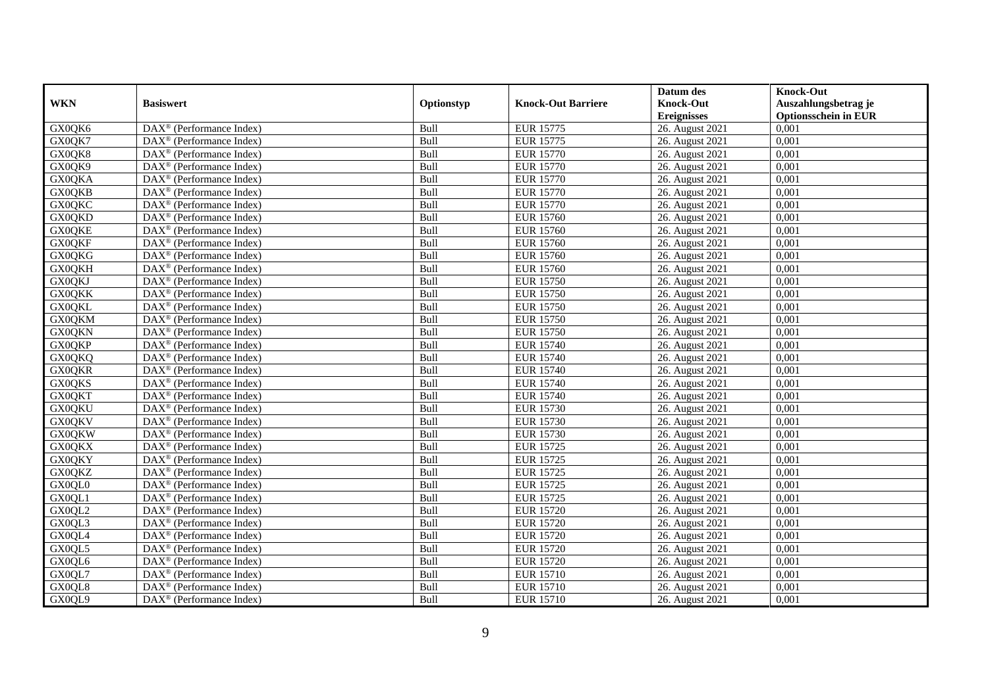|               |                                                              |            |                           | Datum des          | <b>Knock-Out</b>            |
|---------------|--------------------------------------------------------------|------------|---------------------------|--------------------|-----------------------------|
| <b>WKN</b>    | <b>Basiswert</b>                                             | Optionstyp | <b>Knock-Out Barriere</b> | <b>Knock-Out</b>   | Auszahlungsbetrag je        |
|               |                                                              |            |                           | <b>Ereignisses</b> | <b>Optionsschein in EUR</b> |
| GX0QK6        | DAX <sup>®</sup> (Performance Index)                         | Bull       | <b>EUR 15775</b>          | 26. August 2021    | 0,001                       |
| GX0QK7        | $\text{DAX}^{\circledast}$ (Performance Index)               | Bull       | <b>EUR 15775</b>          | 26. August 2021    | 0,001                       |
| GX0QK8        | $DAX^{\circledR}$ (Performance Index)                        | Bull       | <b>EUR 15770</b>          | 26. August 2021    | 0,001                       |
| GX0QK9        | $\text{DAX}^{\otimes}$ (Performance Index)                   | Bull       | <b>EUR 15770</b>          | 26. August 2021    | 0,001                       |
| <b>GX0QKA</b> | $\overline{\text{DAX}}^{\textcircled{}}$ (Performance Index) | Bull       | <b>EUR 15770</b>          | 26. August 2021    | 0,001                       |
| <b>GX0QKB</b> | $\text{DAX}^{\textcircled{p}}$ (Performance Index)           | Bull       | <b>EUR 15770</b>          | 26. August 2021    | 0,001                       |
| <b>GX0QKC</b> | $\overline{\text{DAX}}^{\textcirc}$ (Performance Index)      | Bull       | <b>EUR 15770</b>          | 26. August 2021    | 0,001                       |
| <b>GX0QKD</b> | $\text{DAX}^{\textcircled{n}}$ (Performance Index)           | Bull       | <b>EUR 15760</b>          | 26. August 2021    | 0,001                       |
| <b>GX0QKE</b> | $\text{DAX}^{\circledast}$ (Performance Index)               | Bull       | <b>EUR 15760</b>          | 26. August 2021    | 0,001                       |
| <b>GX0QKF</b> | DAX <sup>®</sup> (Performance Index)                         | Bull       | <b>EUR 15760</b>          | 26. August 2021    | 0.001                       |
| <b>GX0QKG</b> | $\overline{\text{DAX}^{\otimes}}$ (Performance Index)        | Bull       | <b>EUR 15760</b>          | 26. August 2021    | 0,001                       |
| <b>GX0QKH</b> | $\overline{\text{DAX}^{\otimes}}$ (Performance Index)        | Bull       | <b>EUR 15760</b>          | 26. August 2021    | 0,001                       |
| GX0QKJ        | $\text{DAX}^{\textcircled{n}}$ (Performance Index)           | Bull       | <b>EUR 15750</b>          | 26. August 2021    | 0,001                       |
| <b>GX0QKK</b> | $DAX^{\circledR}$ (Performance Index)                        | Bull       | <b>EUR 15750</b>          | 26. August 2021    | 0.001                       |
| <b>GX0QKL</b> | $\overline{\text{DAX}^{\otimes}}$ (Performance Index)        | Bull       | <b>EUR 15750</b>          | 26. August 2021    | 0,001                       |
| <b>GX0QKM</b> | DAX <sup>®</sup> (Performance Index)                         | Bull       | <b>EUR 15750</b>          | 26. August 2021    | 0,001                       |
| <b>GX0QKN</b> | DAX <sup>®</sup> (Performance Index)                         | Bull       | <b>EUR 15750</b>          | 26. August 2021    | 0,001                       |
| <b>GX0QKP</b> | DAX <sup>®</sup> (Performance Index)                         | Bull       | <b>EUR 15740</b>          | 26. August 2021    | 0,001                       |
| <b>GX0QKQ</b> | DAX <sup>®</sup> (Performance Index)                         | Bull       | <b>EUR 15740</b>          | 26. August 2021    | 0,001                       |
| <b>GX0QKR</b> | $\text{DAX}^{\circledast}$ (Performance Index)               | Bull       | <b>EUR 15740</b>          | 26. August 2021    | 0,001                       |
| <b>GX0QKS</b> | DAX <sup>®</sup> (Performance Index)                         | Bull       | <b>EUR 15740</b>          | 26. August 2021    | 0,001                       |
| <b>GX0QKT</b> | $DAX^{\circledR}$ (Performance Index)                        | Bull       | <b>EUR 15740</b>          | 26. August 2021    | 0,001                       |
| <b>GX0QKU</b> | $\text{DAX}^{\textcircled{p}}$ (Performance Index)           | Bull       | <b>EUR 15730</b>          | 26. August 2021    | 0,001                       |
| <b>GX0QKV</b> | $\text{DAX}^{\textcircled{p}}$ (Performance Index)           | Bull       | <b>EUR 15730</b>          | 26. August 2021    | 0,001                       |
| <b>GX0QKW</b> | $DAX^{\circledR}$ (Performance Index)                        | Bull       | <b>EUR 15730</b>          | 26. August 2021    | 0,001                       |
| <b>GX0QKX</b> | $\text{DAX}^{\circledast}$ (Performance Index)               | Bull       | <b>EUR 15725</b>          | 26. August 2021    | 0,001                       |
| <b>GX0QKY</b> | DAX <sup>®</sup> (Performance Index)                         | Bull       | <b>EUR 15725</b>          | 26. August 2021    | 0,001                       |
| <b>GX0QKZ</b> | DAX <sup>®</sup> (Performance Index)                         | Bull       | <b>EUR 15725</b>          | 26. August 2021    | 0,001                       |
| GX0QL0        | $\text{DAX}^{\otimes}$ (Performance Index)                   | Bull       | <b>EUR 15725</b>          | 26. August 2021    | 0,001                       |
| GX0QL1        | $\text{DAX}^{\textcircled{n}}$ (Performance Index)           | Bull       | <b>EUR 15725</b>          | 26. August 2021    | 0,001                       |
| GX0QL2        | DAX <sup>®</sup> (Performance Index)                         | Bull       | <b>EUR 15720</b>          | 26. August 2021    | 0,001                       |
| GX0QL3        | DAX <sup>®</sup> (Performance Index)                         | Bull       | <b>EUR 15720</b>          | 26. August 2021    | 0,001                       |
| GX0QL4        | DAX <sup>®</sup> (Performance Index)                         | Bull       | <b>EUR 15720</b>          | 26. August 2021    | 0,001                       |
| GX0QL5        | $\overline{\text{DAX}}^{\textcirc}$ (Performance Index)      | Bull       | <b>EUR 15720</b>          | 26. August 2021    | 0,001                       |
| GX0QL6        | $\text{DAX}^{\textcircled{n}}$ (Performance Index)           | Bull       | <b>EUR 15720</b>          | 26. August 2021    | 0,001                       |
| GX0QL7        | $\text{DAX}^{\circledast}$ (Performance Index)               | Bull       | <b>EUR 15710</b>          | 26. August 2021    | 0,001                       |
| GX0QL8        | $\text{DAX}^{\otimes}$ (Performance Index)                   | Bull       | <b>EUR 15710</b>          | 26. August 2021    | 0,001                       |
| GX0QL9        | DAX <sup>®</sup> (Performance Index)                         | Bull       | <b>EUR 15710</b>          | 26. August 2021    | 0,001                       |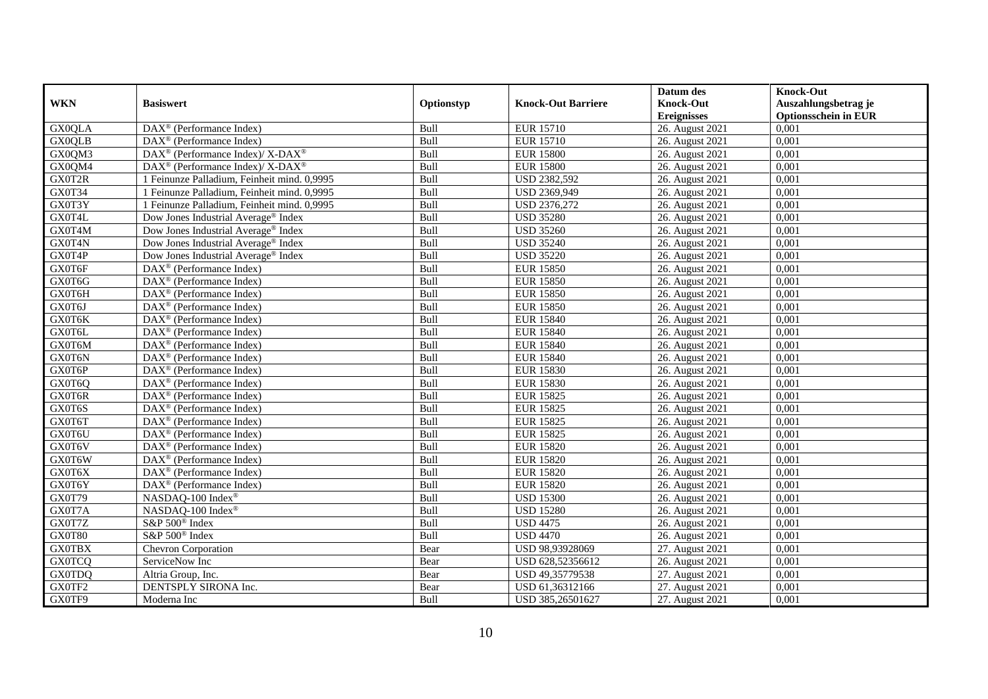|               |                                                                    |            |                           | Datum des          | <b>Knock-Out</b>            |
|---------------|--------------------------------------------------------------------|------------|---------------------------|--------------------|-----------------------------|
| <b>WKN</b>    | <b>Basiswert</b>                                                   | Optionstyp | <b>Knock-Out Barriere</b> | <b>Knock-Out</b>   | Auszahlungsbetrag je        |
|               |                                                                    |            |                           | <b>Ereignisses</b> | <b>Optionsschein in EUR</b> |
| <b>GX0QLA</b> | DAX <sup>®</sup> (Performance Index)                               | Bull       | <b>EUR 15710</b>          | 26. August 2021    | 0,001                       |
| <b>GX0OLB</b> | $\text{DAX}^{\textcircled{p}}$ (Performance Index)                 | Bull       | <b>EUR 15710</b>          | 26. August 2021    | 0,001                       |
| GX0QM3        | $\text{DAX}^{\circledast}$ (Performance Index)/ X-DAX <sup>®</sup> | Bull       | <b>EUR 15800</b>          | 26. August 2021    | 0,001                       |
| GX0QM4        | DAX <sup>®</sup> (Performance Index)/ X-DAX <sup>®</sup>           | Bull       | <b>EUR 15800</b>          | 26. August 2021    | 0,001                       |
| GX0T2R        | 1 Feinunze Palladium, Feinheit mind. 0,9995                        | Bull       | <b>USD 2382,592</b>       | 26. August 2021    | 0,001                       |
| GX0T34        | 1 Feinunze Palladium, Feinheit mind. 0,9995                        | Bull       | USD 2369,949              | 26. August 2021    | 0,001                       |
| GX0T3Y        | 1 Feinunze Palladium, Feinheit mind. 0,9995                        | Bull       | USD 2376,272              | 26. August 2021    | 0,001                       |
| GX0T4L        | Dow Jones Industrial Average® Index                                | Bull       | <b>USD 35280</b>          | 26. August 2021    | 0,001                       |
| GX0T4M        | Dow Jones Industrial Average <sup>®</sup> Index                    | Bull       | <b>USD 35260</b>          | 26. August 2021    | 0,001                       |
| GX0T4N        | Dow Jones Industrial Average <sup>®</sup> Index                    | Bull       | <b>USD 35240</b>          | 26. August 2021    | 0,001                       |
| GX0T4P        | Dow Jones Industrial Average <sup>®</sup> Index                    | Bull       | <b>USD 35220</b>          | 26. August 2021    | 0,001                       |
| GX0T6F        | $\overline{\text{DAX}^{\otimes}}$ (Performance Index)              | Bull       | <b>EUR 15850</b>          | 26. August 2021    | 0,001                       |
| GX0T6G        | $\text{DAX}^{\textcircled{n}}$ (Performance Index)                 | Bull       | <b>EUR 15850</b>          | 26. August 2021    | 0,001                       |
| GX0T6H        | DAX <sup>®</sup> (Performance Index)                               | Bull       | <b>EUR 15850</b>          | 26. August 2021    | 0,001                       |
| GX0T6J        | DAX <sup>®</sup> (Performance Index)                               | Bull       | <b>EUR 15850</b>          | 26. August 2021    | 0,001                       |
| GX0T6K        | DAX <sup>®</sup> (Performance Index)                               | Bull       | <b>EUR 15840</b>          | 26. August 2021    | 0,001                       |
| GX0T6L        | DAX <sup>®</sup> (Performance Index)                               | Bull       | <b>EUR 15840</b>          | 26. August 2021    | 0,001                       |
| GX0T6M        | $DAX^{\circledR}$ (Performance Index)                              | Bull       | <b>EUR 15840</b>          | 26. August 2021    | 0,001                       |
| GX0T6N        | DAX <sup>®</sup> (Performance Index)                               | Bull       | <b>EUR 15840</b>          | 26. August 2021    | 0,001                       |
| GX0T6P        | DAX <sup>®</sup> (Performance Index)                               | Bull       | <b>EUR 15830</b>          | 26. August 2021    | 0,001                       |
| GX0T6Q        | DAX <sup>®</sup> (Performance Index)                               | Bull       | <b>EUR 15830</b>          | 26. August 2021    | 0,001                       |
| GX0T6R        | $\overline{\text{DAX}^{\otimes}}$ (Performance Index)              | Bull       | <b>EUR 15825</b>          | 26. August 2021    | 0,001                       |
| GX0T6S        | $\overline{\text{DAX}^{\otimes}}$ (Performance Index)              | Bull       | <b>EUR 15825</b>          | 26. August 2021    | 0,001                       |
| GX0T6T        | DAX <sup>®</sup> (Performance Index)                               | Bull       | <b>EUR 15825</b>          | 26. August 2021    | 0,001                       |
| GX0T6U        | DAX <sup>®</sup> (Performance Index)                               | Bull       | <b>EUR 15825</b>          | 26. August 2021    | 0,001                       |
| GX0T6V        | $\text{DAX}^{\otimes}$ (Performance Index)                         | Bull       | <b>EUR 15820</b>          | 26. August 2021    | 0,001                       |
| GX0T6W        | DAX <sup>®</sup> (Performance Index)                               | Bull       | <b>EUR 15820</b>          | 26. August 2021    | 0,001                       |
| GX0T6X        | $\text{DAX}^{\textcircled{D}}$ (Performance Index)                 | Bull       | <b>EUR 15820</b>          | 26. August 2021    | 0.001                       |
| GX0T6Y        | $\overline{\text{DAX}}^{\textcircled{}}$ (Performance Index)       | Bull       | <b>EUR 15820</b>          | 26. August 2021    | 0,001                       |
| GX0T79        | NASDAQ-100 Index®                                                  | Bull       | <b>USD 15300</b>          | 26. August 2021    | 0,001                       |
| GX0T7A        | NASDAQ-100 Index <sup>®</sup>                                      | Bull       | <b>USD 15280</b>          | 26. August 2021    | 0,001                       |
| GX0T7Z        | S&P 500 <sup>®</sup> Index                                         | Bull       | <b>USD 4475</b>           | 26. August 2021    | 0,001                       |
| GX0T80        | S&P 500 <sup>®</sup> Index                                         | Bull       | <b>USD 4470</b>           | 26. August 2021    | 0,001                       |
| <b>GX0TBX</b> | Chevron Corporation                                                | Bear       | USD 98,93928069           | 27. August 2021    | 0,001                       |
| <b>GX0TCQ</b> | ServiceNow Inc                                                     | Bear       | USD 628,52356612          | 26. August 2021    | 0,001                       |
| <b>GX0TDQ</b> | Altria Group, Inc.                                                 | Bear       | USD 49,35779538           | 27. August 2021    | 0,001                       |
| GX0TF2        | DENTSPLY SIRONA Inc.                                               | Bear       | USD 61,36312166           | 27. August 2021    | 0,001                       |
| GX0TF9        | Moderna Inc                                                        | Bull       | USD 385,26501627          | 27. August 2021    | 0,001                       |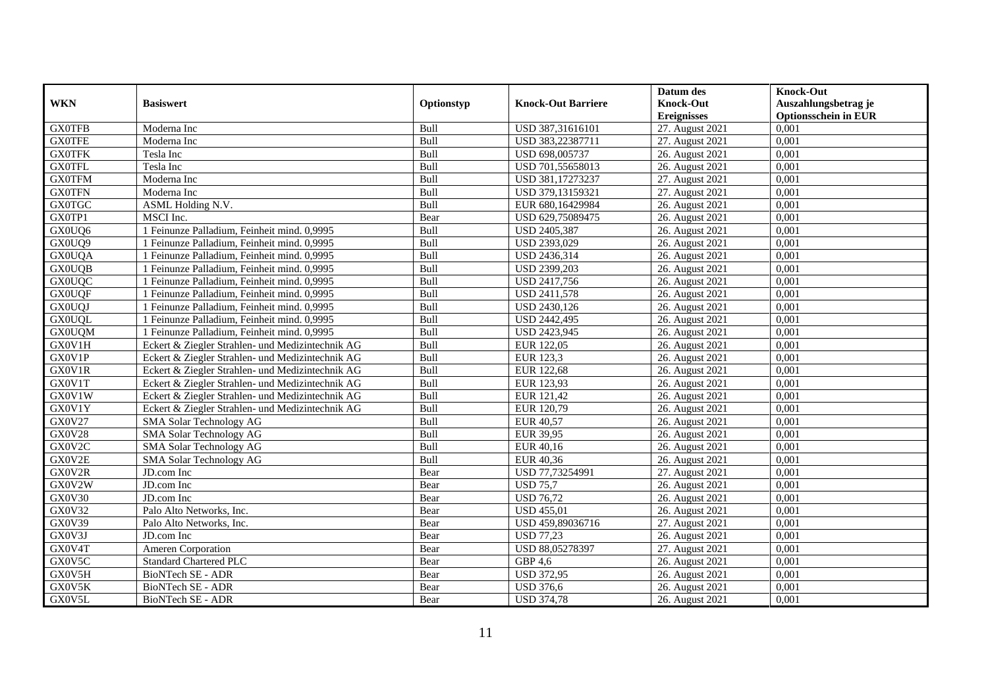|               |                                                  |            |                           | Datum des          | <b>Knock-Out</b>            |
|---------------|--------------------------------------------------|------------|---------------------------|--------------------|-----------------------------|
| <b>WKN</b>    | <b>Basiswert</b>                                 | Optionstyp | <b>Knock-Out Barriere</b> | <b>Knock-Out</b>   | Auszahlungsbetrag je        |
|               |                                                  |            |                           | <b>Ereignisses</b> | <b>Optionsschein in EUR</b> |
| <b>GX0TFB</b> | Moderna Inc                                      | Bull       | USD 387,31616101          | 27. August 2021    | 0,001                       |
| <b>GX0TFE</b> | Moderna Inc                                      | Bull       | USD 383,22387711          | 27. August 2021    | 0,001                       |
| <b>GX0TFK</b> | Tesla Inc                                        | Bull       | USD 698,005737            | 26. August 2021    | 0,001                       |
| <b>GX0TFL</b> | Tesla Inc                                        | Bull       | USD 701,55658013          | 26. August 2021    | 0,001                       |
| <b>GX0TFM</b> | Moderna Inc                                      | Bull       | USD 381,17273237          | 27. August 2021    | 0,001                       |
| <b>GX0TFN</b> | Moderna Inc                                      | Bull       | USD 379,13159321          | 27. August 2021    | 0,001                       |
| <b>GX0TGC</b> | ASML Holding N.V.                                | Bull       | EUR 680,16429984          | 26. August 2021    | 0,001                       |
| GX0TP1        | MSCI Inc.                                        | Bear       | USD 629,75089475          | 26. August 2021    | 0,001                       |
| GX0UQ6        | 1 Feinunze Palladium, Feinheit mind. 0,9995      | Bull       | USD 2405,387              | 26. August 2021    | 0,001                       |
| GX0UQ9        | 1 Feinunze Palladium, Feinheit mind. 0,9995      | Bull       | USD 2393,029              | 26. August 2021    | 0,001                       |
| <b>GX0UQA</b> | 1 Feinunze Palladium, Feinheit mind. 0,9995      | Bull       | USD 2436,314              | 26. August 2021    | 0,001                       |
| <b>GX0UQB</b> | 1 Feinunze Palladium, Feinheit mind. 0,9995      | Bull       | USD 2399,203              | 26. August 2021    | 0,001                       |
| <b>GX0UQC</b> | 1 Feinunze Palladium, Feinheit mind. 0,9995      | Bull       | USD 2417,756              | 26. August 2021    | 0.001                       |
| <b>GX0UQF</b> | 1 Feinunze Palladium, Feinheit mind. 0,9995      | Bull       | USD 2411,578              | 26. August 2021    | 0,001                       |
| <b>GX0UQJ</b> | 1 Feinunze Palladium, Feinheit mind. 0,9995      | Bull       | USD 2430,126              | 26. August 2021    | 0,001                       |
| <b>GX0UQL</b> | 1 Feinunze Palladium, Feinheit mind. 0,9995      | Bull       | USD 2442,495              | 26. August 2021    | 0,001                       |
| <b>GX0UQM</b> | 1 Feinunze Palladium, Feinheit mind. 0,9995      | Bull       | USD 2423,945              | 26. August 2021    | 0,001                       |
| GX0V1H        | Eckert & Ziegler Strahlen- und Medizintechnik AG | Bull       | EUR 122,05                | 26. August 2021    | 0.001                       |
| GX0V1P        | Eckert & Ziegler Strahlen- und Medizintechnik AG | Bull       | EUR 123,3                 | 26. August 2021    | 0,001                       |
| GX0V1R        | Eckert & Ziegler Strahlen- und Medizintechnik AG | Bull       | <b>EUR 122,68</b>         | 26. August 2021    | 0,001                       |
| GX0V1T        | Eckert & Ziegler Strahlen- und Medizintechnik AG | Bull       | EUR 123,93                | 26. August 2021    | 0,001                       |
| GX0V1W        | Eckert & Ziegler Strahlen- und Medizintechnik AG | Bull       | EUR 121,42                | 26. August 2021    | 0,001                       |
| GX0V1Y        | Eckert & Ziegler Strahlen- und Medizintechnik AG | Bull       | EUR 120,79                | 26. August 2021    | 0,001                       |
| <b>GX0V27</b> | SMA Solar Technology AG                          | Bull       | <b>EUR 40,57</b>          | 26. August 2021    | 0,001                       |
| <b>GX0V28</b> | SMA Solar Technology AG                          | Bull       | <b>EUR 39,95</b>          | 26. August 2021    | 0,001                       |
| GX0V2C        | SMA Solar Technology AG                          | Bull       | EUR 40,16                 | 26. August 2021    | 0,001                       |
| GX0V2E        | SMA Solar Technology AG                          | Bull       | EUR 40,36                 | 26. August 2021    | 0,001                       |
| GX0V2R        | JD.com Inc                                       | Bear       | USD 77,73254991           | 27. August 2021    | 0.001                       |
| GX0V2W        | JD.com Inc                                       | Bear       | <b>USD 75.7</b>           | 26. August 2021    | 0,001                       |
| GX0V30        | JD.com Inc                                       | Bear       | <b>USD 76,72</b>          | 26. August 2021    | 0,001                       |
| GX0V32        | Palo Alto Networks, Inc.                         | Bear       | <b>USD 455,01</b>         | 26. August 2021    | 0,001                       |
| GX0V39        | Palo Alto Networks, Inc.                         | Bear       | USD 459,89036716          | 27. August 2021    | 0.001                       |
| GX0V3J        | JD.com Inc                                       | Bear       | <b>USD 77,23</b>          | 26. August 2021    | 0,001                       |
| GX0V4T        | Ameren Corporation                               | Bear       | USD 88,05278397           | 27. August 2021    | 0,001                       |
| GX0V5C        | <b>Standard Chartered PLC</b>                    | Bear       | GBP 4,6                   | 26. August 2021    | 0,001                       |
| GX0V5H        | BioNTech SE - ADR                                | Bear       | <b>USD 372,95</b>         | 26. August 2021    | 0,001                       |
| GX0V5K        | <b>BioNTech SE - ADR</b>                         | Bear       | <b>USD 376,6</b>          | 26. August 2021    | 0,001                       |
| GX0V5L        | BioNTech SE - ADR                                | Bear       | <b>USD 374,78</b>         | 26. August 2021    | 0,001                       |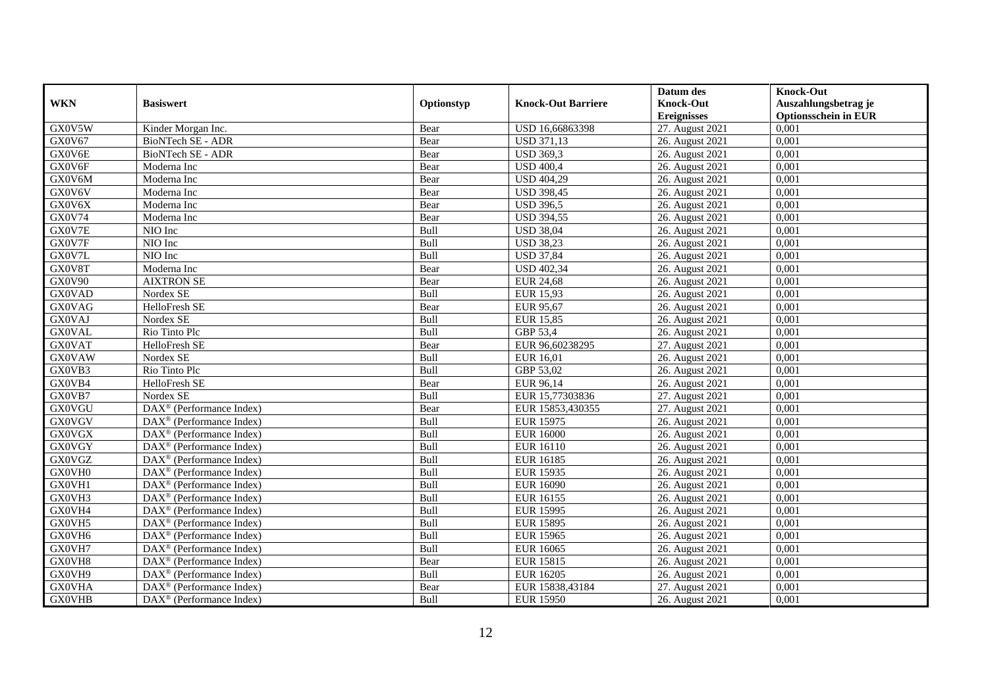|               |                                                       |            |                           | Datum des          | <b>Knock-Out</b>            |
|---------------|-------------------------------------------------------|------------|---------------------------|--------------------|-----------------------------|
| <b>WKN</b>    | <b>Basiswert</b>                                      | Optionstyp | <b>Knock-Out Barriere</b> | <b>Knock-Out</b>   | Auszahlungsbetrag je        |
|               |                                                       |            |                           | <b>Ereignisses</b> | <b>Optionsschein in EUR</b> |
| GX0V5W        | Kinder Morgan Inc.                                    | Bear       | USD 16,66863398           | 27. August 2021    | 0,001                       |
| GX0V67        | <b>BioNTech SE - ADR</b>                              | Bear       | <b>USD 371,13</b>         | 26. August 2021    | 0,001                       |
| GX0V6E        | <b>BioNTech SE - ADR</b>                              | Bear       | <b>USD 369,3</b>          | 26. August 2021    | 0,001                       |
| GX0V6F        | Moderna Inc                                           | Bear       | <b>USD 400,4</b>          | 26. August 2021    | 0,001                       |
| GX0V6M        | Moderna Inc                                           | Bear       | <b>USD 404,29</b>         | 26. August 2021    | 0,001                       |
| GX0V6V        | Moderna Inc                                           | Bear       | <b>USD 398,45</b>         | 26. August 2021    | 0,001                       |
| GX0V6X        | Moderna Inc                                           | Bear       | <b>USD 396,5</b>          | 26. August 2021    | 0,001                       |
| GX0V74        | Moderna Inc                                           | Bear       | <b>USD 394,55</b>         | 26. August 2021    | 0,001                       |
| GX0V7E        | NIO Inc                                               | Bull       | <b>USD 38,04</b>          | 26. August 2021    | 0,001                       |
| GX0V7F        | NIO Inc                                               | Bull       | <b>USD 38,23</b>          | 26. August 2021    | 0,001                       |
| GX0V7L        | $NIO$ Inc                                             | Bull       | <b>USD 37,84</b>          | 26. August 2021    | 0,001                       |
| GX0V8T        | Moderna Inc                                           | Bear       | <b>USD 402,34</b>         | 26. August 2021    | 0,001                       |
| GX0V90        | <b>AIXTRON SE</b>                                     | Bear       | <b>EUR 24,68</b>          | 26. August 2021    | 0,001                       |
| <b>GX0VAD</b> | Nordex SE                                             | Bull       | <b>EUR 15,93</b>          | 26. August 2021    | 0,001                       |
| <b>GX0VAG</b> | HelloFresh SE                                         | Bear       | <b>EUR 95,67</b>          | 26. August 2021    | 0,001                       |
| <b>GX0VAJ</b> | Nordex SE                                             | Bull       | <b>EUR 15,85</b>          | 26. August 2021    | 0,001                       |
| <b>GX0VAL</b> | Rio Tinto Plc                                         | Bull       | GBP 53,4                  | 26. August 2021    | 0,001                       |
| <b>GX0VAT</b> | HelloFresh SE                                         | Bear       | EUR 96,60238295           | 27. August 2021    | 0.001                       |
| <b>GX0VAW</b> | Nordex SE                                             | Bull       | EUR 16,01                 | 26. August 2021    | 0,001                       |
| GX0VB3        | Rio Tinto Plc                                         | Bull       | GBP 53,02                 | 26. August 2021    | 0,001                       |
| GX0VB4        | HelloFresh SE                                         | Bear       | EUR 96,14                 | 26. August 2021    | 0,001                       |
| GX0VB7        | Nordex SE                                             | Bull       | EUR 15,77303836           | 27. August 2021    | 0,001                       |
| <b>GX0VGU</b> | $\text{DAX}^{\textcircled{p}}$ (Performance Index)    | Bear       | EUR 15853,430355          | 27. August 2021    | 0,001                       |
| <b>GX0VGV</b> | $\text{DAX}^{\textcircled{n}}$ (Performance Index)    | Bull       | <b>EUR 15975</b>          | 26. August 2021    | 0,001                       |
| <b>GX0VGX</b> | $\text{DAX}^{\textcircled{n}}$ (Performance Index)    | Bull       | <b>EUR 16000</b>          | 26. August 2021    | 0,001                       |
| <b>GX0VGY</b> | DAX <sup>®</sup> (Performance Index)                  | Bull       | EUR 16110                 | 26. August 2021    | 0.001                       |
| <b>GX0VGZ</b> | $\text{DAX}^{\textcircled{n}}$ (Performance Index)    | Bull       | <b>EUR 16185</b>          | 26. August 2021    | 0,001                       |
| GX0VH0        | DAX <sup>®</sup> (Performance Index)                  | Bull       | <b>EUR 15935</b>          | 26. August 2021    | 0.001                       |
| GX0VH1        | $\text{DAX}^{\textcircled{p}}$ (Performance Index)    | Bull       | <b>EUR 16090</b>          | 26. August 2021    | 0,001                       |
| GX0VH3        | $DAX^{\circledR}$ (Performance Index)                 | Bull       | EUR 16155                 | 26. August 2021    | 0,001                       |
| GX0VH4        | DAX <sup>®</sup> (Performance Index)                  | Bull       | <b>EUR 15995</b>          | 26. August 2021    | 0,001                       |
| GX0VH5        | $\text{DAX}^{\textcircled{p}}$ (Performance Index)    | Bull       | <b>EUR 15895</b>          | 26. August 2021    | 0,001                       |
| GX0VH6        | $\overline{\text{DAX}^{\otimes}}$ (Performance Index) | Bull       | <b>EUR 15965</b>          | 26. August 2021    | 0,001                       |
| GX0VH7        | $\overline{\text{DAX}^{\otimes}}$ (Performance Index) | Bull       | <b>EUR 16065</b>          | 26. August 2021    | 0,001                       |
| GX0VH8        | $\text{DAX}^{\otimes}$ (Performance Index)            | Bear       | <b>EUR 15815</b>          | 26. August 2021    | 0,001                       |
| GX0VH9        | $\text{DAX}^{\textcircled{n}}$ (Performance Index)    | Bull       | <b>EUR 16205</b>          | 26. August 2021    | 0,001                       |
| <b>GX0VHA</b> | DAX <sup>®</sup> (Performance Index)                  | Bear       | EUR 15838,43184           | 27. August 2021    | 0,001                       |
| <b>GX0VHB</b> | $\text{DAX}^{\circledast}$ (Performance Index)        | Bull       | <b>EUR 15950</b>          | 26. August 2021    | 0,001                       |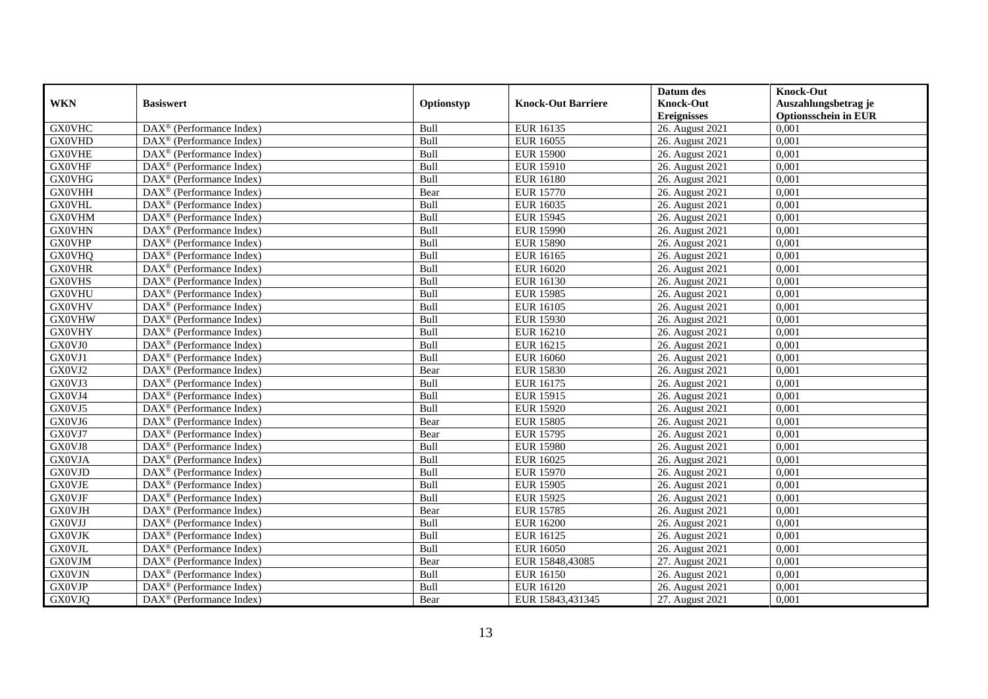|               |                                                              |            |                           | Datum des          | <b>Knock-Out</b>            |
|---------------|--------------------------------------------------------------|------------|---------------------------|--------------------|-----------------------------|
| <b>WKN</b>    | <b>Basiswert</b>                                             | Optionstyp | <b>Knock-Out Barriere</b> | <b>Knock-Out</b>   | Auszahlungsbetrag je        |
|               |                                                              |            |                           | <b>Ereignisses</b> | <b>Optionsschein in EUR</b> |
| <b>GX0VHC</b> | $\overline{\text{DAX}}^{\textcircled{}}$ (Performance Index) | Bull       | <b>EUR 16135</b>          | 26. August 2021    | 0,001                       |
| <b>GX0VHD</b> | $DAX^{\circledR}$ (Performance Index)                        | Bull       | <b>EUR 16055</b>          | 26. August 2021    | 0,001                       |
| <b>GX0VHE</b> | DAX <sup>®</sup> (Performance Index)                         | Bull       | <b>EUR 15900</b>          | 26. August 2021    | 0,001                       |
| <b>GX0VHF</b> | $\text{DAX}^{\otimes}$ (Performance Index)                   | Bull       | <b>EUR 15910</b>          | 26. August 2021    | 0,001                       |
| <b>GX0VHG</b> | DAX <sup>®</sup> (Performance Index)                         | Bull       | <b>EUR 16180</b>          | 26. August 2021    | 0,001                       |
| <b>GX0VHH</b> | $\text{DAX}^{\circledast}$ (Performance Index)               | Bear       | <b>EUR 15770</b>          | 26. August 2021    | 0,001                       |
| <b>GX0VHL</b> | $\text{DAX}^{\textcircled{n}}$ (Performance Index)           | Bull       | EUR 16035                 | 26. August 2021    | 0,001                       |
| <b>GX0VHM</b> | $\text{DAX}^{\textcircled{}}$ (Performance Index)            | Bull       | <b>EUR 15945</b>          | 26. August 2021    | 0,001                       |
| <b>GX0VHN</b> | $\text{DAX}^{\textcircled{D}}$ (Performance Index)           | Bull       | <b>EUR 15990</b>          | 26. August 2021    | 0,001                       |
| <b>GX0VHP</b> | $DAX^{\otimes}$ (Performance Index)                          | Bull       | <b>EUR 15890</b>          | 26. August 2021    | 0,001                       |
| <b>GX0VHQ</b> | DAX <sup>®</sup> (Performance Index)                         | Bull       | <b>EUR 16165</b>          | 26. August 2021    | 0,001                       |
| <b>GX0VHR</b> | $\overline{\text{DAX}^{\otimes}}$ (Performance Index)        | Bull       | <b>EUR 16020</b>          | 26. August 2021    | 0,001                       |
| <b>GX0VHS</b> | $\text{DAX}^{\textcircled{n}}$ (Performance Index)           | Bull       | <b>EUR 16130</b>          | 26. August 2021    | 0,001                       |
| <b>GX0VHU</b> | DAX <sup>®</sup> (Performance Index)                         | Bull       | <b>EUR 15985</b>          | 26. August 2021    | 0,001                       |
| <b>GX0VHV</b> | DAX <sup>®</sup> (Performance Index)                         | Bull       | <b>EUR 16105</b>          | 26. August 2021    | 0,001                       |
| <b>GX0VHW</b> | DAX <sup>®</sup> (Performance Index)                         | Bull       | <b>EUR 15930</b>          | 26. August 2021    | 0,001                       |
| <b>GX0VHY</b> | DAX <sup>®</sup> (Performance Index)                         | Bull       | <b>EUR 16210</b>          | 26. August 2021    | 0,001                       |
| GX0VJ0        | $\overline{\text{DAX}}^{\textcirc}$ (Performance Index)      | Bull       | EUR 16215                 | 26. August 2021    | 0,001                       |
| GX0VJ1        | DAX <sup>®</sup> (Performance Index)                         | Bull       | <b>EUR 16060</b>          | 26. August 2021    | 0,001                       |
| GX0VJ2        | DAX <sup>®</sup> (Performance Index)                         | Bear       | <b>EUR 15830</b>          | 26. August 2021    | 0,001                       |
| GX0VJ3        | DAX <sup>®</sup> (Performance Index)                         | Bull       | <b>EUR 16175</b>          | 26. August 2021    | 0,001                       |
| GX0VJ4        | $\overline{\text{DAX}^{\otimes}}$ (Performance Index)        | Bull       | <b>EUR 15915</b>          | 26. August 2021    | 0,001                       |
| GX0VJ5        | $\text{DAX}^{\circledast}$ (Performance Index)               | Bull       | <b>EUR 15920</b>          | 26. August 2021    | 0,001                       |
| GX0VJ6        | DAX <sup>®</sup> (Performance Index)                         | Bear       | <b>EUR 15805</b>          | 26. August 2021    | 0,001                       |
| GX0VJ7        | DAX <sup>®</sup> (Performance Index)                         | Bear       | <b>EUR 15795</b>          | 26. August 2021    | 0,001                       |
| GX0VJ8        | $\text{DAX}^{\otimes}$ (Performance Index)                   | Bull       | <b>EUR 15980</b>          | 26. August 2021    | 0,001                       |
| <b>GX0VJA</b> | $\text{DAX}^{\circledast}$ (Performance Index)               | Bull       | <b>EUR 16025</b>          | 26. August 2021    | 0,001                       |
| <b>GX0VJD</b> | $\text{DAX}^{\textcircled{D}}$ (Performance Index)           | Bull       | <b>EUR 15970</b>          | 26. August 2021    | 0.001                       |
| <b>GX0VJE</b> | $\text{DAX}^{\textcircled{D}}$ (Performance Index)           | Bull       | <b>EUR 15905</b>          | 26. August 2021    | 0,001                       |
| <b>GX0VJF</b> | $DAX^{\otimes}$ (Performance Index)                          | Bull       | <b>EUR 15925</b>          | 26. August 2021    | 0,001                       |
| <b>GX0VJH</b> | DAX <sup>®</sup> (Performance Index)                         | Bear       | <b>EUR 15785</b>          | 26. August 2021    | 0,001                       |
| <b>GX0VJJ</b> | DAX <sup>®</sup> (Performance Index)                         | Bull       | <b>EUR 16200</b>          | 26. August 2021    | 0.001                       |
| <b>GX0VJK</b> | $\overline{\text{DAX}^{\otimes}}$ (Performance Index)        | Bull       | <b>EUR 16125</b>          | 26. August 2021    | 0,001                       |
| <b>GX0VJL</b> | DAX <sup>®</sup> (Performance Index)                         | Bull       | <b>EUR 16050</b>          | 26. August 2021    | 0,001                       |
| <b>GX0VJM</b> | $\text{DAX}^{\textcircled{n}}$ (Performance Index)           | Bear       | EUR 15848,43085           | 27. August 2021    | 0,001                       |
| <b>GX0VJN</b> | $\text{DAX}^{\textcircled{n}}$ (Performance Index)           | Bull       | <b>EUR 16150</b>          | 26. August 2021    | 0,001                       |
| <b>GX0VJP</b> | $\text{DAX}^{\otimes}$ (Performance Index)                   | Bull       | <b>EUR 16120</b>          | 26. August 2021    | 0,001                       |
| <b>GX0VJQ</b> | $\overline{\text{DAX}}^{\textcirc}$ (Performance Index)      | Bear       | EUR 15843,431345          | 27. August 2021    | 0,001                       |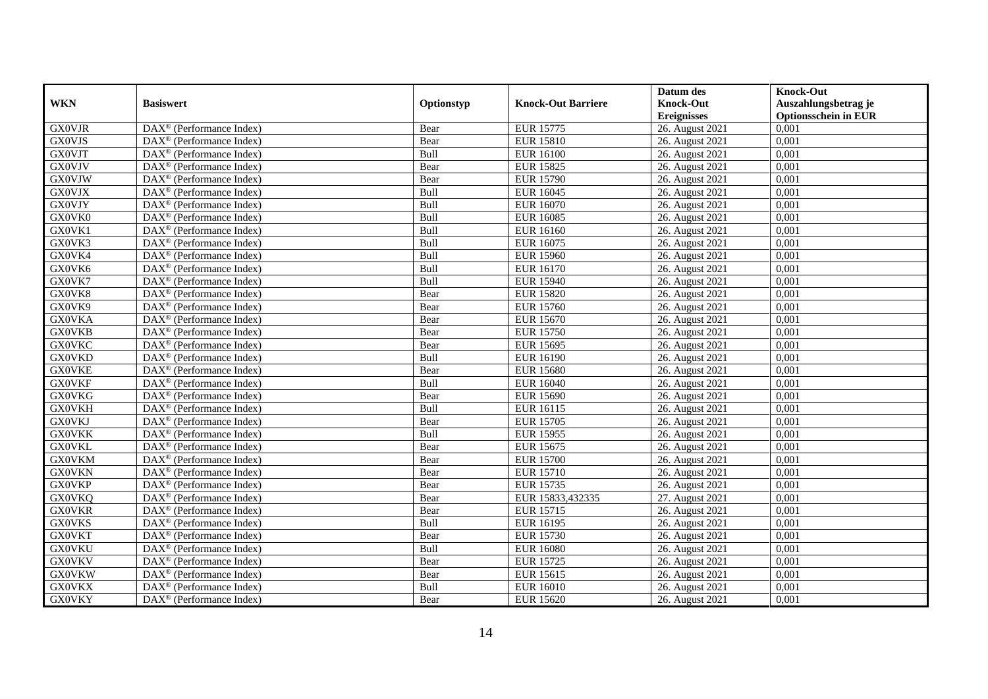|               |                                                              |            |                           | Datum des          | <b>Knock-Out</b>            |
|---------------|--------------------------------------------------------------|------------|---------------------------|--------------------|-----------------------------|
| <b>WKN</b>    | <b>Basiswert</b>                                             | Optionstyp | <b>Knock-Out Barriere</b> | <b>Knock-Out</b>   | Auszahlungsbetrag je        |
|               |                                                              |            |                           | <b>Ereignisses</b> | <b>Optionsschein in EUR</b> |
| <b>GX0VJR</b> | DAX <sup>®</sup> (Performance Index)                         | Bear       | <b>EUR 15775</b>          | 26. August 2021    | 0,001                       |
| <b>GX0VJS</b> | $\text{DAX}^{\circledast}$ (Performance Index)               | Bear       | <b>EUR 15810</b>          | 26. August 2021    | 0,001                       |
| <b>GX0VJT</b> | $DAX^{\circledR}$ (Performance Index)                        | Bull       | <b>EUR 16100</b>          | 26. August 2021    | 0,001                       |
| <b>GX0VJV</b> | DAX <sup>®</sup> (Performance Index)                         | Bear       | <b>EUR 15825</b>          | 26. August 2021    | 0,001                       |
| <b>GX0VJW</b> | $\overline{\text{DAX}}^{\textcircled{}}$ (Performance Index) | Bear       | <b>EUR 15790</b>          | 26. August 2021    | 0,001                       |
| <b>GX0VJX</b> | $\text{DAX}^{\textcircled{D}}$ (Performance Index)           | Bull       | <b>EUR 16045</b>          | 26. August 2021    | 0,001                       |
| <b>GX0VJY</b> | $\overline{\text{DAX}}^{\textcirc}$ (Performance Index)      | Bull       | EUR 16070                 | 26. August 2021    | 0,001                       |
| GX0VK0        | $\text{DAX}^{\textcircled{n}}$ (Performance Index)           | Bull       | <b>EUR 16085</b>          | 26. August 2021    | 0,001                       |
| GX0VK1        | $\text{DAX}^{\circledast}$ (Performance Index)               | Bull       | EUR 16160                 | 26. August 2021    | 0,001                       |
| GX0VK3        | DAX <sup>®</sup> (Performance Index)                         | Bull       | <b>EUR 16075</b>          | 26. August 2021    | 0.001                       |
| GX0VK4        | $\overline{\text{DAX}^{\otimes}}$ (Performance Index)        | Bull       | <b>EUR 15960</b>          | 26. August 2021    | 0,001                       |
| GX0VK6        | $\overline{\text{DAX}^{\otimes}}$ (Performance Index)        | Bull       | <b>EUR 16170</b>          | 26. August 2021    | 0,001                       |
| GX0VK7        | $\text{DAX}^{\textcircled{n}}$ (Performance Index)           | Bull       | <b>EUR 15940</b>          | 26. August 2021    | 0,001                       |
| GX0VK8        | DAX <sup>®</sup> (Performance Index)                         | Bear       | <b>EUR 15820</b>          | 26. August 2021    | 0.001                       |
| GX0VK9        | $\overline{\text{DAX}^{\otimes}}$ (Performance Index)        | Bear       | <b>EUR 15760</b>          | 26. August 2021    | 0,001                       |
| <b>GX0VKA</b> | DAX <sup>®</sup> (Performance Index)                         | Bear       | <b>EUR 15670</b>          | 26. August 2021    | 0,001                       |
| <b>GX0VKB</b> | DAX <sup>®</sup> (Performance Index)                         | Bear       | <b>EUR 15750</b>          | 26. August 2021    | 0,001                       |
| <b>GX0VKC</b> | DAX <sup>®</sup> (Performance Index)                         | Bear       | <b>EUR 15695</b>          | 26. August 2021    | 0,001                       |
| <b>GX0VKD</b> | DAX <sup>®</sup> (Performance Index)                         | Bull       | <b>EUR 16190</b>          | 26. August 2021    | 0,001                       |
| <b>GX0VKE</b> | $\text{DAX}^{\circledast}$ (Performance Index)               | Bear       | <b>EUR 15680</b>          | 26. August 2021    | 0,001                       |
| <b>GX0VKF</b> | DAX <sup>®</sup> (Performance Index)                         | Bull       | <b>EUR 16040</b>          | 26. August 2021    | 0,001                       |
| <b>GX0VKG</b> | $DAX^{\circledR}$ (Performance Index)                        | Bear       | <b>EUR 15690</b>          | 26. August 2021    | 0,001                       |
| <b>GX0VKH</b> | $\text{DAX}^{\textcircled{p}}$ (Performance Index)           | Bull       | EUR 16115                 | 26. August 2021    | 0,001                       |
| <b>GX0VKJ</b> | $\text{DAX}^{\textcircled{p}}$ (Performance Index)           | Bear       | <b>EUR 15705</b>          | 26. August 2021    | 0,001                       |
| <b>GX0VKK</b> | $DAX^{\circledR}$ (Performance Index)                        | Bull       | <b>EUR 15955</b>          | 26. August 2021    | 0,001                       |
| <b>GX0VKL</b> | $\text{DAX}^{\circledast}$ (Performance Index)               | Bear       | <b>EUR 15675</b>          | 26. August 2021    | 0,001                       |
| <b>GX0VKM</b> | DAX <sup>®</sup> (Performance Index)                         | Bear       | <b>EUR 15700</b>          | 26. August 2021    | 0,001                       |
| <b>GX0VKN</b> | DAX <sup>®</sup> (Performance Index)                         | Bear       | <b>EUR 15710</b>          | 26. August 2021    | 0,001                       |
| <b>GX0VKP</b> | $\text{DAX}^{\otimes}$ (Performance Index)                   | Bear       | <b>EUR 15735</b>          | 26. August 2021    | 0,001                       |
| <b>GX0VKQ</b> | $\text{DAX}^{\textcircled{n}}$ (Performance Index)           | Bear       | EUR 15833,432335          | 27. August 2021    | 0,001                       |
| <b>GX0VKR</b> | DAX <sup>®</sup> (Performance Index)                         | Bear       | <b>EUR 15715</b>          | 26. August 2021    | 0,001                       |
| <b>GX0VKS</b> | DAX <sup>®</sup> (Performance Index)                         | Bull       | <b>EUR 16195</b>          | 26. August 2021    | 0,001                       |
| <b>GX0VKT</b> | DAX <sup>®</sup> (Performance Index)                         | Bear       | <b>EUR 15730</b>          | 26. August 2021    | 0,001                       |
| <b>GX0VKU</b> | $\overline{\text{DAX}}^{\textcirc}$ (Performance Index)      | Bull       | <b>EUR 16080</b>          | 26. August 2021    | 0,001                       |
| <b>GX0VKV</b> | $\text{DAX}^{\otimes}$ (Performance Index)                   | Bear       | <b>EUR 15725</b>          | 26. August 2021    | 0,001                       |
| <b>GX0VKW</b> | $\text{DAX}^{\circledast}$ (Performance Index)               | Bear       | <b>EUR 15615</b>          | 26. August 2021    | 0,001                       |
| <b>GX0VKX</b> | $\text{DAX}^{\otimes}$ (Performance Index)                   | Bull       | <b>EUR 16010</b>          | 26. August 2021    | 0,001                       |
| <b>GX0VKY</b> | $\overline{\text{DAX}}^{\textcirc}$ (Performance Index)      | Bear       | <b>EUR 15620</b>          | 26. August 2021    | 0,001                       |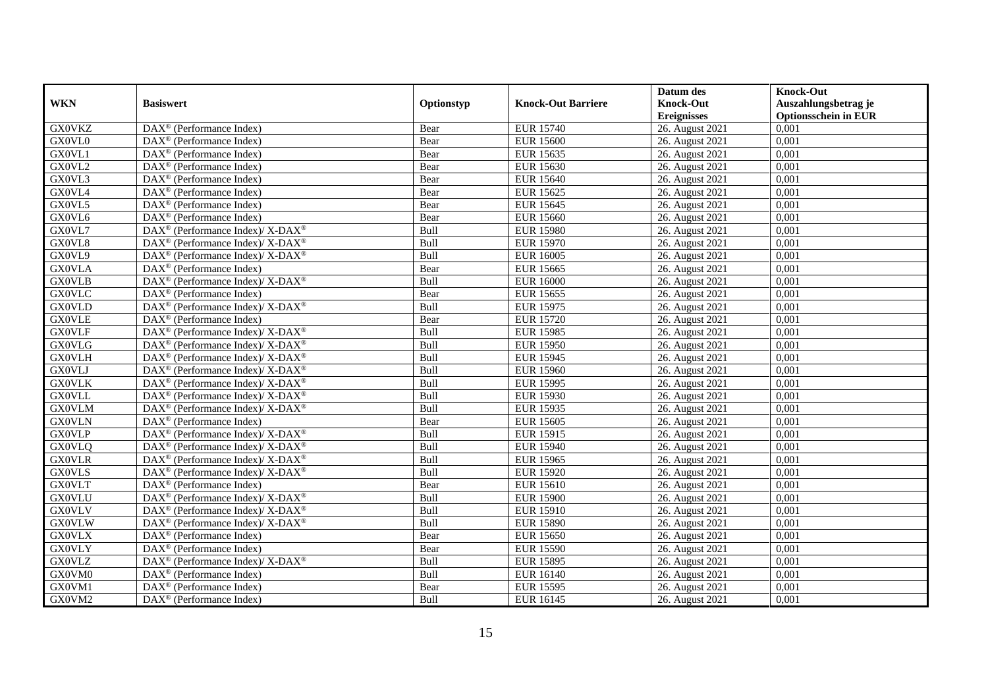|               |                                                                               |            |                           | Datum des          | <b>Knock-Out</b>            |
|---------------|-------------------------------------------------------------------------------|------------|---------------------------|--------------------|-----------------------------|
| <b>WKN</b>    | <b>Basiswert</b>                                                              | Optionstyp | <b>Knock-Out Barriere</b> | <b>Knock-Out</b>   | Auszahlungsbetrag je        |
|               |                                                                               |            |                           | <b>Ereignisses</b> | <b>Optionsschein in EUR</b> |
| <b>GX0VKZ</b> | DAX <sup>®</sup> (Performance Index)                                          | Bear       | <b>EUR 15740</b>          | 26. August 2021    | 0,001                       |
| GX0VL0        | $DAX^{\circledR}$ (Performance Index)                                         | Bear       | <b>EUR 15600</b>          | 26. August 2021    | 0,001                       |
| GX0VL1        | DAX <sup>®</sup> (Performance Index)                                          | Bear       | <b>EUR 15635</b>          | 26. August 2021    | 0,001                       |
| GX0VL2        | $\text{DAX}^{\otimes}$ (Performance Index)                                    | Bear       | <b>EUR 15630</b>          | 26. August 2021    | 0,001                       |
| GX0VL3        | DAX <sup>®</sup> (Performance Index)                                          | Bear       | <b>EUR 15640</b>          | 26. August 2021    | 0,001                       |
| GX0VL4        | $\text{DAX}^{\textcircled{n}}$ (Performance Index)                            | Bear       | <b>EUR 15625</b>          | 26. August 2021    | 0,001                       |
| GX0VL5        | $\text{DAX}^{\textcircled{n}}$ (Performance Index)                            | Bear       | <b>EUR 15645</b>          | 26. August 2021    | 0,001                       |
| GX0VL6        | $\text{DAX}^{\textcircled{}}$ (Performance Index)                             | Bear       | <b>EUR 15660</b>          | 26. August 2021    | 0,001                       |
| GX0VL7        | $\text{DAX}^{\circledR}$ (Performance Index)/ X-DAX <sup>®</sup>              | Bull       | <b>EUR 15980</b>          | 26. August 2021    | 0,001                       |
| GX0VL8        | $DAX^{\circledcirc}$ (Performance Index)/X-DAX <sup>®</sup>                   | Bull       | <b>EUR 15970</b>          | 26. August 2021    | 0,001                       |
| GX0VL9        | DAX <sup>®</sup> (Performance Index)/ X-DAX <sup>®</sup>                      | Bull       | <b>EUR 16005</b>          | 26. August 2021    | 0,001                       |
| <b>GX0VLA</b> | $\overline{\text{DAX}^{\otimes}}$ (Performance Index)                         | Bear       | <b>EUR 15665</b>          | 26. August 2021    | 0,001                       |
| <b>GX0VLB</b> | DAX <sup>®</sup> (Performance Index)/ X-DAX <sup>®</sup>                      | Bull       | <b>EUR 16000</b>          | 26. August 2021    | 0,001                       |
| <b>GX0VLC</b> | $\text{DAX}^{\circledast}$ (Performance Index)                                | Bear       | <b>EUR 15655</b>          | 26. August 2021    | 0,001                       |
| <b>GX0VLD</b> | DAX <sup>®</sup> (Performance Index)/X-DAX <sup>®</sup>                       | Bull       | <b>EUR 15975</b>          | 26. August 2021    | 0,001                       |
| <b>GX0VLE</b> | DAX <sup>®</sup> (Performance Index)                                          | Bear       | <b>EUR 15720</b>          | 26. August 2021    | 0,001                       |
| <b>GX0VLF</b> | DAX <sup>®</sup> (Performance Index)/X-DAX <sup>®</sup>                       | Bull       | <b>EUR 15985</b>          | 26. August 2021    | 0,001                       |
| <b>GX0VLG</b> | $DAX^{\circledcirc}$ (Performance Index)/X-DAX <sup>®</sup>                   | Bull       | <b>EUR 15950</b>          | 26. August 2021    | 0,001                       |
| <b>GX0VLH</b> | $\text{DAX}^{\circledast}$ (Performance Index)/ X-DAX <sup>®</sup>            | Bull       | <b>EUR 15945</b>          | 26. August 2021    | 0,001                       |
| <b>GX0VLJ</b> | $\text{DAX}^{\circledast}$ (Performance Index)/ X-DAX <sup>®</sup>            | Bull       | <b>EUR 15960</b>          | 26. August 2021    | 0,001                       |
| <b>GX0VLK</b> | DAX <sup>®</sup> (Performance Index)/ X-DAX <sup>®</sup>                      | Bull       | <b>EUR 15995</b>          | 26. August 2021    | 0,001                       |
| <b>GX0VLL</b> | DAX <sup>®</sup> (Performance Index)/ X-DAX <sup>®</sup>                      | Bull       | <b>EUR 15930</b>          | 26. August 2021    | 0,001                       |
| <b>GX0VLM</b> | $\text{DAX}^{\circledast}$ (Performance Index)/ X-DAX <sup>®</sup>            | Bull       | <b>EUR 15935</b>          | 26. August 2021    | 0,001                       |
| <b>GX0VLN</b> | DAX <sup>®</sup> (Performance Index)                                          | Bear       | <b>EUR 15605</b>          | 26. August 2021    | 0,001                       |
| <b>GX0VLP</b> | $\text{DAX}^{\otimes}$ (Performance Index)/X-DAX <sup>®</sup>                 | Bull       | <b>EUR 15915</b>          | 26. August 2021    | 0,001                       |
| <b>GX0VLQ</b> | DAX <sup>®</sup> (Performance Index)/ X-DAX <sup>®</sup>                      | Bull       | <b>EUR 15940</b>          | 26. August 2021    | 0,001                       |
| <b>GX0VLR</b> | $\text{DAX}^{\circledast}$ (Performance Index)/ X-DAX <sup>®</sup>            | Bull       | <b>EUR 15965</b>          | 26. August 2021    | 0,001                       |
| <b>GX0VLS</b> | $DAX^{\circledcirc}$ (Performance Index)/X-DAX <sup>®</sup>                   | Bull       | <b>EUR 15920</b>          | 26. August 2021    | 0.001                       |
| <b>GX0VLT</b> | $\text{DAX}^{\textcircled{D}}$ (Performance Index)                            | Bear       | <b>EUR 15610</b>          | 26. August 2021    | 0,001                       |
| <b>GX0VLU</b> | $DAX^{\circledast}$ (Performance Index)/ $X$ - $\overline{DAX^{\circledast}}$ | Bull       | <b>EUR 15900</b>          | 26. August 2021    | 0,001                       |
| <b>GX0VLV</b> | DAX <sup>®</sup> (Performance Index)/X-DAX <sup>®</sup>                       | Bull       | <b>EUR 15910</b>          | 26. August 2021    | 0,001                       |
| <b>GX0VLW</b> | $DAX^{\circledast}$ (Performance Index)/X-DAX <sup>®</sup>                    | Bull       | <b>EUR 15890</b>          | 26. August 2021    | 0.001                       |
| <b>GX0VLX</b> | $\overline{\text{DAX}^{\otimes}}$ (Performance Index)                         | Bear       | <b>EUR 15650</b>          | 26. August 2021    | 0,001                       |
| <b>GX0VLY</b> | DAX <sup>®</sup> (Performance Index)                                          | Bear       | <b>EUR 15590</b>          | 26. August 2021    | 0,001                       |
| <b>GX0VLZ</b> | $\text{DAX}^{\circledast}$ (Performance Index)/ X-DAX <sup>®</sup>            | Bull       | <b>EUR 15895</b>          | 26. August 2021    | 0,001                       |
| GX0VM0        | $\text{DAX}^{\circledast}$ (Performance Index)                                | Bull       | <b>EUR 16140</b>          | 26. August 2021    | 0,001                       |
| GX0VM1        | $\text{DAX}^{\otimes}$ (Performance Index)                                    | Bear       | <b>EUR 15595</b>          | 26. August 2021    | 0,001                       |
| GX0VM2        | $\text{DAX}^{\textcircled{n}}$ (Performance Index)                            | Bull       | <b>EUR 16145</b>          | 26. August 2021    | 0,001                       |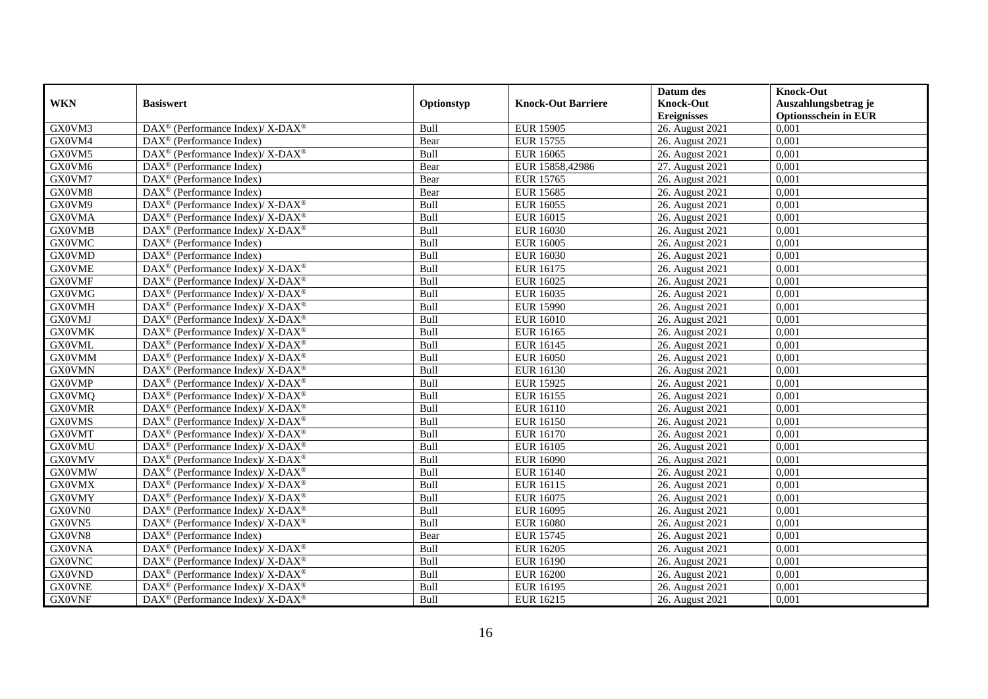|               |                                                                    |            |                           | Datum des          | <b>Knock-Out</b>            |
|---------------|--------------------------------------------------------------------|------------|---------------------------|--------------------|-----------------------------|
| <b>WKN</b>    | <b>Basiswert</b>                                                   | Optionstyp | <b>Knock-Out Barriere</b> | <b>Knock-Out</b>   | Auszahlungsbetrag je        |
|               |                                                                    |            |                           | <b>Ereignisses</b> | <b>Optionsschein in EUR</b> |
| GX0VM3        | DAX <sup>®</sup> (Performance Index)/ X-DAX <sup>®</sup>           | Bull       | <b>EUR 15905</b>          | 26. August 2021    | 0,001                       |
| GX0VM4        | $DAX^{\circledR}$ (Performance Index)                              | Bear       | <b>EUR 15755</b>          | 26. August 2021    | 0,001                       |
| GX0VM5        | $\text{DAX}^{\circledast}$ (Performance Index)/ X-DAX <sup>®</sup> | Bull       | <b>EUR 16065</b>          | 26. August 2021    | 0,001                       |
| GX0VM6        | $\text{DAX}^{\otimes}$ (Performance Index)                         | Bear       | EUR 15858,42986           | 27. August 2021    | 0,001                       |
| GX0VM7        | DAX <sup>®</sup> (Performance Index)                               | Bear       | <b>EUR 15765</b>          | 26. August 2021    | 0,001                       |
| GX0VM8        | DAX <sup>®</sup> (Performance Index)                               | Bear       | <b>EUR 15685</b>          | 26. August 2021    | 0,001                       |
| GX0VM9        | $\text{DAX}^{\circledast}$ (Performance Index)/ X-DAX <sup>®</sup> | Bull       | EUR 16055                 | 26. August 2021    | 0,001                       |
| <b>GX0VMA</b> | DAX <sup>®</sup> (Performance Index)/X-DAX <sup>®</sup>            | Bull       | EUR 16015                 | 26. August 2021    | 0,001                       |
| <b>GX0VMB</b> | DAX <sup>®</sup> (Performance Index)/ X-DAX <sup>®</sup>           | Bull       | <b>EUR 16030</b>          | 26. August 2021    | 0,001                       |
| <b>GX0VMC</b> | $\text{DAX}^{\circledR}$ (Performance Index)                       | Bull       | <b>EUR 16005</b>          | 26. August 2021    | 0,001                       |
| <b>GX0VMD</b> | DAX <sup>®</sup> (Performance Index)                               | Bull       | <b>EUR 16030</b>          | 26. August 2021    | 0,001                       |
| <b>GX0VME</b> | $\text{DAX}^{\circledR}$ (Performance Index)/ X-DAX <sup>®</sup>   | Bull       | EUR 16175                 | 26. August 2021    | 0,001                       |
| <b>GX0VMF</b> | $\text{DAX}^{\circledast}$ (Performance Index)/ X-DAX <sup>®</sup> | Bull       | EUR 16025                 | 26. August 2021    | 0,001                       |
| <b>GX0VMG</b> | $\text{DAX}^{\circledast}$ (Performance Index)/ X-DAX <sup>®</sup> | Bull       | <b>EUR 16035</b>          | 26. August 2021    | 0,001                       |
| <b>GX0VMH</b> | DAX <sup>®</sup> (Performance Index)/ X-DAX <sup>®</sup>           | Bull       | <b>EUR 15990</b>          | 26. August 2021    | 0,001                       |
| <b>GX0VMJ</b> | DAX <sup>®</sup> (Performance Index)/ X-DAX <sup>®</sup>           | Bull       | <b>EUR 16010</b>          | 26. August 2021    | 0,001                       |
| <b>GX0VMK</b> | DAX <sup>®</sup> (Performance Index)/ X-DAX <sup>®</sup>           | Bull       | EUR 16165                 | 26. August 2021    | 0,001                       |
| <b>GX0VML</b> | $DAX^{\circledcirc}$ (Performance Index)/X-DAX <sup>®</sup>        | Bull       | EUR 16145                 | 26. August 2021    | 0,001                       |
| <b>GX0VMM</b> | $\text{DAX}^{\circledast}$ (Performance Index)/ X-DAX <sup>®</sup> | Bull       | <b>EUR 16050</b>          | 26. August 2021    | 0,001                       |
| <b>GX0VMN</b> | $\text{DAX}^{\circledast}$ (Performance Index)/ X-DAX <sup>®</sup> | Bull       | <b>EUR 16130</b>          | 26. August 2021    | 0,001                       |
| <b>GX0VMP</b> | DAX <sup>®</sup> (Performance Index)/ X-DAX <sup>®</sup>           | Bull       | <b>EUR 15925</b>          | 26. August 2021    | 0,001                       |
| <b>GX0VMQ</b> | $\text{DAX}^{\circledast}$ (Performance Index)/ X-DAX <sup>®</sup> | Bull       | <b>EUR 16155</b>          | 26. August 2021    | 0,001                       |
| <b>GX0VMR</b> | $\text{DAX}^{\circledast}$ (Performance Index)/ X-DAX <sup>®</sup> | Bull       | EUR 16110                 | 26. August 2021    | 0,001                       |
| <b>GX0VMS</b> | $\text{DAX}^{\circledR}$ (Performance Index)/ X-DAX <sup>®</sup>   | Bull       | <b>EUR 16150</b>          | 26. August 2021    | 0,001                       |
| <b>GX0VMT</b> | $\text{DAX}^{\circledast}$ (Performance Index)/ X-DAX <sup>®</sup> | Bull       | <b>EUR 16170</b>          | 26. August 2021    | 0,001                       |
| <b>GX0VMU</b> | DAX <sup>®</sup> (Performance Index)/ X-DAX <sup>®</sup>           | Bull       | <b>EUR 16105</b>          | 26. August 2021    | 0,001                       |
| <b>GX0VMV</b> | $\text{DAX}^{\circledast}$ (Performance Index)/ X-DAX <sup>®</sup> | Bull       | <b>EUR 16090</b>          | 26. August 2021    | 0,001                       |
| <b>GX0VMW</b> | $DAX^{\circledcirc}$ (Performance Index)/X-DAX <sup>®</sup>        | Bull       | <b>EUR 16140</b>          | 26. August 2021    | 0.001                       |
| <b>GX0VMX</b> | $DAX^{\circledcirc}$ (Performance Index)/ X-DAX <sup>®</sup>       | Bull       | EUR 16115                 | 26. August 2021    | 0,001                       |
| <b>GX0VMY</b> | $DAX^{\circledcirc}$ (Performance Index)/ X-DAX <sup>®</sup>       | Bull       | EUR 16075                 | 26. August 2021    | 0,001                       |
| GX0VN0        | DAX <sup>®</sup> (Performance Index)/X-DAX <sup>®</sup>            | Bull       | EUR 16095                 | 26. August 2021    | 0,001                       |
| GX0VN5        | $DAX^{\circledast}$ (Performance Index)/X-DAX <sup>®</sup>         | Bull       | <b>EUR 16080</b>          | 26. August 2021    | 0.001                       |
| GX0VN8        | $\overline{\text{DAX}^{\otimes}}$ (Performance Index)              | Bear       | <b>EUR 15745</b>          | 26. August 2021    | 0,001                       |
| <b>GX0VNA</b> | $\text{DAX}^{\circledR}$ (Performance Index)/ X-DAX <sup>®</sup>   | Bull       | <b>EUR 16205</b>          | 26. August 2021    | 0,001                       |
| <b>GX0VNC</b> | $\text{DAX}^{\circledast}$ (Performance Index)/ X-DAX <sup>®</sup> | Bull       | <b>EUR 16190</b>          | 26. August 2021    | 0,001                       |
| <b>GX0VND</b> | DAX <sup>®</sup> (Performance Index)/ X-DAX <sup>®</sup>           | Bull       | <b>EUR 16200</b>          | 26. August 2021    | 0,001                       |
| <b>GX0VNE</b> | DAX <sup>®</sup> (Performance Index)/ X-DAX <sup>®</sup>           | Bull       | <b>EUR 16195</b>          | 26. August 2021    | 0,001                       |
| <b>GX0VNF</b> | $\text{DAX}^{\circledast}$ (Performance Index)/ X-DAX <sup>®</sup> | Bull       | EUR 16215                 | 26. August 2021    | 0,001                       |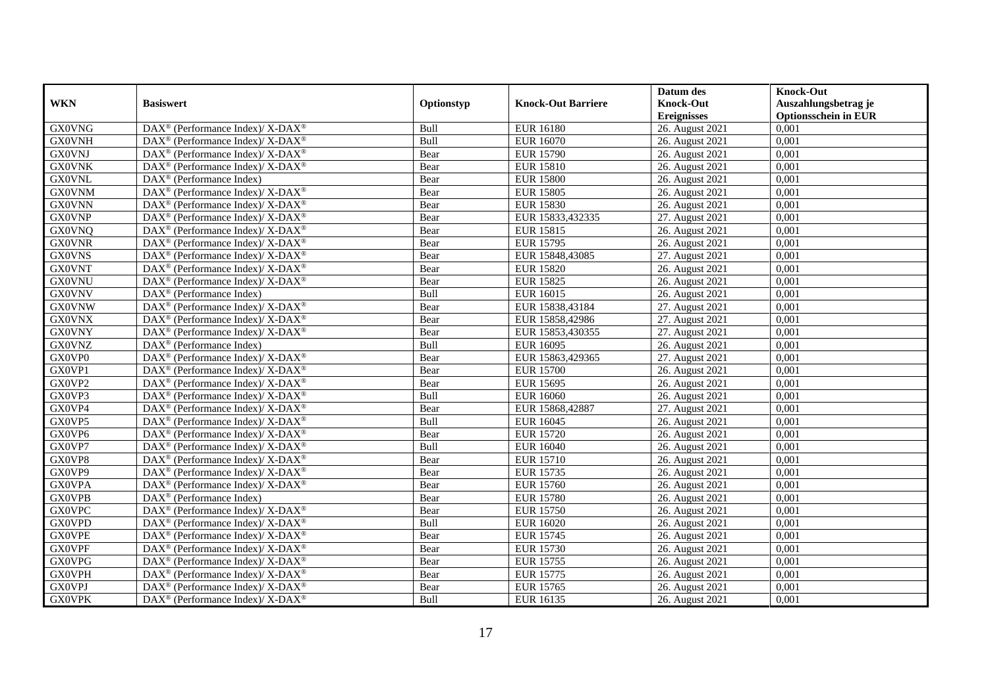|               |                                                                          |             |                           | Datum des          | <b>Knock-Out</b>            |
|---------------|--------------------------------------------------------------------------|-------------|---------------------------|--------------------|-----------------------------|
| <b>WKN</b>    | <b>Basiswert</b>                                                         | Optionstyp  | <b>Knock-Out Barriere</b> | <b>Knock-Out</b>   | Auszahlungsbetrag je        |
|               |                                                                          |             |                           | <b>Ereignisses</b> | <b>Optionsschein in EUR</b> |
| <b>GX0VNG</b> | DAX <sup>®</sup> (Performance Index)/ X-DAX <sup>®</sup>                 | Bull        | <b>EUR 16180</b>          | 26. August 2021    | 0,001                       |
| <b>GX0VNH</b> | DAX <sup>®</sup> (Performance Index)/ X-DAX <sup>®</sup>                 | Bull        | <b>EUR 16070</b>          | 26. August 2021    | 0,001                       |
| <b>GX0VNJ</b> | $DAX^{\circledast}$ (Performance Index)/ X-DAX <sup>®</sup>              | Bear        | <b>EUR 15790</b>          | 26. August 2021    | 0,001                       |
| <b>GX0VNK</b> | DAX <sup>®</sup> (Performance Index)/X-DAX <sup>®</sup>                  | Bear        | <b>EUR 15810</b>          | 26. August 2021    | 0,001                       |
| <b>GX0VNL</b> | DAX <sup>®</sup> (Performance Index)                                     | Bear        | <b>EUR 15800</b>          | 26. August 2021    | 0,001                       |
| <b>GX0VNM</b> | DAX <sup>®</sup> (Performance Index)/ X-DAX <sup>®</sup>                 | Bear        | <b>EUR 15805</b>          | 26. August 2021    | 0,001                       |
| <b>GX0VNN</b> | $\text{DAX}^{\circledR}$ (Performance Index)/ X-DAX <sup>®</sup>         | Bear        | <b>EUR 15830</b>          | 26. August 2021    | 0,001                       |
| <b>GX0VNP</b> | $DAX^{\circledcirc}$ (Performance Index)/X-DAX <sup>®</sup>              | Bear        | EUR 15833,432335          | 27. August 2021    | 0,001                       |
| <b>GX0VNQ</b> | $DAX^{\circledast}$ (Performance Index)/ X-DAX <sup>®</sup>              | Bear        | <b>EUR 15815</b>          | 26. August 2021    | 0,001                       |
| <b>GX0VNR</b> | $\overline{\text{DAX}^{\otimes}}$ (Performance Index)/X-DAX <sup>®</sup> | Bear        | <b>EUR 15795</b>          | 26. August 2021    | 0,001                       |
| <b>GX0VNS</b> | $DAX^{\circledast}$ (Performance Index)/ X-DAX <sup>®</sup>              | Bear        | EUR 15848,43085           | 27. August 2021    | 0,001                       |
| <b>GX0VNT</b> | DAX <sup>®</sup> (Performance Index)/ X-DAX <sup>®</sup>                 | Bear        | <b>EUR 15820</b>          | 26. August 2021    | 0,001                       |
| <b>GX0VNU</b> | DAX <sup>®</sup> (Performance Index)/X-DAX <sup>®</sup>                  | Bear        | <b>EUR 15825</b>          | 26. August 2021    | 0,001                       |
| <b>GX0VNV</b> | $DAX^{\circledR}$ (Performance Index)                                    | Bull        | EUR 16015                 | 26. August 2021    | 0,001                       |
| <b>GX0VNW</b> | DAX <sup>®</sup> (Performance Index)/ X-DAX <sup>®</sup>                 | Bear        | EUR 15838,43184           | 27. August 2021    | 0,001                       |
| <b>GX0VNX</b> | $\text{DAX}^{\circledast}$ (Performance Index)/X-DAX <sup>®</sup>        | Bear        | EUR 15858,42986           | 27. August 2021    | 0,001                       |
| <b>GX0VNY</b> | DAX <sup>®</sup> (Performance Index)/X-DAX <sup>®</sup>                  | Bear        | EUR 15853,430355          | 27. August 2021    | 0,001                       |
| <b>GX0VNZ</b> | $DAX^{\circledcirc}$ (Performance Index)                                 | <b>Bull</b> | <b>EUR 16095</b>          | 26. August 2021    | 0.001                       |
| GX0VP0        | DAX <sup>®</sup> (Performance Index)/ X-DAX <sup>®</sup>                 | Bear        | EUR 15863,429365          | 27. August 2021    | 0,001                       |
| GX0VP1        | DAX <sup>®</sup> (Performance Index)/ X-DAX <sup>®</sup>                 | Bear        | <b>EUR 15700</b>          | 26. August 2021    | 0,001                       |
| GX0VP2        | DAX <sup>®</sup> (Performance Index)/X-DAX <sup>®</sup>                  | Bear        | <b>EUR 15695</b>          | 26. August 2021    | 0,001                       |
| GX0VP3        | $DAX^{\circledast}$ (Performance Index)/ X-DAX <sup>®</sup>              | Bull        | <b>EUR 16060</b>          | 26. August 2021    | 0,001                       |
| GX0VP4        | $\text{DAX}^{\circledR}$ (Performance Index)/ X-DAX <sup>®</sup>         | Bear        | EUR 15868,42887           | 27. August 2021    | 0,001                       |
| GX0VP5        | $DAX^{\circledast}$ (Performance Index)/ X-DAX <sup>®</sup>              | Bull        | <b>EUR 16045</b>          | 26. August 2021    | 0,001                       |
| GX0VP6        | DAX <sup>®</sup> (Performance Index)/ X-DAX <sup>®</sup>                 | Bear        | <b>EUR 15720</b>          | 26. August 2021    | 0,001                       |
| GX0VP7        | DAX <sup>®</sup> (Performance Index)/ X-DAX <sup>®</sup>                 | Bull        | <b>EUR 16040</b>          | 26. August 2021    | 0,001                       |
| GX0VP8        | $DAX^{\circledast}$ (Performance Index)/ X-DAX <sup>®</sup>              | Bear        | <b>EUR 15710</b>          | 26. August 2021    | 0,001                       |
| GX0VP9        | $DAX^{\circledcirc}$ (Performance Index)/ X-DAX <sup>®</sup>             | Bear        | <b>EUR 15735</b>          | 26. August 2021    | 0.001                       |
| <b>GX0VPA</b> | DAX <sup>®</sup> (Performance Index)/X-DAX <sup>®</sup>                  | Bear        | <b>EUR 15760</b>          | 26. August 2021    | 0,001                       |
| <b>GX0VPB</b> | $DAX^{\circledR}$ (Performance Index)                                    | Bear        | <b>EUR 15780</b>          | 26. August 2021    | 0,001                       |
| <b>GX0VPC</b> | DAX <sup>®</sup> (Performance Index)/ X-DAX <sup>®</sup>                 | Bear        | <b>EUR 15750</b>          | 26. August 2021    | 0,001                       |
| <b>GX0VPD</b> | DAX <sup>®</sup> (Performance Index)/X-DAX <sup>®</sup>                  | Bull        | <b>EUR 16020</b>          | 26. August 2021    | 0.001                       |
| <b>GX0VPE</b> | DAX <sup>®</sup> (Performance Index)/X-DAX <sup>®</sup>                  | Bear        | <b>EUR 15745</b>          | 26. August 2021    | 0,001                       |
| <b>GX0VPF</b> | DAX <sup>®</sup> (Performance Index)/X-DAX <sup>®</sup>                  | Bear        | <b>EUR 15730</b>          | 26. August 2021    | 0,001                       |
| <b>GX0VPG</b> | $DAX^{\circledast}$ (Performance Index)/ X-DAX <sup>®</sup>              | Bear        | <b>EUR 15755</b>          | 26. August 2021    | 0,001                       |
| <b>GX0VPH</b> | $DAX^{\circledast}$ (Performance Index)/ X-DAX <sup>®</sup>              | Bear        | <b>EUR 15775</b>          | 26. August 2021    | 0,001                       |
| <b>GX0VPJ</b> | DAX <sup>®</sup> (Performance Index)/ X-DAX <sup>®</sup>                 | Bear        | <b>EUR 15765</b>          | 26. August 2021    | 0,001                       |
| <b>GX0VPK</b> | $DAX^{\circledast}$ (Performance Index)/ X-DAX <sup>®</sup>              | Bull        | <b>EUR 16135</b>          | 26. August 2021    | 0,001                       |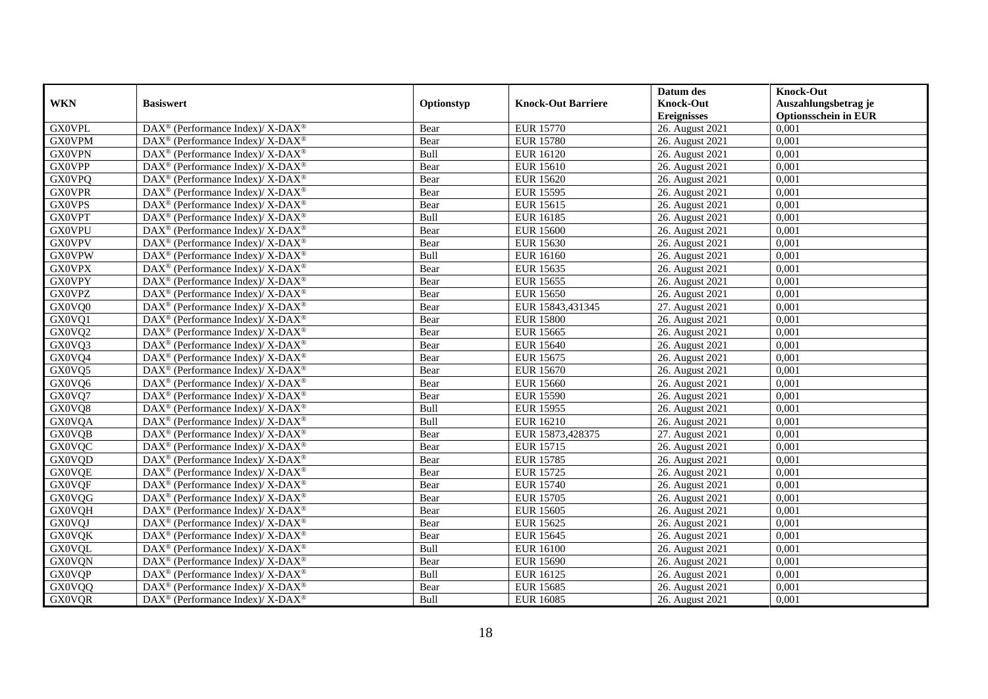|               |                                                                   |            |                           | Datum des          | <b>Knock-Out</b>            |
|---------------|-------------------------------------------------------------------|------------|---------------------------|--------------------|-----------------------------|
| <b>WKN</b>    | <b>Basiswert</b>                                                  | Optionstyp | <b>Knock-Out Barriere</b> | <b>Knock-Out</b>   | Auszahlungsbetrag je        |
|               |                                                                   |            |                           | <b>Ereignisses</b> | <b>Optionsschein in EUR</b> |
| <b>GX0VPL</b> | DAX <sup>®</sup> (Performance Index)/X-DAX <sup>®</sup>           | Bear       | <b>EUR 15770</b>          | 26. August 2021    | 0,001                       |
| <b>GX0VPM</b> | $DAX^{\circledast}$ (Performance Index)/ X-DAX <sup>®</sup>       | Bear       | <b>EUR 15780</b>          | 26. August 2021    | 0,001                       |
| <b>GX0VPN</b> | DAX <sup>®</sup> (Performance Index)/X-DAX <sup>®</sup>           | Bull       | <b>EUR 16120</b>          | 26. August 2021    | 0,001                       |
| <b>GX0VPP</b> | $DAX^{\circledast}$ (Performance Index)/ X-DAX <sup>®</sup>       | Bear       | <b>EUR 15610</b>          | 26. August 2021    | 0,001                       |
| <b>GX0VPQ</b> | $\text{DAX}^{\circledast}$ (Performance Index)/X-DAX <sup>®</sup> | Bear       | <b>EUR 15620</b>          | 26. August 2021    | 0,001                       |
| <b>GX0VPR</b> | DAX <sup>®</sup> (Performance Index)/ X-DAX <sup>®</sup>          | Bear       | <b>EUR 15595</b>          | 26. August 2021    | 0,001                       |
| <b>GX0VPS</b> | DAX <sup>®</sup> (Performance Index)/ X-DAX <sup>®</sup>          | Bear       | <b>EUR 15615</b>          | 26. August 2021    | 0,001                       |
| <b>GX0VPT</b> | $DAX^{\circledast}$ (Performance Index)/ X-DAX <sup>®</sup>       | Bull       | <b>EUR 16185</b>          | 26. August 2021    | 0,001                       |
| <b>GX0VPU</b> | $DAX^{\circledast}$ (Performance Index)/ X-DAX <sup>®</sup>       | Bear       | <b>EUR 15600</b>          | 26. August 2021    | 0,001                       |
| <b>GX0VPV</b> | DAX <sup>®</sup> (Performance Index)/ X-DAX <sup>®</sup>          | Bear       | <b>EUR 15630</b>          | 26. August 2021    | 0,001                       |
| <b>GX0VPW</b> | DAX <sup>®</sup> (Performance Index)/X-DAX <sup>®</sup>           | Bull       | EUR 16160                 | 26. August 2021    | 0,001                       |
| <b>GX0VPX</b> | DAX <sup>®</sup> (Performance Index)/ X-DAX <sup>®</sup>          | Bear       | <b>EUR 15635</b>          | 26. August 2021    | 0,001                       |
| <b>GX0VPY</b> | $DAX^{\circledast}$ (Performance Index)/ X-DAX <sup>®</sup>       | Bear       | <b>EUR 15655</b>          | 26. August 2021    | 0,001                       |
| <b>GX0VPZ</b> | DAX <sup>®</sup> (Performance Index)/X-DAX <sup>®</sup>           | Bear       | <b>EUR 15650</b>          | 26. August 2021    | 0,001                       |
| GX0VQ0        | DAX <sup>®</sup> (Performance Index)/ X-DAX <sup>®</sup>          | Bear       | EUR 15843,431345          | 27. August 2021    | 0,001                       |
| GX0VQ1        | DAX <sup>®</sup> (Performance Index)/ X-DAX <sup>®</sup>          | Bear       | <b>EUR 15800</b>          | 26. August 2021    | 0,001                       |
| GX0VQ2        | DAX <sup>®</sup> (Performance Index)/ X-DAX <sup>®</sup>          | Bear       | <b>EUR 15665</b>          | 26. August 2021    | 0,001                       |
| GX0VQ3        | $DAX^{\circledast}$ (Performance Index)/ X-DAX <sup>®</sup>       | Bear       | <b>EUR 15640</b>          | 26. August 2021    | 0.001                       |
| GX0VQ4        | $DAX^{\circledast}$ (Performance Index)/ X-DAX <sup>®</sup>       | Bear       | <b>EUR 15675</b>          | 26. August 2021    | 0,001                       |
| GX0VQ5        | DAX <sup>®</sup> (Performance Index)/X-DAX <sup>®</sup>           | Bear       | <b>EUR 15670</b>          | 26. August 2021    | 0,001                       |
| GX0VQ6        | DAX <sup>®</sup> (Performance Index)/X-DAX <sup>®</sup>           | Bear       | <b>EUR 15660</b>          | 26. August 2021    | 0,001                       |
| GX0VQ7        | $\text{DAX}^{\circledast}$ (Performance Index)/X-DAX <sup>®</sup> | Bear       | <b>EUR 15590</b>          | 26. August 2021    | 0,001                       |
| GX0VQ8        | DAX <sup>®</sup> (Performance Index)/ X-DAX <sup>®</sup>          | Bull       | <b>EUR 15955</b>          | 26. August 2021    | 0,001                       |
| <b>GX0VQA</b> | $DAX^{\circledast}$ (Performance Index)/ X-DAX <sup>®</sup>       | Bull       | EUR 16210                 | 26. August 2021    | 0,001                       |
| <b>GX0VQB</b> | DAX <sup>®</sup> (Performance Index)/X-DAX <sup>®</sup>           | Bear       | EUR 15873,428375          | 27. August 2021    | 0.001                       |
| <b>GX0VQC</b> | $DAX^{\circledast}$ (Performance Index)/ X-DAX <sup>®</sup>       | Bear       | <b>EUR 15715</b>          | 26. August 2021    | 0,001                       |
| GX0VQD        | DAX <sup>®</sup> (Performance Index)/ X-DAX <sup>®</sup>          | Bear       | <b>EUR 15785</b>          | 26. August 2021    | 0,001                       |
| <b>GX0VQE</b> | DAX <sup>®</sup> (Performance Index)/ X-DAX <sup>®</sup>          | Bear       | <b>EUR 15725</b>          | 26. August 2021    | 0,001                       |
| <b>GX0VQF</b> | DAX <sup>®</sup> (Performance Index)/ X-DAX <sup>®</sup>          | Bear       | <b>EUR 15740</b>          | 26. August 2021    | 0,001                       |
| <b>GX0VQG</b> | $\text{DAX}^{\circledast}$ (Performance Index)/X-DAX <sup>®</sup> | Bear       | <b>EUR 15705</b>          | 26. August 2021    | 0,001                       |
| <b>GX0VQH</b> | $DAX^{\circledast}$ (Performance Index)/ X-DAX <sup>®</sup>       | Bear       | <b>EUR 15605</b>          | 26. August 2021    | 0,001                       |
| <b>GX0VQJ</b> | DAX <sup>®</sup> (Performance Index)/ X-DAX <sup>®</sup>          | Bear       | <b>EUR 15625</b>          | 26. August 2021    | 0.001                       |
| GXOVQK        | $DAX^{\circledast}$ (Performance Index)/ X-DAX <sup>®</sup>       | Bear       | <b>EUR 15645</b>          | 26. August 2021    | 0,001                       |
| <b>GX0VQL</b> | DAX <sup>®</sup> (Performance Index)/ X-DAX <sup>®</sup>          | Bull       | <b>EUR 16100</b>          | 26. August 2021    | 0,001                       |
| <b>GX0VQN</b> | DAX <sup>®</sup> (Performance Index)/ X-DAX <sup>®</sup>          | Bear       | <b>EUR 15690</b>          | 26. August 2021    | 0,001                       |
| <b>GX0VQP</b> | $\text{DAX}^{\circledast}$ (Performance Index)/X-DAX <sup>®</sup> | Bull       | <b>EUR 16125</b>          | 26. August 2021    | 0,001                       |
| <b>GX0VQQ</b> | DAX <sup>®</sup> (Performance Index)/ X-DAX <sup>®</sup>          | Bear       | <b>EUR 15685</b>          | 26. August 2021    | 0,001                       |
| <b>GX0VQR</b> | DAX <sup>®</sup> (Performance Index)/ X-DAX <sup>®</sup>          | Bull       | <b>EUR 16085</b>          | 26. August 2021    | 0,001                       |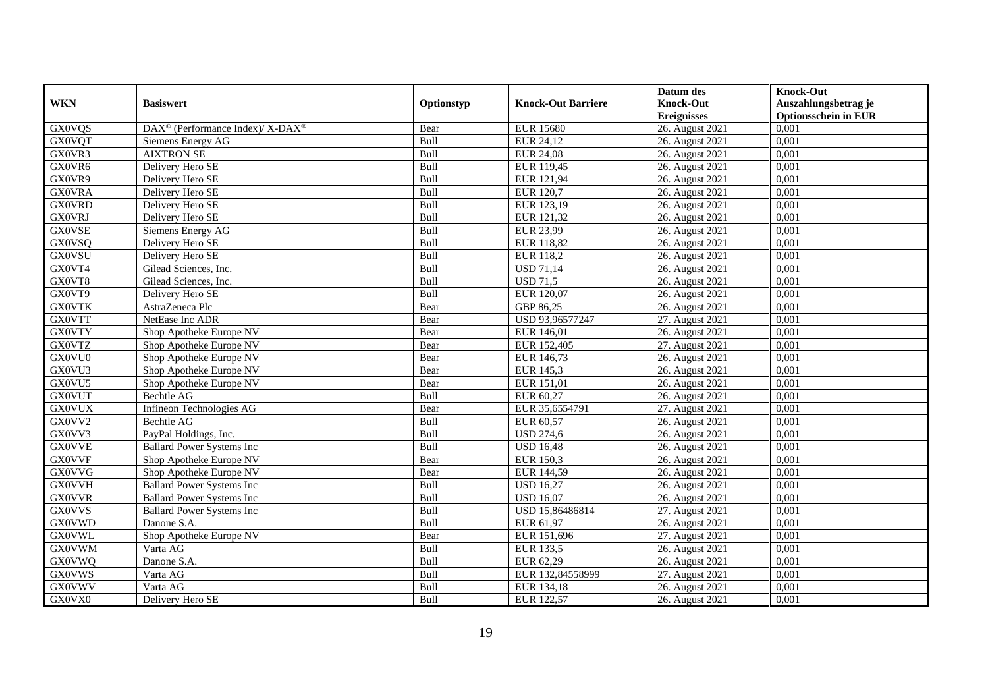|               |                                                          |            |                           | Datum des          | <b>Knock-Out</b>            |
|---------------|----------------------------------------------------------|------------|---------------------------|--------------------|-----------------------------|
| <b>WKN</b>    | <b>Basiswert</b>                                         | Optionstyp | <b>Knock-Out Barriere</b> | <b>Knock-Out</b>   | Auszahlungsbetrag je        |
|               |                                                          |            |                           | <b>Ereignisses</b> | <b>Optionsschein in EUR</b> |
| <b>GX0VQS</b> | DAX <sup>®</sup> (Performance Index)/ X-DAX <sup>®</sup> | Bear       | <b>EUR 15680</b>          | 26. August 2021    | 0,001                       |
| <b>GX0VQT</b> | Siemens Energy AG                                        | Bull       | EUR 24,12                 | 26. August 2021    | 0,001                       |
| GX0VR3        | <b>AIXTRON SE</b>                                        | Bull       | <b>EUR 24,08</b>          | 26. August 2021    | 0,001                       |
| GX0VR6        | Delivery Hero SE                                         | Bull       | EUR 119,45                | 26. August 2021    | 0,001                       |
| GX0VR9        | Delivery Hero SE                                         | Bull       | EUR 121,94                | 26. August 2021    | 0,001                       |
| <b>GX0VRA</b> | Delivery Hero SE                                         | Bull       | EUR 120,7                 | 26. August 2021    | 0,001                       |
| <b>GX0VRD</b> | Delivery Hero SE                                         | Bull       | EUR 123,19                | 26. August 2021    | 0,001                       |
| <b>GX0VRJ</b> | Delivery Hero SE                                         | Bull       | EUR 121,32                | 26. August 2021    | 0,001                       |
| <b>GX0VSE</b> | Siemens Energy AG                                        | Bull       | EUR 23,99                 | 26. August 2021    | 0,001                       |
| <b>GX0VSQ</b> | Delivery Hero SE                                         | Bull       | EUR 118,82                | 26. August 2021    | 0,001                       |
| <b>GX0VSU</b> | Delivery Hero SE                                         | Bull       | <b>EUR 118,2</b>          | 26. August 2021    | 0,001                       |
| GX0VT4        | Gilead Sciences, Inc.                                    | Bull       | <b>USD 71,14</b>          | 26. August 2021    | 0,001                       |
| GX0VT8        | Gilead Sciences, Inc.                                    | Bull       | <b>USD 71,5</b>           | 26. August 2021    | 0,001                       |
| GX0VT9        | Delivery Hero SE                                         | Bull       | EUR 120.07                | 26. August 2021    | 0.001                       |
| <b>GX0VTK</b> | AstraZeneca Plc                                          | Bear       | GBP 86,25                 | 26. August 2021    | 0,001                       |
| <b>GX0VTT</b> | NetEase Inc ADR                                          | Bear       | USD 93,96577247           | 27. August 2021    | 0,001                       |
| <b>GX0VTY</b> | Shop Apotheke Europe NV                                  | Bear       | EUR 146,01                | 26. August 2021    | 0,001                       |
| <b>GX0VTZ</b> | Shop Apotheke Europe NV                                  | Bear       | EUR 152,405               | 27. August 2021    | 0,001                       |
| GX0VU0        | Shop Apotheke Europe NV                                  | Bear       | EUR 146,73                | 26. August 2021    | 0,001                       |
| GX0VU3        | Shop Apotheke Europe NV                                  | Bear       | EUR 145,3                 | 26. August 2021    | 0,001                       |
| GX0VU5        | Shop Apotheke Europe NV                                  | Bear       | EUR 151,01                | 26. August 2021    | 0,001                       |
| <b>GX0VUT</b> | Bechtle AG                                               | Bull       | EUR 60,27                 | 26. August 2021    | 0,001                       |
| <b>GX0VUX</b> | Infineon Technologies AG                                 | Bear       | EUR 35,6554791            | 27. August 2021    | 0,001                       |
| GX0VV2        | Bechtle AG                                               | Bull       | EUR 60,57                 | 26. August 2021    | 0,001                       |
| GX0VV3        | PayPal Holdings, Inc.                                    | Bull       | <b>USD 274,6</b>          | 26. August 2021    | 0,001                       |
| <b>GX0VVE</b> | <b>Ballard Power Systems Inc</b>                         | Bull       | <b>USD 16,48</b>          | 26. August 2021    | 0,001                       |
| <b>GX0VVF</b> | Shop Apotheke Europe NV                                  | Bear       | EUR 150,3                 | 26. August 2021    | 0,001                       |
| <b>GX0VVG</b> | Shop Apotheke Europe NV                                  | Bear       | EUR 144,59                | 26. August 2021    | 0,001                       |
| <b>GX0VVH</b> | <b>Ballard Power Systems Inc</b>                         | Bull       | <b>USD 16,27</b>          | 26. August 2021    | 0,001                       |
| <b>GX0VVR</b> | <b>Ballard Power Systems Inc</b>                         | Bull       | <b>USD 16,07</b>          | 26. August 2021    | 0,001                       |
| <b>GX0VVS</b> | <b>Ballard Power Systems Inc</b>                         | Bull       | USD 15,86486814           | 27. August 2021    | 0,001                       |
| <b>GX0VWD</b> | Danone S.A.                                              | Bull       | EUR 61,97                 | 26. August 2021    | 0,001                       |
| <b>GX0VWL</b> | Shop Apotheke Europe NV                                  | Bear       | EUR 151,696               | 27. August 2021    | 0,001                       |
| <b>GX0VWM</b> | Varta AG                                                 | Bull       | EUR 133,5                 | 26. August 2021    | 0,001                       |
| <b>GX0VWQ</b> | Danone S.A.                                              | Bull       | EUR 62,29                 | 26. August 2021    | 0,001                       |
| <b>GX0VWS</b> | Varta AG                                                 | Bull       | EUR 132,84558999          | 27. August 2021    | 0,001                       |
| <b>GX0VWV</b> | Varta AG                                                 | Bull       | EUR 134,18                | 26. August 2021    | 0,001                       |
| GX0VX0        | Delivery Hero SE                                         | Bull       | EUR 122,57                | 26. August 2021    | 0,001                       |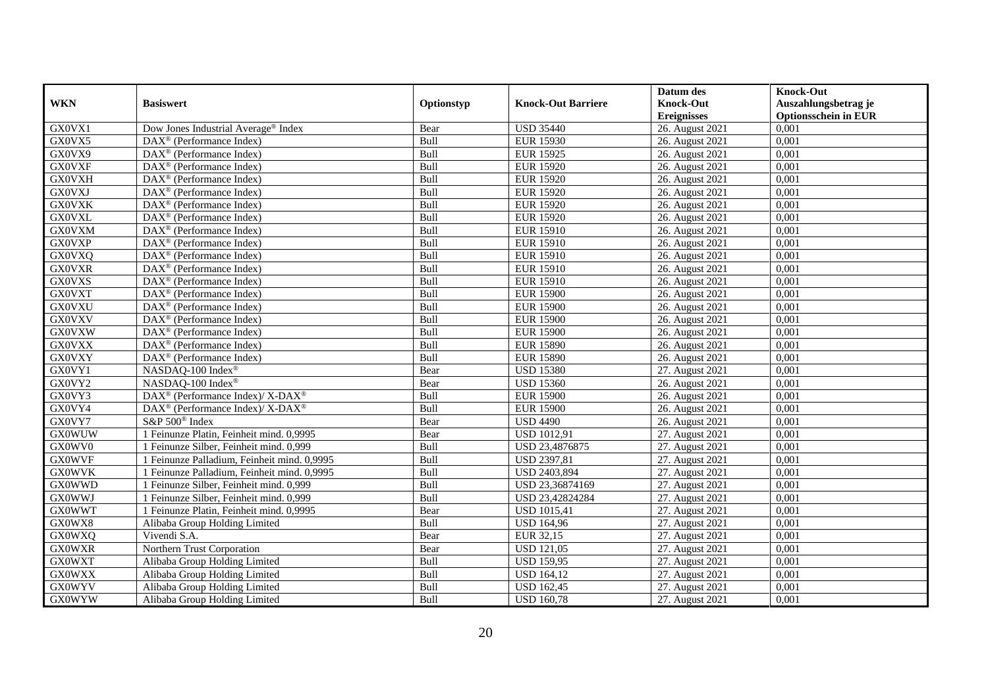|               |                                                                    |            |                           | Datum des          | <b>Knock-Out</b>            |
|---------------|--------------------------------------------------------------------|------------|---------------------------|--------------------|-----------------------------|
| <b>WKN</b>    | <b>Basiswert</b>                                                   | Optionstyp | <b>Knock-Out Barriere</b> | <b>Knock-Out</b>   | Auszahlungsbetrag je        |
|               |                                                                    |            |                           | <b>Ereignisses</b> | <b>Optionsschein in EUR</b> |
| GX0VX1        | Dow Jones Industrial Average <sup>®</sup> Index                    | Bear       | <b>USD 35440</b>          | 26. August 2021    | 0,001                       |
| GX0VX5        | DAX <sup>®</sup> (Performance Index)                               | Bull       | <b>EUR 15930</b>          | 26. August 2021    | 0,001                       |
| GX0VX9        | DAX <sup>®</sup> (Performance Index)                               | Bull       | <b>EUR 15925</b>          | 26. August 2021    | 0,001                       |
| <b>GX0VXF</b> | $\text{DAX}^{\otimes}$ (Performance Index)                         | Bull       | <b>EUR 15920</b>          | 26. August 2021    | 0,001                       |
| <b>GX0VXH</b> | DAX <sup>®</sup> (Performance Index)                               | Bull       | <b>EUR 15920</b>          | 26. August 2021    | 0,001                       |
| <b>GX0VXJ</b> | $\text{DAX}^{\textcircled{n}}$ (Performance Index)                 | Bull       | <b>EUR 15920</b>          | 26. August 2021    | 0,001                       |
| <b>GX0VXK</b> | $\text{DAX}^{\textcircled{n}}$ (Performance Index)                 | Bull       | <b>EUR 15920</b>          | 26. August 2021    | 0,001                       |
| <b>GX0VXL</b> | $DAX^{\otimes}$ (Performance Index)                                | Bull       | <b>EUR 15920</b>          | 26. August 2021    | 0,001                       |
| <b>GX0VXM</b> | $\text{DAX}^{\textcircled{D}}$ (Performance Index)                 | Bull       | <b>EUR 15910</b>          | 26. August 2021    | 0,001                       |
| <b>GX0VXP</b> | $DAX^{\otimes}$ (Performance Index)                                | Bull       | <b>EUR 15910</b>          | 26. August 2021    | 0,001                       |
| <b>GX0VXQ</b> | DAX <sup>®</sup> (Performance Index)                               | Bull       | <b>EUR 15910</b>          | 26. August 2021    | 0,001                       |
| <b>GX0VXR</b> | $\overline{\text{DAX}^{\otimes}}$ (Performance Index)              | Bull       | <b>EUR 15910</b>          | 26. August 2021    | 0,001                       |
| <b>GX0VXS</b> | $\text{DAX}^{\textcircled{n}}$ (Performance Index)                 | Bull       | <b>EUR 15910</b>          | 26. August 2021    | 0,001                       |
| <b>GX0VXT</b> | DAX <sup>®</sup> (Performance Index)                               | Bull       | <b>EUR 15900</b>          | 26. August 2021    | 0,001                       |
| <b>GX0VXU</b> | DAX <sup>®</sup> (Performance Index)                               | Bull       | <b>EUR 15900</b>          | 26. August 2021    | 0,001                       |
| <b>GX0VXV</b> | DAX <sup>®</sup> (Performance Index)                               | Bull       | <b>EUR 15900</b>          | 26. August 2021    | 0,001                       |
| <b>GX0VXW</b> | DAX <sup>®</sup> (Performance Index)                               | Bull       | <b>EUR 15900</b>          | 26. August 2021    | 0,001                       |
| <b>GX0VXX</b> | $\overline{\text{DAX}}^{\textcirc}$ (Performance Index)            | Bull       | <b>EUR 15890</b>          | 26. August 2021    | 0,001                       |
| <b>GX0VXY</b> | DAX <sup>®</sup> (Performance Index)                               | Bull       | <b>EUR 15890</b>          | 26. August 2021    | 0,001                       |
| GX0VY1        | NASDAQ-100 Index®                                                  | Bear       | <b>USD 15380</b>          | 27. August 2021    | 0,001                       |
| GX0VY2        | NASDAQ-100 Index®                                                  | Bear       | <b>USD 15360</b>          | 26. August 2021    | 0,001                       |
| GX0VY3        | DAX <sup>®</sup> (Performance Index)/ X-DAX <sup>®</sup>           | Bull       | <b>EUR 15900</b>          | 26. August 2021    | 0,001                       |
| GX0VY4        | $\text{DAX}^{\circledast}$ (Performance Index)/ X-DAX <sup>®</sup> | Bull       | <b>EUR 15900</b>          | 26. August 2021    | 0,001                       |
| GX0VY7        | S&P 500 <sup>®</sup> Index                                         | Bear       | <b>USD 4490</b>           | 26. August 2021    | 0,001                       |
| <b>GX0WUW</b> | 1 Feinunze Platin, Feinheit mind. 0,9995                           | Bear       | <b>USD 1012,91</b>        | 27. August 2021    | 0,001                       |
| GX0WV0        | 1 Feinunze Silber, Feinheit mind. 0,999                            | Bull       | USD 23,4876875            | 27. August 2021    | 0,001                       |
| <b>GX0WVF</b> | 1 Feinunze Palladium, Feinheit mind. 0,9995                        | Bull       | <b>USD 2397,81</b>        | 27. August 2021    | 0,001                       |
| <b>GX0WVK</b> | 1 Feinunze Palladium. Feinheit mind. 0.9995                        | Bull       | <b>USD 2403,894</b>       | 27. August 2021    | 0.001                       |
| <b>GX0WWD</b> | 1 Feinunze Silber, Feinheit mind. 0,999                            | Bull       | USD 23,36874169           | 27. August 2021    | 0,001                       |
| <b>GX0WWJ</b> | 1 Feinunze Silber, Feinheit mind. 0,999                            | Bull       | USD 23,42824284           | 27. August 2021    | 0,001                       |
| <b>GX0WWT</b> | 1 Feinunze Platin, Feinheit mind. 0,9995                           | Bear       | <b>USD 1015,41</b>        | 27. August 2021    | 0,001                       |
| GX0WX8        | Alibaba Group Holding Limited                                      | Bull       | <b>USD 164,96</b>         | 27. August 2021    | 0.001                       |
| <b>GX0WXQ</b> | Vivendi S.A.                                                       | Bear       | EUR 32,15                 | 27. August 2021    | 0,001                       |
| <b>GX0WXR</b> | Northern Trust Corporation                                         | Bear       | <b>USD 121,05</b>         | 27. August 2021    | 0,001                       |
| <b>GX0WXT</b> | Alibaba Group Holding Limited                                      | Bull       | <b>USD 159,95</b>         | 27. August 2021    | 0,001                       |
| <b>GX0WXX</b> | Alibaba Group Holding Limited                                      | Bull       | <b>USD 164,12</b>         | 27. August 2021    | 0,001                       |
| <b>GX0WYV</b> | Alibaba Group Holding Limited                                      | Bull       | <b>USD 162,45</b>         | 27. August 2021    | 0,001                       |
| <b>GX0WYW</b> | Alibaba Group Holding Limited                                      | Bull       | <b>USD 160,78</b>         | 27. August 2021    | 0,001                       |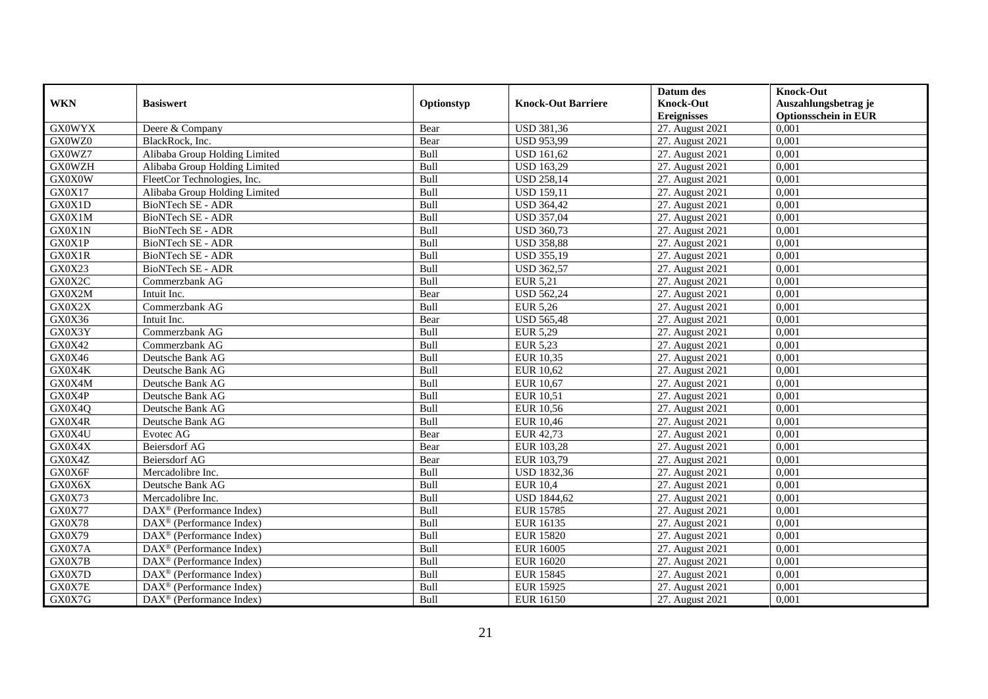|               |                                                         |            |                           | Datum des          | <b>Knock-Out</b>            |
|---------------|---------------------------------------------------------|------------|---------------------------|--------------------|-----------------------------|
| <b>WKN</b>    | <b>Basiswert</b>                                        | Optionstyp | <b>Knock-Out Barriere</b> | <b>Knock-Out</b>   | Auszahlungsbetrag je        |
|               |                                                         |            |                           | <b>Ereignisses</b> | <b>Optionsschein in EUR</b> |
| <b>GX0WYX</b> | Deere & Company                                         | Bear       | <b>USD 381,36</b>         | 27. August 2021    | 0,001                       |
| GX0WZ0        | BlackRock, Inc.                                         | Bear       | <b>USD 953,99</b>         | 27. August 2021    | 0,001                       |
| GX0WZ7        | Alibaba Group Holding Limited                           | Bull       | <b>USD 161,62</b>         | 27. August 2021    | 0,001                       |
| <b>GX0WZH</b> | Alibaba Group Holding Limited                           | Bull       | <b>USD 163,29</b>         | 27. August 2021    | 0,001                       |
| GX0X0W        | FleetCor Technologies, Inc.                             | Bull       | <b>USD 258,14</b>         | 27. August 2021    | 0,001                       |
| GX0X17        | Alibaba Group Holding Limited                           | Bull       | <b>USD 159,11</b>         | 27. August 2021    | 0,001                       |
| GX0X1D        | BioNTech SE - ADR                                       | Bull       | <b>USD 364,42</b>         | 27. August 2021    | 0,001                       |
| GX0X1M        | BioNTech SE - ADR                                       | Bull       | <b>USD 357,04</b>         | 27. August 2021    | 0,001                       |
| GX0X1N        | <b>BioNTech SE - ADR</b>                                | Bull       | <b>USD 360,73</b>         | 27. August 2021    | 0,001                       |
| GX0X1P        | BioNTech SE - ADR                                       | Bull       | <b>USD 358,88</b>         | 27. August 2021    | 0,001                       |
| GX0X1R        | BioNTech SE - ADR                                       | Bull       | <b>USD 355,19</b>         | 27. August 2021    | 0,001                       |
| GX0X23        | <b>BioNTech SE - ADR</b>                                | Bull       | <b>USD 362,57</b>         | 27. August 2021    | 0,001                       |
| GX0X2C        | Commerzbank AG                                          | Bull       | EUR 5,21                  | 27. August 2021    | 0,001                       |
| GX0X2M        | Intuit Inc.                                             | Bear       | <b>USD 562,24</b>         | 27. August 2021    | 0,001                       |
| GX0X2X        | Commerzbank AG                                          | Bull       | EUR 5,26                  | 27. August 2021    | 0,001                       |
| GX0X36        | Intuit Inc.                                             | Bear       | <b>USD 565,48</b>         | 27. August 2021    | 0,001                       |
| GX0X3Y        | Commerzbank AG                                          | Bull       | <b>EUR 5,29</b>           | 27. August 2021    | 0,001                       |
| GX0X42        | Commerzbank AG                                          | Bull       | EUR 5.23                  | 27. August 2021    | 0,001                       |
| GX0X46        | Deutsche Bank AG                                        | Bull       | EUR 10,35                 | 27. August 2021    | 0,001                       |
| GX0X4K        | Deutsche Bank AG                                        | Bull       | EUR 10,62                 | 27. August 2021    | 0,001                       |
| GX0X4M        | Deutsche Bank AG                                        | Bull       | EUR 10,67                 | 27. August 2021    | 0,001                       |
| GX0X4P        | Deutsche Bank AG                                        | Bull       | <b>EUR 10,51</b>          | 27. August 2021    | 0,001                       |
| GX0X4Q        | Deutsche Bank AG                                        | Bull       | <b>EUR 10,56</b>          | 27. August 2021    | 0,001                       |
| GX0X4R        | Deutsche Bank AG                                        | Bull       | <b>EUR 10,46</b>          | 27. August 2021    | 0,001                       |
| GX0X4U        | Evotec AG                                               | Bear       | EUR 42,73                 | 27. August 2021    | 0,001                       |
| GX0X4X        | Beiersdorf AG                                           | Bear       | EUR 103,28                | 27. August 2021    | 0,001                       |
| GX0X4Z        | Beiersdorf AG                                           | Bear       | EUR 103,79                | 27. August 2021    | 0,001                       |
| GX0X6F        | Mercadolibre Inc.                                       | Bull       | <b>USD 1832,36</b>        | 27. August 2021    | 0.001                       |
| GX0X6X        | Deutsche Bank AG                                        | Bull       | <b>EUR 10,4</b>           | 27. August 2021    | 0,001                       |
| GX0X73        | Mercadolibre Inc.                                       | Bull       | <b>USD 1844,62</b>        | 27. August 2021    | 0,001                       |
| GX0X77        | DAX <sup>®</sup> (Performance Index)                    | Bull       | <b>EUR 15785</b>          | 27. August 2021    | 0,001                       |
| <b>GX0X78</b> | DAX <sup>®</sup> (Performance Index)                    | Bull       | <b>EUR 16135</b>          | 27. August 2021    | 0.001                       |
| GX0X79        | $\overline{\text{DAX}^{\otimes}}$ (Performance Index)   | Bull       | <b>EUR 15820</b>          | 27. August 2021    | 0,001                       |
| GX0X7A        | DAX <sup>®</sup> (Performance Index)                    | Bull       | <b>EUR 16005</b>          | 27. August 2021    | 0,001                       |
| GX0X7B        | $\text{DAX}^{\textcircled{n}}$ (Performance Index)      | Bull       | EUR 16020                 | 27. August 2021    | 0,001                       |
| GX0X7D        | $\text{DAX}^{\textcircled{n}}$ (Performance Index)      | Bull       | <b>EUR 15845</b>          | 27. August 2021    | 0,001                       |
| GX0X7E        | $\text{DAX}^{\otimes}$ (Performance Index)              | Bull       | <b>EUR 15925</b>          | 27. August 2021    | 0,001                       |
| GX0X7G        | $\overline{\text{DAX}}^{\textcirc}$ (Performance Index) | Bull       | <b>EUR 16150</b>          | 27. August 2021    | 0,001                       |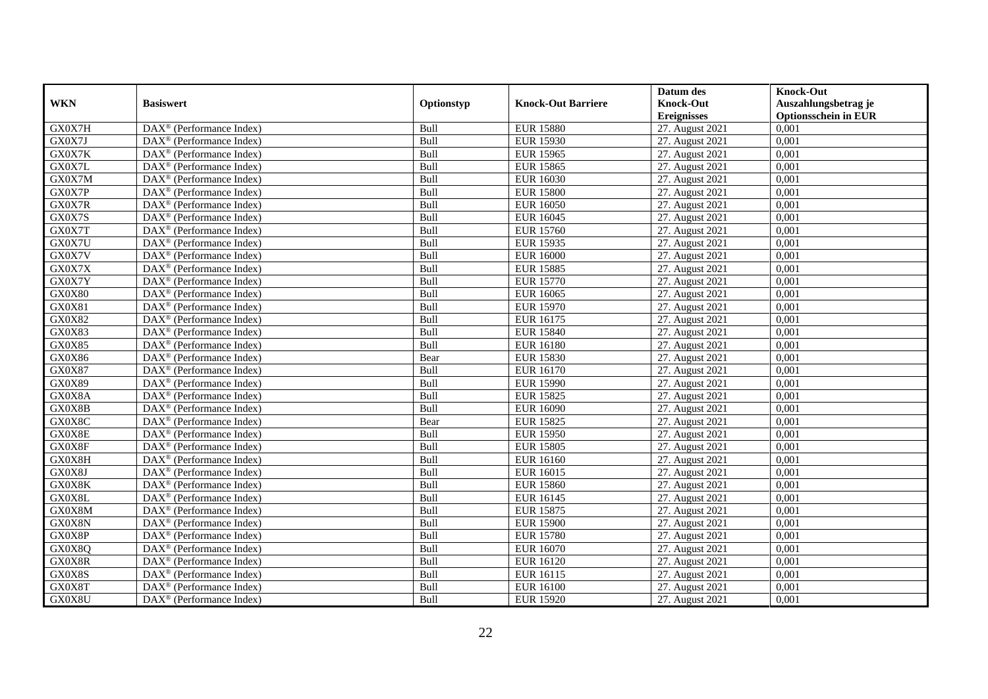|               |                                                              |            |                           | Datum des          | <b>Knock-Out</b>            |
|---------------|--------------------------------------------------------------|------------|---------------------------|--------------------|-----------------------------|
| <b>WKN</b>    | <b>Basiswert</b>                                             | Optionstyp | <b>Knock-Out Barriere</b> | <b>Knock-Out</b>   | Auszahlungsbetrag je        |
|               |                                                              |            |                           | <b>Ereignisses</b> | <b>Optionsschein in EUR</b> |
| GX0X7H        | $\overline{\text{DAX}}^{\textcircled{}}$ (Performance Index) | Bull       | <b>EUR 15880</b>          | 27. August 2021    | 0,001                       |
| GX0X7J        | $DAX^{\circledast}$ (Performance Index)                      | Bull       | <b>EUR 15930</b>          | 27. August 2021    | 0,001                       |
| GX0X7K        | $DAX^{\circledR}$ (Performance Index)                        | Bull       | <b>EUR 15965</b>          | 27. August 2021    | 0,001                       |
| GX0X7L        | $DAX^{\circledast}$ (Performance Index)                      | Bull       | <b>EUR 15865</b>          | 27. August 2021    | 0,001                       |
| GX0X7M        | DAX <sup>®</sup> (Performance Index)                         | Bull       | <b>EUR 16030</b>          | 27. August 2021    | 0,001                       |
| GX0X7P        | $\text{DAX}^{\circledast}$ (Performance Index)               | Bull       | <b>EUR 15800</b>          | 27. August 2021    | 0,001                       |
| GX0X7R        | $\overline{\text{DAX}}^{\textcirc}$ (Performance Index)      | Bull       | <b>EUR 16050</b>          | 27. August 2021    | 0,001                       |
| GX0X7S        | $\overline{\text{DAX}}^{\textcirc}$ (Performance Index)      | Bull       | <b>EUR 16045</b>          | 27. August 2021    | 0,001                       |
| GX0X7T        | $DAX^{\circledast}$ (Performance Index)                      | Bull       | <b>EUR 15760</b>          | 27. August 2021    | 0,001                       |
| GX0X7U        | DAX <sup>®</sup> (Performance Index)                         | Bull       | <b>EUR 15935</b>          | 27. August 2021    | 0,001                       |
| GX0X7V        | $\overline{\text{DAX}^{\otimes}}$ (Performance Index)        | Bull       | <b>EUR 16000</b>          | 27. August 2021    | 0,001                       |
| GX0X7X        | $\text{DAX}^{\circledast}$ (Performance Index)               | Bull       | <b>EUR 15885</b>          | 27. August 2021    | 0,001                       |
| GX0X7Y        | $DAX^{\circledast}$ (Performance Index)                      | Bull       | <b>EUR 15770</b>          | 27. August 2021    | 0,001                       |
| <b>GX0X80</b> | $DAX^{\circledR}$ (Performance Index)                        | Bull       | <b>EUR 16065</b>          | 27. August 2021    | 0.001                       |
| GX0X81        | DAX <sup>®</sup> (Performance Index)                         | Bull       | <b>EUR 15970</b>          | 27. August 2021    | 0,001                       |
| <b>GX0X82</b> | DAX <sup>®</sup> (Performance Index)                         | Bull       | <b>EUR 16175</b>          | 27. August 2021    | 0,001                       |
| GX0X83        | DAX <sup>®</sup> (Performance Index)                         | Bull       | <b>EUR 15840</b>          | 27. August 2021    | 0,001                       |
| GX0X85        | $\text{DAX}^{\circledast}$ (Performance Index)               | Bull       | <b>EUR 16180</b>          | 27. August 2021    | 0,001                       |
| GX0X86        | $\text{DAX}^{\textcircled{}}$ (Performance Index)            | Bear       | <b>EUR 15830</b>          | 27. August 2021    | 0,001                       |
| GX0X87        | $DAX^{\circledast}$ (Performance Index)                      | Bull       | EUR 16170                 | 27. August 2021    | 0,001                       |
| GX0X89        | $DAX^{\circledast}$ (Performance Index)                      | Bull       | <b>EUR 15990</b>          | 27. August 2021    | 0,001                       |
| GX0X8A        | $DAX^{\circledR}$ (Performance Index)                        | Bull       | <b>EUR 15825</b>          | 27. August 2021    | 0,001                       |
| GX0X8B        | $\text{DAX}^{\textcircled{}}$ (Performance Index)            | Bull       | <b>EUR 16090</b>          | 27. August 2021    | 0,001                       |
| GX0X8C        | DAX <sup>®</sup> (Performance Index)                         | Bear       | <b>EUR 15825</b>          | 27. August 2021    | 0,001                       |
| GX0X8E        | $DAX^{\circledR}$ (Performance Index)                        | Bull       | <b>EUR 15950</b>          | 27. August 2021    | 0,001                       |
| GX0X8F        | $DAX^{\circledast}$ (Performance Index)                      | Bull       | <b>EUR 15805</b>          | 27. August 2021    | 0,001                       |
| GX0X8H        | DAX <sup>®</sup> (Performance Index)                         | Bull       | <b>EUR 16160</b>          | 27. August 2021    | 0,001                       |
| GX0X8J        | $\text{DAX}^{\textcircled{}}$ (Performance Index)            | Bull       | EUR 16015                 | 27. August 2021    | 0,001                       |
| GX0X8K        | $DAX^{\circledast}$ (Performance Index)                      | Bull       | <b>EUR 15860</b>          | 27. August 2021    | 0,001                       |
| GX0X8L        | $\text{DAX}^{\textcircled{}}$ (Performance Index)            | Bull       | EUR 16145                 | 27. August 2021    | 0,001                       |
| GX0X8M        | DAX <sup>®</sup> (Performance Index)                         | Bull       | <b>EUR 15875</b>          | 27. August 2021    | 0,001                       |
| GX0X8N        | $\text{DAX}^{\otimes}$ (Performance Index)                   | Bull       | <b>EUR 15900</b>          | 27. August 2021    | 0,001                       |
| GX0X8P        | $\text{DAX}^{\otimes}$ (Performance Index)                   | Bull       | <b>EUR 15780</b>          | 27. August 2021    | 0,001                       |
| GX0X8Q        | $\overline{\text{DAX}^{\otimes}}$ (Performance Index)        | Bull       | <b>EUR 16070</b>          | 27. August 2021    | 0,001                       |
| GX0X8R        | $\text{DAX}^{\circledast}$ (Performance Index)               | Bull       | <b>EUR 16120</b>          | 27. August 2021    | 0,001                       |
| GX0X8S        | $\text{DAX}^{\textcircled{}}$ (Performance Index)            | Bull       | EUR 16115                 | 27. August 2021    | 0,001                       |
| GX0X8T        | $DAX^{\circledast}$ (Performance Index)                      | Bull       | <b>EUR 16100</b>          | 27. August 2021    | 0,001                       |
| GX0X8U        | $\text{DAX}^{\circledast}$ (Performance Index)               | Bull       | <b>EUR 15920</b>          | 27. August 2021    | 0,001                       |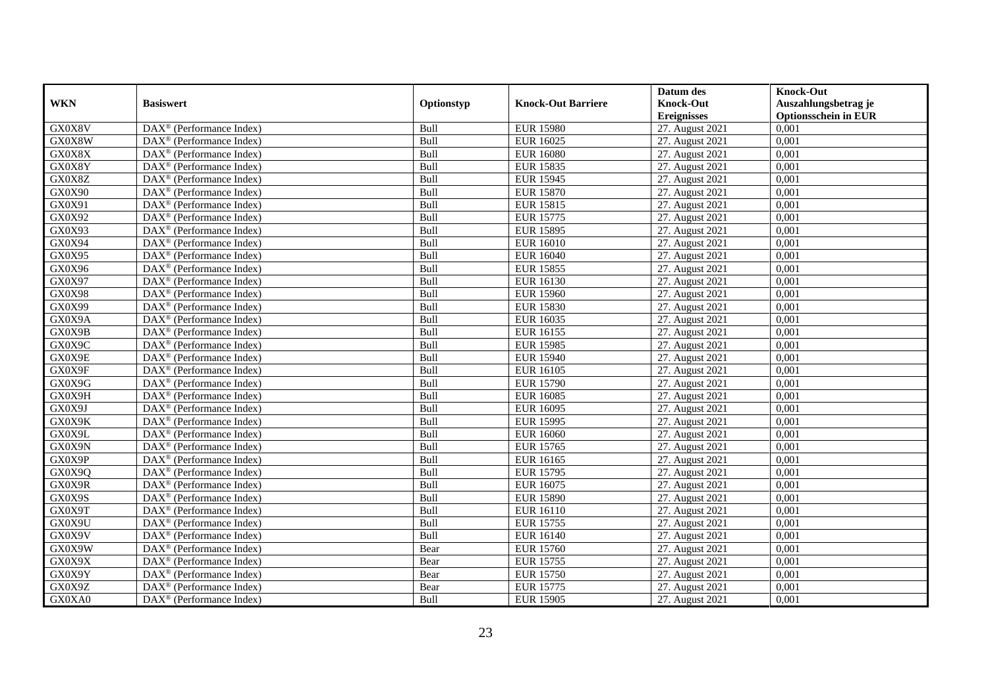|               |                                                         |            |                           | Datum des          | <b>Knock-Out</b>            |
|---------------|---------------------------------------------------------|------------|---------------------------|--------------------|-----------------------------|
| <b>WKN</b>    | <b>Basiswert</b>                                        | Optionstyp | <b>Knock-Out Barriere</b> | <b>Knock-Out</b>   | Auszahlungsbetrag je        |
|               |                                                         |            |                           | <b>Ereignisses</b> | <b>Optionsschein in EUR</b> |
| GX0X8V        | DAX <sup>®</sup> (Performance Index)                    | Bull       | <b>EUR 15980</b>          | 27. August 2021    | 0,001                       |
| GX0X8W        | $\text{DAX}^{\circledast}$ (Performance Index)          | Bull       | <b>EUR 16025</b>          | 27. August 2021    | 0,001                       |
| GX0X8X        | $DAX^{\circledR}$ (Performance Index)                   | Bull       | <b>EUR 16080</b>          | 27. August 2021    | 0,001                       |
| GX0X8Y        | DAX <sup>®</sup> (Performance Index)                    | Bull       | <b>EUR 15835</b>          | 27. August 2021    | 0,001                       |
| GX0X8Z        | DAX <sup>®</sup> (Performance Index)                    | Bull       | <b>EUR 15945</b>          | 27. August 2021    | 0,001                       |
| GX0X90        | $\text{DAX}^{\textcircled{p}}$ (Performance Index)      | Bull       | <b>EUR 15870</b>          | 27. August 2021    | 0,001                       |
| GX0X91        | $DAX^{\otimes}$ (Performance Index)                     | Bull       | <b>EUR 15815</b>          | 27. August 2021    | 0,001                       |
| GX0X92        | $\overline{\text{DAX}}^{\textcirc}$ (Performance Index) | Bull       | <b>EUR 15775</b>          | 27. August 2021    | 0,001                       |
| GX0X93        | $\text{DAX}^{\circledast}$ (Performance Index)          | Bull       | <b>EUR 15895</b>          | 27. August 2021    | 0,001                       |
| GX0X94        | DAX <sup>®</sup> (Performance Index)                    | Bull       | <b>EUR 16010</b>          | 27. August 2021    | 0.001                       |
| GX0X95        | $\overline{\text{DAX}^{\otimes}}$ (Performance Index)   | Bull       | <b>EUR 16040</b>          | 27. August 2021    | 0,001                       |
| GX0X96        | DAX <sup>®</sup> (Performance Index)                    | Bull       | <b>EUR 15855</b>          | 27. August 2021    | 0,001                       |
| GX0X97        | $\text{DAX}^{\textcircled{n}}$ (Performance Index)      | Bull       | <b>EUR 16130</b>          | 27. August 2021    | 0,001                       |
| <b>GX0X98</b> | DAX <sup>®</sup> (Performance Index)                    | Bull       | <b>EUR 15960</b>          | 27. August 2021    | 0.001                       |
| GX0X99        | $\overline{\text{DAX}^{\otimes}}$ (Performance Index)   | Bull       | <b>EUR 15830</b>          | 27. August 2021    | 0,001                       |
| GX0X9A        | DAX <sup>®</sup> (Performance Index)                    | Bull       | <b>EUR 16035</b>          | 27. August 2021    | 0,001                       |
| GX0X9B        | DAX <sup>®</sup> (Performance Index)                    | Bull       | <b>EUR 16155</b>          | 27. August 2021    | 0,001                       |
| GX0X9C        | DAX <sup>®</sup> (Performance Index)                    | Bull       | <b>EUR 15985</b>          | 27. August 2021    | 0,001                       |
| GX0X9E        | $\text{DAX}^{\otimes}$ (Performance Index)              | Bull       | <b>EUR 15940</b>          | 27. August 2021    | 0,001                       |
| GX0X9F        | $\text{DAX}^{\otimes}$ (Performance Index)              | Bull       | <b>EUR 16105</b>          | 27. August 2021    | 0,001                       |
| GX0X9G        | DAX <sup>®</sup> (Performance Index)                    | Bull       | <b>EUR 15790</b>          | 27. August 2021    | 0,001                       |
| GX0X9H        | $DAX^{\circledR}$ (Performance Index)                   | Bull       | <b>EUR 16085</b>          | 27. August 2021    | 0,001                       |
| GX0X9J        | $\text{DAX}^{\textcircled{D}}$ (Performance Index)      | Bull       | <b>EUR 16095</b>          | 27. August 2021    | 0,001                       |
| GX0X9K        | $\text{DAX}^{\textcircled{p}}$ (Performance Index)      | Bull       | <b>EUR 15995</b>          | 27. August 2021    | 0,001                       |
| GX0X9L        | $DAX^{\circledR}$ (Performance Index)                   | Bull       | <b>EUR 16060</b>          | 27. August 2021    | 0,001                       |
| GX0X9N        | DAX <sup>®</sup> (Performance Index)                    | Bull       | <b>EUR 15765</b>          | 27. August 2021    | 0,001                       |
| GX0X9P        | DAX <sup>®</sup> (Performance Index)                    | Bull       | <b>EUR 16165</b>          | 27. August 2021    | 0,001                       |
| GX0X9Q        | DAX <sup>®</sup> (Performance Index)                    | Bull       | <b>EUR 15795</b>          | 27. August 2021    | 0,001                       |
| GX0X9R        | $\text{DAX}^{\otimes}$ (Performance Index)              | Bull       | EUR 16075                 | 27. August 2021    | 0,001                       |
| GX0X9S        | $\text{DAX}^{\textcircled{n}}$ (Performance Index)      | Bull       | <b>EUR 15890</b>          | 27. August 2021    | 0,001                       |
| GX0X9T        | DAX <sup>®</sup> (Performance Index)                    | Bull       | <b>EUR 16110</b>          | 27. August 2021    | 0,001                       |
| GX0X9U        | DAX <sup>®</sup> (Performance Index)                    | Bull       | <b>EUR 15755</b>          | 27. August 2021    | 0,001                       |
| GX0X9V        | $\overline{\text{DAX}^{\otimes}}$ (Performance Index)   | Bull       | <b>EUR 16140</b>          | 27. August 2021    | 0,001                       |
| GX0X9W        | $\overline{\text{DAX}}^{\textcirc}$ (Performance Index) | Bear       | <b>EUR 15760</b>          | 27. August 2021    | 0,001                       |
| GX0X9X        | $\text{DAX}^{\textcircled{n}}$ (Performance Index)      | Bear       | <b>EUR 15755</b>          | 27. August 2021    | 0,001                       |
| GX0X9Y        | DAX <sup>®</sup> (Performance Index)                    | Bear       | <b>EUR 15750</b>          | 27. August 2021    | 0,001                       |
| GX0X9Z        | $\text{DAX}^{\otimes}$ (Performance Index)              | Bear       | <b>EUR 15775</b>          | 27. August 2021    | 0,001                       |
| GX0XA0        | $\overline{\text{DAX}}^{\textcirc}$ (Performance Index) | Bull       | <b>EUR 15905</b>          | 27. August 2021    | 0,001                       |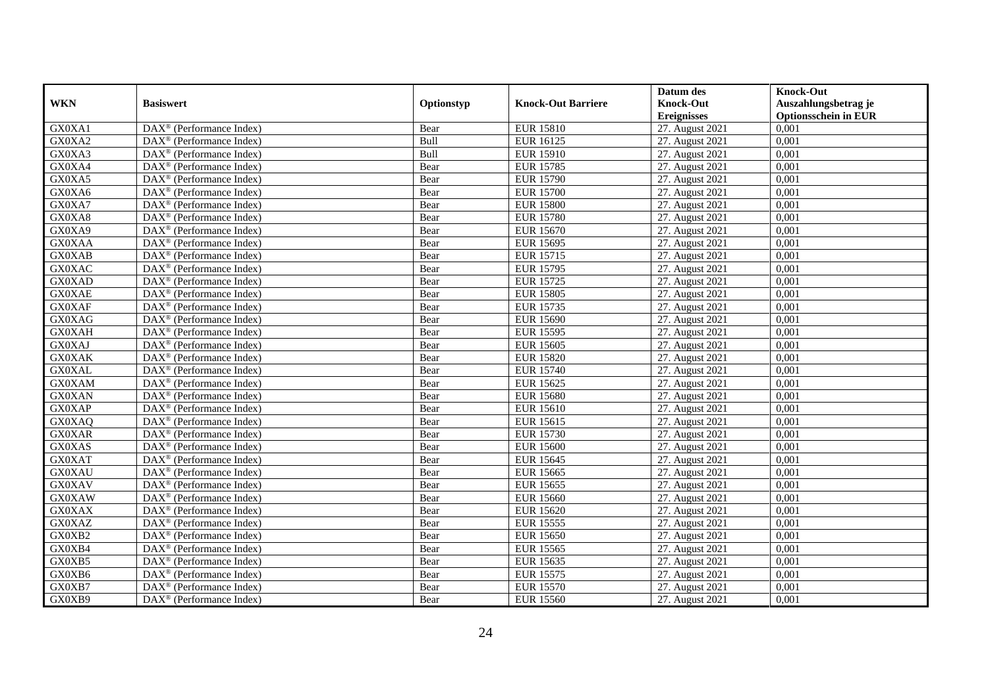|               |                                                         |            |                           | Datum des          | <b>Knock-Out</b>            |
|---------------|---------------------------------------------------------|------------|---------------------------|--------------------|-----------------------------|
| <b>WKN</b>    | <b>Basiswert</b>                                        | Optionstyp | <b>Knock-Out Barriere</b> | <b>Knock-Out</b>   | Auszahlungsbetrag je        |
|               |                                                         |            |                           | <b>Ereignisses</b> | <b>Optionsschein in EUR</b> |
| GX0XA1        | $\overline{\text{DAX}}^{\textcirc}$ (Performance Index) | Bear       | <b>EUR 15810</b>          | 27. August 2021    | 0,001                       |
| GX0XA2        | $DAX^{\circledR}$ (Performance Index)                   | Bull       | <b>EUR 16125</b>          | 27. August 2021    | 0,001                       |
| GX0XA3        | DAX <sup>®</sup> (Performance Index)                    | Bull       | <b>EUR 15910</b>          | 27. August 2021    | 0,001                       |
| GX0XA4        | $\text{DAX}^{\otimes}$ (Performance Index)              | Bear       | <b>EUR 15785</b>          | 27. August 2021    | 0,001                       |
| GX0XA5        | DAX <sup>®</sup> (Performance Index)                    | Bear       | <b>EUR 15790</b>          | 27. August 2021    | 0,001                       |
| GX0XA6        | $\text{DAX}^{\circledast}$ (Performance Index)          | Bear       | <b>EUR 15700</b>          | 27. August 2021    | 0,001                       |
| GX0XA7        | $\text{DAX}^{\textcircled{n}}$ (Performance Index)      | Bear       | <b>EUR 15800</b>          | 27. August 2021    | 0,001                       |
| GX0XA8        | $\text{DAX}^{\textcircled{}}$ (Performance Index)       | Bear       | <b>EUR 15780</b>          | 27. August 2021    | 0,001                       |
| GX0XA9        | $\text{DAX}^{\textcircled{D}}$ (Performance Index)      | Bear       | <b>EUR 15670</b>          | 27. August 2021    | 0,001                       |
| <b>GX0XAA</b> | $DAX^{\otimes}$ (Performance Index)                     | Bear       | <b>EUR 15695</b>          | 27. August 2021    | 0,001                       |
| <b>GX0XAB</b> | $\overline{\text{DAX}}^{\textcirc}$ (Performance Index) | Bear       | <b>EUR 15715</b>          | 27. August 2021    | 0,001                       |
| <b>GX0XAC</b> | $\overline{\text{DAX}^{\otimes}}$ (Performance Index)   | Bear       | <b>EUR 15795</b>          | 27. August 2021    | 0,001                       |
| GX0XAD        | $\text{DAX}^{\textcircled{n}}$ (Performance Index)      | Bear       | <b>EUR 15725</b>          | 27. August 2021    | 0,001                       |
| <b>GX0XAE</b> | DAX <sup>®</sup> (Performance Index)                    | Bear       | <b>EUR 15805</b>          | 27. August 2021    | 0,001                       |
| <b>GX0XAF</b> | DAX <sup>®</sup> (Performance Index)                    | Bear       | <b>EUR 15735</b>          | 27. August 2021    | 0,001                       |
| <b>GX0XAG</b> | DAX <sup>®</sup> (Performance Index)                    | Bear       | <b>EUR 15690</b>          | 27. August 2021    | 0,001                       |
| <b>GX0XAH</b> | DAX <sup>®</sup> (Performance Index)                    | Bear       | <b>EUR 15595</b>          | 27. August 2021    | 0,001                       |
| <b>GX0XAJ</b> | $DAX^{\circledR}$ (Performance Index)                   | Bear       | <b>EUR 15605</b>          | 27. August 2021    | 0,001                       |
| <b>GX0XAK</b> | DAX <sup>®</sup> (Performance Index)                    | Bear       | <b>EUR 15820</b>          | 27. August 2021    | 0,001                       |
| <b>GX0XAL</b> | DAX <sup>®</sup> (Performance Index)                    | Bear       | <b>EUR 15740</b>          | 27. August 2021    | 0,001                       |
| <b>GX0XAM</b> | DAX <sup>®</sup> (Performance Index)                    | Bear       | <b>EUR 15625</b>          | 27. August 2021    | 0,001                       |
| <b>GX0XAN</b> | $\overline{\text{DAX}^{\otimes}}$ (Performance Index)   | Bear       | <b>EUR 15680</b>          | 27. August 2021    | 0,001                       |
| <b>GX0XAP</b> | $\text{DAX}^{\circledast}$ (Performance Index)          | Bear       | <b>EUR 15610</b>          | 27. August 2021    | 0,001                       |
| GX0XAQ        | DAX <sup>®</sup> (Performance Index)                    | Bear       | <b>EUR 15615</b>          | 27. August 2021    | 0,001                       |
| <b>GX0XAR</b> | DAX <sup>®</sup> (Performance Index)                    | Bear       | <b>EUR 15730</b>          | 27. August 2021    | 0,001                       |
| <b>GX0XAS</b> | $\text{DAX}^{\otimes}$ (Performance Index)              | Bear       | <b>EUR 15600</b>          | 27. August 2021    | 0,001                       |
| <b>GX0XAT</b> | $\text{DAX}^{\circledast}$ (Performance Index)          | Bear       | <b>EUR 15645</b>          | 27. August 2021    | 0,001                       |
| <b>GX0XAU</b> | $\text{DAX}^{\textcircled{D}}$ (Performance Index)      | Bear       | <b>EUR 15665</b>          | 27. August 2021    | 0.001                       |
| <b>GX0XAV</b> | $\text{DAX}^{\textcircled{D}}$ (Performance Index)      | Bear       | <b>EUR 15655</b>          | 27. August 2021    | 0,001                       |
| <b>GX0XAW</b> | $DAX^{\otimes}$ (Performance Index)                     | Bear       | <b>EUR 15660</b>          | 27. August 2021    | 0,001                       |
| <b>GX0XAX</b> | DAX <sup>®</sup> (Performance Index)                    | Bear       | <b>EUR 15620</b>          | 27. August 2021    | 0,001                       |
| <b>GX0XAZ</b> | $\text{DAX}^{\otimes}$ (Performance Index)              | Bear       | <b>EUR 15555</b>          | 27. August 2021    | 0.001                       |
| GX0XB2        | $\overline{\text{DAX}^{\otimes}}$ (Performance Index)   | Bear       | <b>EUR 15650</b>          | 27. August 2021    | 0,001                       |
| GX0XB4        | DAX <sup>®</sup> (Performance Index)                    | Bear       | <b>EUR 15565</b>          | 27. August 2021    | 0,001                       |
| GX0XB5        | $\text{DAX}^{\textcircled{n}}$ (Performance Index)      | Bear       | <b>EUR 15635</b>          | 27. August 2021    | 0,001                       |
| GX0XB6        | $\text{DAX}^{\textcircled{n}}$ (Performance Index)      | Bear       | <b>EUR 15575</b>          | 27. August 2021    | 0,001                       |
| GX0XB7        | $\text{DAX}^{\otimes}$ (Performance Index)              | Bear       | <b>EUR 15570</b>          | 27. August 2021    | 0,001                       |
| GX0XB9        | $\overline{\text{DAX}}^{\textcirc}$ (Performance Index) | Bear       | <b>EUR 15560</b>          | 27. August 2021    | 0,001                       |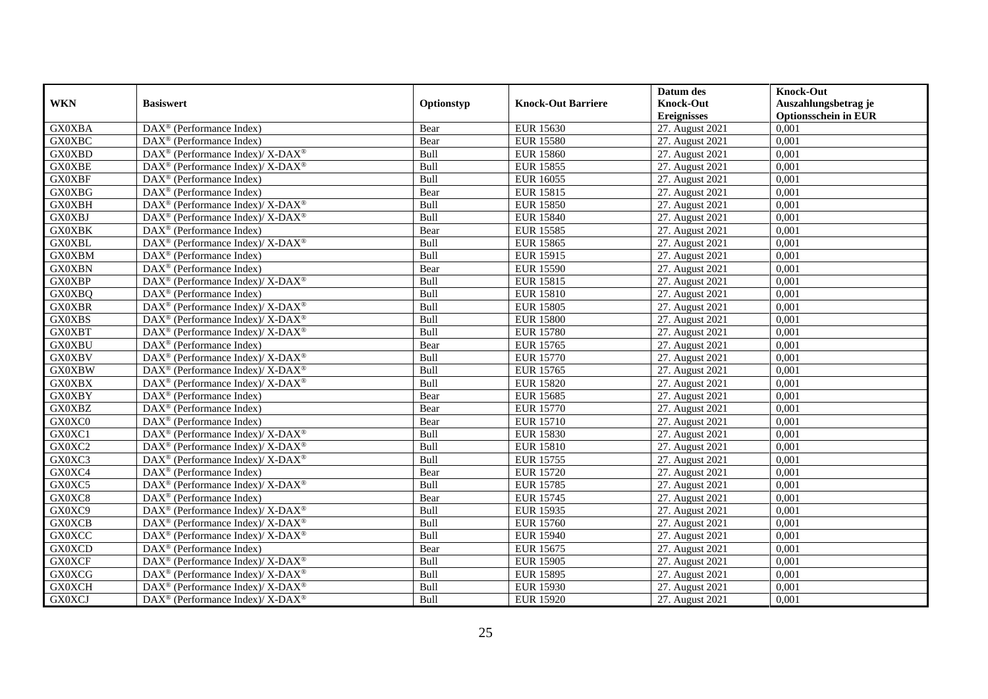|               |                                                                    |            |                           | Datum des          | <b>Knock-Out</b>            |
|---------------|--------------------------------------------------------------------|------------|---------------------------|--------------------|-----------------------------|
| <b>WKN</b>    | <b>Basiswert</b>                                                   | Optionstyp | <b>Knock-Out Barriere</b> | <b>Knock-Out</b>   | Auszahlungsbetrag je        |
|               |                                                                    |            |                           | <b>Ereignisses</b> | <b>Optionsschein in EUR</b> |
| <b>GX0XBA</b> | DAX <sup>®</sup> (Performance Index)                               | Bear       | <b>EUR 15630</b>          | 27. August 2021    | 0,001                       |
| <b>GX0XBC</b> | $\text{DAX}^{\textcircled{p}}$ (Performance Index)                 | Bear       | <b>EUR 15580</b>          | 27. August 2021    | 0,001                       |
| <b>GX0XBD</b> | $\text{DAX}^{\circledast}$ (Performance Index)/ X-DAX <sup>®</sup> | Bull       | <b>EUR 15860</b>          | 27. August 2021    | 0,001                       |
| <b>GX0XBE</b> | DAX <sup>®</sup> (Performance Index)/ X-DAX <sup>®</sup>           | Bull       | <b>EUR 15855</b>          | 27. August 2021    | 0,001                       |
| <b>GX0XBF</b> | DAX <sup>®</sup> (Performance Index)                               | Bull       | <b>EUR 16055</b>          | 27. August 2021    | 0,001                       |
| <b>GX0XBG</b> | $\text{DAX}^{\textcircled{p}}$ (Performance Index)                 | Bear       | <b>EUR 15815</b>          | 27. August 2021    | 0,001                       |
| <b>GX0XBH</b> | $\text{DAX}^{\circledR}$ (Performance Index)/ X-DAX <sup>®</sup>   | Bull       | <b>EUR 15850</b>          | 27. August 2021    | 0,001                       |
| <b>GX0XBJ</b> | DAX <sup>®</sup> (Performance Index)/ X-DAX <sup>®</sup>           | Bull       | <b>EUR 15840</b>          | 27. August 2021    | 0,001                       |
| <b>GX0XBK</b> | $DAX^{\circledR}$ (Performance Index)                              | Bear       | <b>EUR 15585</b>          | 27. August 2021    | 0,001                       |
| <b>GX0XBL</b> | $\text{DAX}^{\circledR}$ (Performance Index)/ X-DAX <sup>®</sup>   | Bull       | <b>EUR 15865</b>          | 27. August 2021    | 0,001                       |
| <b>GX0XBM</b> | $\text{DAX}^{\textcircled{n}}$ (Performance Index)                 | Bull       | <b>EUR 15915</b>          | 27. August 2021    | 0,001                       |
| <b>GX0XBN</b> | DAX <sup>®</sup> (Performance Index)                               | Bear       | <b>EUR 15590</b>          | 27. August 2021    | 0,001                       |
| <b>GX0XBP</b> | $\text{DAX}^{\circledast}$ (Performance Index)/ X-DAX <sup>®</sup> | Bull       | <b>EUR 15815</b>          | 27. August 2021    | 0,001                       |
| <b>GX0XBQ</b> | DAX <sup>®</sup> (Performance Index)                               | Bull       | <b>EUR 15810</b>          | 27. August 2021    | 0,001                       |
| <b>GX0XBR</b> | DAX <sup>®</sup> (Performance Index)/ X-DAX <sup>®</sup>           | Bull       | <b>EUR 15805</b>          | 27. August 2021    | 0,001                       |
| <b>GX0XBS</b> | DAX <sup>®</sup> (Performance Index)/ X-DAX <sup>®</sup>           | Bull       | <b>EUR 15800</b>          | 27. August 2021    | 0,001                       |
| <b>GX0XBT</b> | DAX <sup>®</sup> (Performance Index)/ X-DAX <sup>®</sup>           | Bull       | <b>EUR 15780</b>          | 27. August 2021    | 0,001                       |
| <b>GX0XBU</b> | $\overline{\text{DAX}^{\otimes}}$ (Performance Index)              | Bear       | <b>EUR 15765</b>          | 27. August 2021    | 0,001                       |
| <b>GX0XBV</b> | $\text{DAX}^{\circledast}$ (Performance Index)/ X-DAX <sup>®</sup> | Bull       | <b>EUR 15770</b>          | 27. August 2021    | 0,001                       |
| <b>GX0XBW</b> | $\text{DAX}^{\circledast}$ (Performance Index)/ X-DAX <sup>®</sup> | Bull       | <b>EUR 15765</b>          | 27. August 2021    | 0,001                       |
| <b>GX0XBX</b> | $DAX^{\circledast}$ (Performance Index)/ X-DAX <sup>®</sup>        | Bull       | <b>EUR 15820</b>          | 27. August 2021    | 0,001                       |
| <b>GX0XBY</b> | $\overline{\text{DAX}}^{\textcirc}$ (Performance Index)            | Bear       | <b>EUR 15685</b>          | 27. August 2021    | 0,001                       |
| <b>GX0XBZ</b> | DAX <sup>®</sup> (Performance Index)                               | Bear       | <b>EUR 15770</b>          | 27. August 2021    | 0,001                       |
| GX0XC0        | $\text{DAX}^{\textcircled{p}}$ (Performance Index)                 | Bear       | <b>EUR 15710</b>          | 27. August 2021    | 0,001                       |
| GX0XC1        | $\text{DAX}^{\circledast}$ (Performance Index)/ X-DAX <sup>®</sup> | Bull       | <b>EUR 15830</b>          | 27. August 2021    | 0,001                       |
| GX0XC2        | $\text{DAX}^{\circledast}$ (Performance Index)/ X-DAX <sup>®</sup> | Bull       | <b>EUR 15810</b>          | 27. August 2021    | 0,001                       |
| GX0XC3        | $\text{DAX}^{\circledast}$ (Performance Index)/ X-DAX <sup>®</sup> | Bull       | <b>EUR 15755</b>          | 27. August 2021    | 0,001                       |
| GX0XC4        | $\overline{\text{DAX}^{\otimes}}$ (Performance Index)              | Bear       | <b>EUR 15720</b>          | 27. August 2021    | 0,001                       |
| GX0XC5        | $\text{DAX}^{\circledR}$ (Performance Index)/ X-DAX <sup>®</sup>   | Bull       | <b>EUR 15785</b>          | 27. August 2021    | 0,001                       |
| GX0XC8        | $DAX^{\circledR}$ (Performance Index)                              | Bear       | <b>EUR 15745</b>          | 27. August 2021    | 0.001                       |
| GX0XC9        | $DAX^{\circledcirc}$ (Performance Index)/ X-DAX <sup>®</sup>       | Bull       | <b>EUR 15935</b>          | 27. August 2021    | 0,001                       |
| <b>GX0XCB</b> | $\text{DAX}^{\circledR}$ (Performance Index)/ X-DAX <sup>®</sup>   | Bull       | <b>EUR 15760</b>          | 27. August 2021    | 0,001                       |
| <b>GX0XCC</b> | DAX <sup>®</sup> (Performance Index)/ X-DAX <sup>®</sup>           | Bull       | <b>EUR 15940</b>          | 27. August 2021    | 0,001                       |
| <b>GX0XCD</b> | DAX <sup>®</sup> (Performance Index)                               | Bear       | <b>EUR 15675</b>          | 27. August 2021    | 0,001                       |
| <b>GX0XCF</b> | $\text{DAX}^{\circledR}$ (Performance Index)/ X-DAX <sup>®</sup>   | Bull       | <b>EUR 15905</b>          | 27. August 2021    | 0,001                       |
| <b>GX0XCG</b> | $\text{DAX}^{\otimes}$ (Performance Index)/X-DAX <sup>®</sup>      | Bull       | <b>EUR 15895</b>          | 27. August 2021    | 0,001                       |
| <b>GX0XCH</b> | DAX <sup>®</sup> (Performance Index)/X-DAX <sup>®</sup>            | Bull       | <b>EUR 15930</b>          | 27. August 2021    | 0,001                       |
| <b>GX0XCJ</b> | DAX <sup>®</sup> (Performance Index)/X-DAX <sup>®</sup>            | Bull       | <b>EUR 15920</b>          | 27. August 2021    | 0,001                       |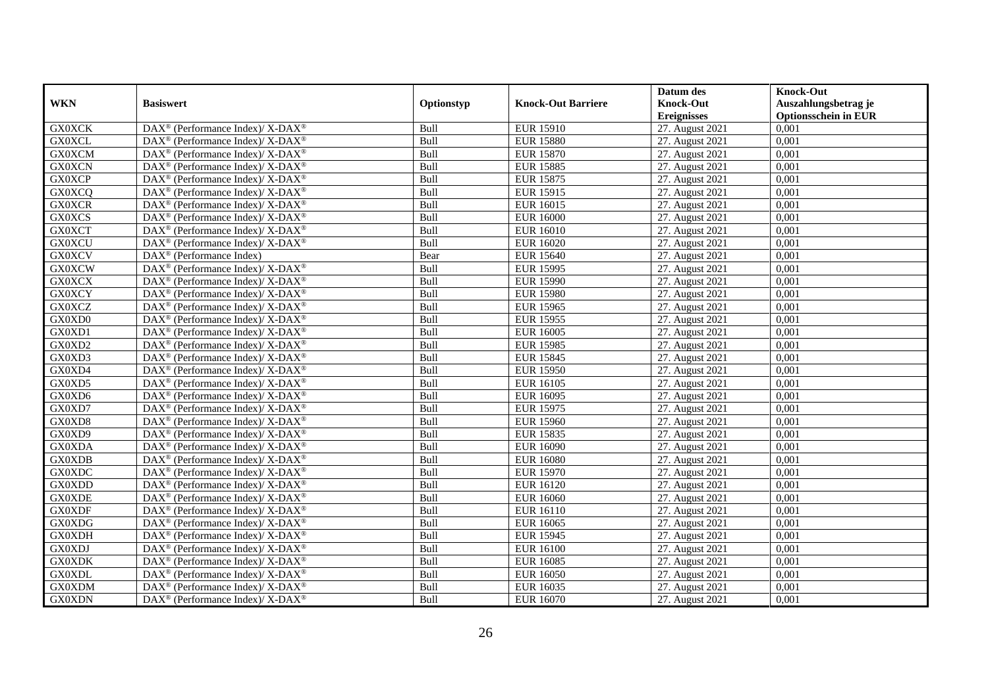|               |                                                                    |            |                           | Datum des          | <b>Knock-Out</b>            |
|---------------|--------------------------------------------------------------------|------------|---------------------------|--------------------|-----------------------------|
| <b>WKN</b>    | <b>Basiswert</b>                                                   | Optionstyp | <b>Knock-Out Barriere</b> | <b>Knock-Out</b>   | Auszahlungsbetrag je        |
|               |                                                                    |            |                           | <b>Ereignisses</b> | <b>Optionsschein in EUR</b> |
| <b>GX0XCK</b> | DAX <sup>®</sup> (Performance Index)/ X-DAX <sup>®</sup>           | Bull       | <b>EUR 15910</b>          | 27. August 2021    | 0,001                       |
| <b>GX0XCL</b> | DAX <sup>®</sup> (Performance Index)/ X-DAX <sup>®</sup>           | Bull       | <b>EUR 15880</b>          | 27. August 2021    | 0,001                       |
| <b>GX0XCM</b> | $DAX^{\circledast}$ (Performance Index)/ X-DAX <sup>®</sup>        | Bull       | <b>EUR 15870</b>          | 27. August 2021    | 0,001                       |
| <b>GX0XCN</b> | DAX <sup>®</sup> (Performance Index)/ X-DAX <sup>®</sup>           | Bull       | <b>EUR 15885</b>          | 27. August 2021    | 0,001                       |
| <b>GX0XCP</b> | $DAX^{\circledast}$ (Performance Index)/ X-DAX <sup>®</sup>        | Bull       | <b>EUR 15875</b>          | 27. August 2021    | 0,001                       |
| <b>GX0XCQ</b> | DAX <sup>®</sup> (Performance Index)/ X-DAX <sup>®</sup>           | Bull       | <b>EUR 15915</b>          | 27. August 2021    | 0,001                       |
| <b>GX0XCR</b> | DAX <sup>®</sup> (Performance Index)/ X-DAX <sup>®</sup>           | Bull       | EUR 16015                 | 27. August 2021    | 0,001                       |
| <b>GX0XCS</b> | DAX <sup>®</sup> (Performance Index)/ X-DAX <sup>®</sup>           | Bull       | <b>EUR 16000</b>          | 27. August 2021    | 0,001                       |
| <b>GX0XCT</b> | $DAX^{\circledast}$ (Performance Index)/ X-DAX <sup>®</sup>        | Bull       | <b>EUR 16010</b>          | 27. August 2021    | 0,001                       |
| <b>GX0XCU</b> | DAX <sup>®</sup> (Performance Index)/X-DAX <sup>®</sup>            | Bull       | <b>EUR 16020</b>          | 27. August 2021    | 0,001                       |
| <b>GX0XCV</b> | $DAX^{\circledast}$ (Performance Index)                            | Bear       | <b>EUR 15640</b>          | 27. August 2021    | 0,001                       |
| <b>GX0XCW</b> | DAX <sup>®</sup> (Performance Index)/ X-DAX <sup>®</sup>           | Bull       | <b>EUR 15995</b>          | 27. August 2021    | 0,001                       |
| <b>GX0XCX</b> | $DAX^{\circledast}$ (Performance Index)/ X-DAX <sup>®</sup>        | Bull       | <b>EUR 15990</b>          | 27. August 2021    | 0,001                       |
| <b>GX0XCY</b> | DAX <sup>®</sup> (Performance Index)/ X-DAX <sup>®</sup>           | Bull       | <b>EUR 15980</b>          | 27. August 2021    | 0,001                       |
| <b>GX0XCZ</b> | DAX <sup>®</sup> (Performance Index)/ X-DAX <sup>®</sup>           | Bull       | <b>EUR 15965</b>          | 27. August 2021    | 0,001                       |
| GX0XD0        | $DAX^{\circledast}$ (Performance Index)/ X-DAX <sup>®</sup>        | Bull       | <b>EUR 15955</b>          | 27. August 2021    | 0,001                       |
| GX0XD1        | DAX <sup>®</sup> (Performance Index)/ X-DAX <sup>®</sup>           | Bull       | <b>EUR 16005</b>          | 27. August 2021    | 0,001                       |
| GX0XD2        | DAX <sup>®</sup> (Performance Index)/ X-DAX <sup>®</sup>           | Bull       | <b>EUR 15985</b>          | 27. August 2021    | 0,001                       |
| GX0XD3        | $\text{DAX}^{\circledast}$ (Performance Index)/ X-DAX <sup>®</sup> | Bull       | <b>EUR 15845</b>          | 27. August 2021    | 0,001                       |
| GX0XD4        | DAX <sup>®</sup> (Performance Index)/ X-DAX <sup>®</sup>           | Bull       | <b>EUR 15950</b>          | 27. August 2021    | 0,001                       |
| GX0XD5        | DAX <sup>®</sup> (Performance Index)/ X-DAX <sup>®</sup>           | Bull       | <b>EUR 16105</b>          | 27. August 2021    | 0,001                       |
| GX0XD6        | DAX <sup>®</sup> (Performance Index)/X-DAX <sup>®</sup>            | Bull       | <b>EUR 16095</b>          | 27. August 2021    | 0,001                       |
| GX0XD7        | DAX <sup>®</sup> (Performance Index)/ X-DAX <sup>®</sup>           | Bull       | <b>EUR 15975</b>          | 27. August 2021    | 0,001                       |
| GX0XD8        | DAX <sup>®</sup> (Performance Index)/ X-DAX <sup>®</sup>           | Bull       | <b>EUR 15960</b>          | 27. August 2021    | 0,001                       |
| GX0XD9        | DAX <sup>®</sup> (Performance Index)/X-DAX <sup>®</sup>            | Bull       | <b>EUR 15835</b>          | 27. August 2021    | 0,001                       |
| GX0XDA        | DAX <sup>®</sup> (Performance Index)/ X-DAX <sup>®</sup>           | Bull       | <b>EUR 16090</b>          | 27. August 2021    | 0,001                       |
| <b>GX0XDB</b> | $\text{DAX}^{\circledast}$ (Performance Index)/ X-DAX <sup>®</sup> | Bull       | <b>EUR 16080</b>          | 27. August 2021    | 0,001                       |
| <b>GX0XDC</b> | $DAX^{\circledast}$ (Performance Index)/ X-DAX <sup>®</sup>        | Bull       | <b>EUR 15970</b>          | 27. August 2021    | 0,001                       |
| GX0XDD        | $DAX^{\circledast}$ (Performance Index)/ X-DAX <sup>®</sup>        | Bull       | <b>EUR 16120</b>          | 27. August 2021    | 0,001                       |
| <b>GX0XDE</b> | $DAX^{\circledcirc}$ (Performance Index)/X-DAX <sup>®</sup>        | Bull       | EUR 16060                 | 27. August 2021    | 0.001                       |
| <b>GX0XDF</b> | DAX <sup>®</sup> (Performance Index)/ X-DAX <sup>®</sup>           | Bull       | <b>EUR 16110</b>          | 27. August 2021    | 0,001                       |
| <b>GX0XDG</b> | DAX <sup>®</sup> (Performance Index)/X-DAX <sup>®</sup>            | Bull       | <b>EUR 16065</b>          | 27. August 2021    | 0,001                       |
| <b>GX0XDH</b> | $DAX^{\circledast}$ (Performance Index)/ X-DAX <sup>®</sup>        | Bull       | <b>EUR 15945</b>          | 27. August 2021    | 0,001                       |
| <b>GX0XDJ</b> | DAX <sup>®</sup> (Performance Index)/ X-DAX <sup>®</sup>           | Bull       | <b>EUR 16100</b>          | 27. August 2021    | 0,001                       |
| <b>GX0XDK</b> | DAX <sup>®</sup> (Performance Index)/ X-DAX <sup>®</sup>           | Bull       | <b>EUR 16085</b>          | 27. August 2021    | 0,001                       |
| <b>GX0XDL</b> | $\text{DAX}^{\circledast}$ (Performance Index)/ X-DAX <sup>®</sup> | Bull       | <b>EUR 16050</b>          | 27. August 2021    | 0,001                       |
| GX0XDM        | DAX <sup>®</sup> (Performance Index)/ X-DAX <sup>®</sup>           | Bull       | EUR 16035                 | 27. August 2021    | 0,001                       |
| <b>GX0XDN</b> | DAX <sup>®</sup> (Performance Index)/ X-DAX <sup>®</sup>           | Bull       | EUR 16070                 | 27. August 2021    | 0,001                       |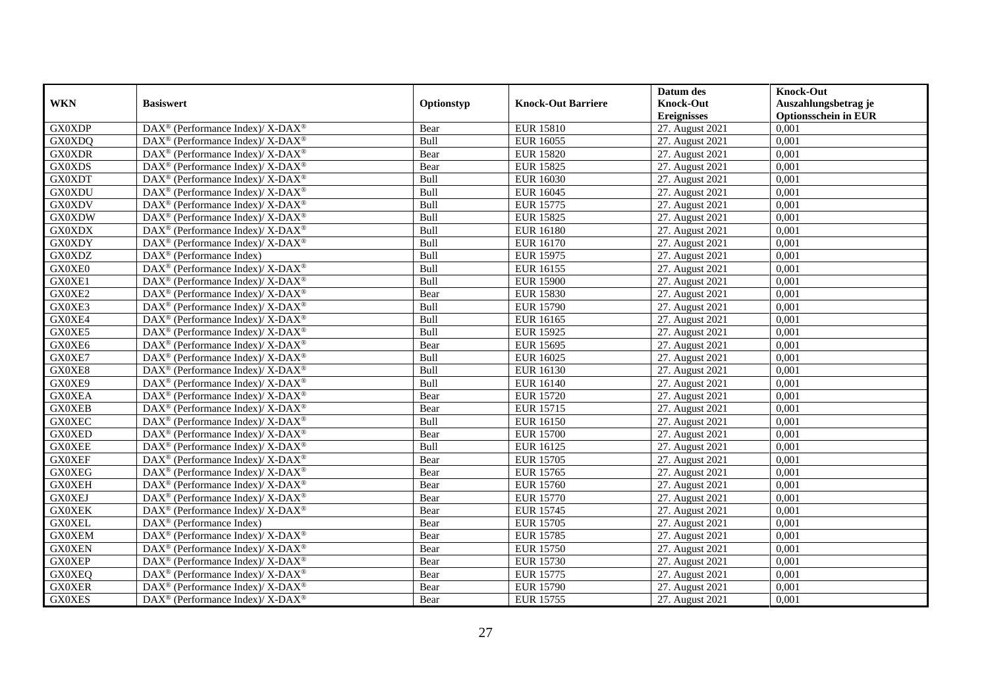|               |                                                                    |            |                           | Datum des          | <b>Knock-Out</b>            |
|---------------|--------------------------------------------------------------------|------------|---------------------------|--------------------|-----------------------------|
| <b>WKN</b>    | <b>Basiswert</b>                                                   | Optionstyp | <b>Knock-Out Barriere</b> | <b>Knock-Out</b>   | Auszahlungsbetrag je        |
|               |                                                                    |            |                           | <b>Ereignisses</b> | <b>Optionsschein in EUR</b> |
| <b>GX0XDP</b> | DAX <sup>®</sup> (Performance Index)/X-DAX <sup>®</sup>            | Bear       | <b>EUR 15810</b>          | 27. August 2021    | 0,001                       |
| GX0XDQ        | $\text{DAX}^{\circledast}$ (Performance Index)/ X-DAX <sup>®</sup> | Bull       | <b>EUR 16055</b>          | 27. August 2021    | 0,001                       |
| <b>GX0XDR</b> | $\text{DAX}^{\circledast}$ (Performance Index)/ X-DAX <sup>®</sup> | Bear       | <b>EUR 15820</b>          | 27. August 2021    | 0,001                       |
| <b>GX0XDS</b> | DAX <sup>®</sup> (Performance Index)/X-DAX <sup>®</sup>            | Bear       | <b>EUR 15825</b>          | 27. August 2021    | 0,001                       |
| <b>GX0XDT</b> | DAX <sup>®</sup> (Performance Index)/ X-DAX <sup>®</sup>           | Bull       | <b>EUR 16030</b>          | 27. August 2021    | 0,001                       |
| <b>GX0XDU</b> | $\text{DAX}^{\circledR}$ (Performance Index)/ X-DAX <sup>®</sup>   | Bull       | <b>EUR 16045</b>          | 27. August 2021    | 0,001                       |
| <b>GX0XDV</b> | DAX <sup>®</sup> (Performance Index)/ X-DAX <sup>®</sup>           | Bull       | <b>EUR 15775</b>          | 27. August 2021    | 0,001                       |
| <b>GX0XDW</b> | $\text{DAX}^{\otimes}$ (Performance Index)/X-DAX <sup>®</sup>      | Bull       | <b>EUR 15825</b>          | 27. August 2021    | 0,001                       |
| <b>GX0XDX</b> | DAX <sup>®</sup> (Performance Index)/X-DAX <sup>®</sup>            | Bull       | <b>EUR 16180</b>          | 27. August 2021    | 0,001                       |
| <b>GX0XDY</b> | $DAX^{\circledast}$ (Performance Index)/ X-DAX <sup>®</sup>        | Bull       | <b>EUR 16170</b>          | 27. August 2021    | 0,001                       |
| <b>GX0XDZ</b> | $\text{DAX}^{\circledast}$ (Performance Index)                     | Bull       | <b>EUR 15975</b>          | 27. August 2021    | 0,001                       |
| GX0XE0        | $\text{DAX}^{\circledR}$ (Performance Index)/ X-DAX <sup>®</sup>   | Bull       | <b>EUR 16155</b>          | 27. August 2021    | 0,001                       |
| GX0XE1        | $\text{DAX}^{\circledast}$ (Performance Index)/ X-DAX <sup>®</sup> | Bull       | <b>EUR 15900</b>          | 27. August 2021    | 0,001                       |
| GX0XE2        | $DAX^{\circledcirc}$ (Performance Index)/X-DAX <sup>®</sup>        | Bear       | <b>EUR 15830</b>          | 27. August 2021    | 0,001                       |
| GX0XE3        | DAX <sup>®</sup> (Performance Index)/ X-DAX <sup>®</sup>           | Bull       | <b>EUR 15790</b>          | 27. August 2021    | 0,001                       |
| GX0XE4        | DAX <sup>®</sup> (Performance Index)/ X-DAX <sup>®</sup>           | Bull       | <b>EUR 16165</b>          | 27. August 2021    | 0,001                       |
| GX0XE5        | $\text{DAX}^{\circledR}$ (Performance Index)/ X-DAX <sup>®</sup>   | Bull       | <b>EUR 15925</b>          | 27. August 2021    | 0,001                       |
| GX0XE6        | $DAX^{\circledcirc}$ (Performance Index)/X-DAX <sup>®</sup>        | Bear       | <b>EUR 15695</b>          | 27. August 2021    | 0,001                       |
| GX0XE7        | $\text{DAX}^{\circledast}$ (Performance Index)/ X-DAX <sup>®</sup> | Bull       | <b>EUR 16025</b>          | 27. August 2021    | 0,001                       |
| GX0XE8        | DAX <sup>®</sup> (Performance Index)/X-DAX <sup>®</sup>            | Bull       | <b>EUR 16130</b>          | 27. August 2021    | 0,001                       |
| GX0XE9        | $DAX^{\circledast}$ (Performance Index)/ X-DAX <sup>®</sup>        | Bull       | <b>EUR 16140</b>          | 27. August 2021    | 0,001                       |
| <b>GX0XEA</b> | $\text{DAX}^{\circledast}$ (Performance Index)/ X-DAX <sup>®</sup> | Bear       | <b>EUR 15720</b>          | 27. August 2021    | 0,001                       |
| <b>GX0XEB</b> | DAX <sup>®</sup> (Performance Index)/X-DAX <sup>®</sup>            | Bear       | <b>EUR 15715</b>          | 27. August 2021    | 0,001                       |
| <b>GX0XEC</b> | $\text{DAX}^{\circledR}$ (Performance Index)/ X-DAX <sup>®</sup>   | Bull       | <b>EUR 16150</b>          | 27. August 2021    | 0,001                       |
| <b>GX0XED</b> | $\text{DAX}^{\circledast}$ (Performance Index)/ X-DAX <sup>®</sup> | Bear       | <b>EUR 15700</b>          | 27. August 2021    | 0.001                       |
| <b>GX0XEE</b> | $\text{DAX}^{\circledast}$ (Performance Index)/ X-DAX <sup>®</sup> | Bull       | <b>EUR 16125</b>          | 27. August 2021    | 0,001                       |
| <b>GX0XEF</b> | DAX <sup>®</sup> (Performance Index)/ X-DAX <sup>®</sup>           | Bear       | <b>EUR 15705</b>          | 27. August 2021    | 0,001                       |
| <b>GX0XEG</b> | DAX <sup>®</sup> (Performance Index)/ X-DAX <sup>®</sup>           | Bear       | <b>EUR 15765</b>          | 27. August 2021    | 0,001                       |
| <b>GX0XEH</b> | $\text{DAX}^{\circledR}$ (Performance Index)/ X-DAX <sup>®</sup>   | Bear       | <b>EUR 15760</b>          | 27. August 2021    | 0,001                       |
| <b>GX0XEJ</b> | $\text{DAX}^{\otimes}$ (Performance Index)/X-DAX <sup>®</sup>      | Bear       | <b>EUR 15770</b>          | 27. August 2021    | 0,001                       |
| <b>GX0XEK</b> | $\text{DAX}^{\circledast}$ (Performance Index)/X-DAX <sup>®</sup>  | Bear       | <b>EUR 15745</b>          | 27. August 2021    | 0,001                       |
| <b>GX0XEL</b> | $DAX^{\circledR}$ (Performance Index)                              | Bear       | <b>EUR 15705</b>          | 27. August 2021    | 0.001                       |
| <b>GX0XEM</b> | $\text{DAX}^{\circledR}$ (Performance Index)/ X-DAX <sup>®</sup>   | Bear       | <b>EUR 15785</b>          | 27. August 2021    | 0,001                       |
| <b>GX0XEN</b> | $\text{DAX}^{\circledR}$ (Performance Index)/ X-DAX <sup>®</sup>   | Bear       | <b>EUR 15750</b>          | 27. August 2021    | 0,001                       |
| <b>GX0XEP</b> | $\text{DAX}^{\circledR}$ (Performance Index)/ X-DAX <sup>®</sup>   | Bear       | <b>EUR 15730</b>          | 27. August 2021    | 0,001                       |
| <b>GX0XEQ</b> | $\text{DAX}^{\otimes}$ (Performance Index)/X-DAX <sup>®</sup>      | Bear       | <b>EUR 15775</b>          | 27. August 2021    | 0,001                       |
| <b>GX0XER</b> | DAX <sup>®</sup> (Performance Index)/ X-DAX <sup>®</sup>           | Bear       | <b>EUR 15790</b>          | 27. August 2021    | 0,001                       |
| <b>GX0XES</b> | DAX <sup>®</sup> (Performance Index)/ X-DAX <sup>®</sup>           | Bear       | <b>EUR 15755</b>          | 27. August 2021    | 0,001                       |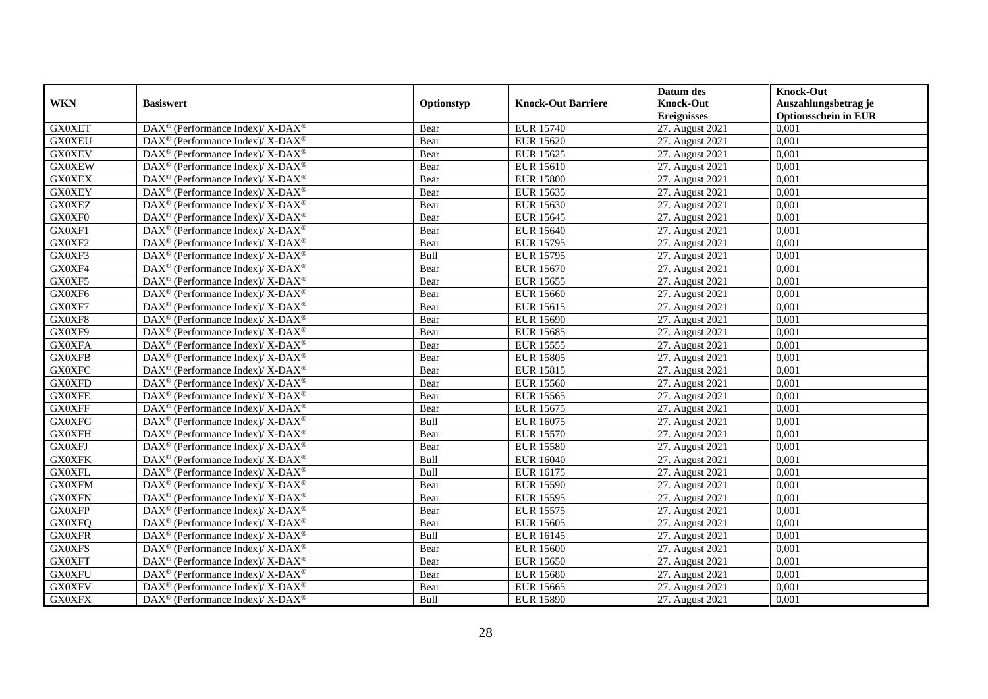|               |                                                                          |            |                           | Datum des          | <b>Knock-Out</b>            |
|---------------|--------------------------------------------------------------------------|------------|---------------------------|--------------------|-----------------------------|
| <b>WKN</b>    | <b>Basiswert</b>                                                         | Optionstyp | <b>Knock-Out Barriere</b> | <b>Knock-Out</b>   | Auszahlungsbetrag je        |
|               |                                                                          |            |                           | <b>Ereignisses</b> | <b>Optionsschein in EUR</b> |
| <b>GX0XET</b> | DAX <sup>®</sup> (Performance Index)/X-DAX <sup>®</sup>                  | Bear       | <b>EUR 15740</b>          | 27. August 2021    | 0,001                       |
| <b>GX0XEU</b> | $\text{DAX}^{\circledast}$ (Performance Index)/ X-DAX <sup>®</sup>       | Bear       | <b>EUR 15620</b>          | 27. August 2021    | 0,001                       |
| <b>GX0XEV</b> | $\text{DAX}^{\circledast}$ (Performance Index)/ X-DAX <sup>®</sup>       | Bear       | <b>EUR 15625</b>          | 27. August 2021    | 0,001                       |
| <b>GX0XEW</b> | DAX <sup>®</sup> (Performance Index)/X-DAX <sup>®</sup>                  | Bear       | <b>EUR 15610</b>          | 27. August 2021    | 0,001                       |
| <b>GX0XEX</b> | DAX <sup>®</sup> (Performance Index)/ X-DAX <sup>®</sup>                 | Bear       | <b>EUR 15800</b>          | 27. August 2021    | 0,001                       |
| <b>GX0XEY</b> | $\text{DAX}^{\circledR}$ (Performance Index)/ X-DAX <sup>®</sup>         | Bear       | <b>EUR 15635</b>          | 27. August 2021    | 0,001                       |
| <b>GX0XEZ</b> | $\overline{\text{DAX}^{\otimes}}$ (Performance Index)/X-DAX <sup>®</sup> | Bear       | <b>EUR 15630</b>          | 27. August 2021    | 0,001                       |
| GX0XF0        | $\text{DAX}^{\circledast}$ (Performance Index)/ X-DAX <sup>®</sup>       | Bear       | <b>EUR 15645</b>          | 27. August 2021    | 0,001                       |
| GX0XF1        | $\text{DAX}^{\circledast}$ (Performance Index)/ X-DAX <sup>®</sup>       | Bear       | <b>EUR 15640</b>          | 27. August 2021    | 0,001                       |
| GX0XF2        | DAX <sup>®</sup> (Performance Index)/X-DAX <sup>®</sup>                  | Bear       | <b>EUR 15795</b>          | 27. August 2021    | 0,001                       |
| GX0XF3        | $\text{DAX}^{\circledast}$ (Performance Index)/ X-DAX <sup>®</sup>       | Bull       | <b>EUR 15795</b>          | 27. August 2021    | 0,001                       |
| GX0XF4        | $\text{DAX}^{\circledR}$ (Performance Index)/ X-DAX <sup>®</sup>         | Bear       | <b>EUR 15670</b>          | 27. August 2021    | 0,001                       |
| GX0XF5        | $\text{DAX}^{\circledast}$ (Performance Index)/ X-DAX <sup>®</sup>       | Bear       | <b>EUR 15655</b>          | 27. August 2021    | 0,001                       |
| GX0XF6        | DAX <sup>®</sup> (Performance Index)/ X-DAX <sup>®</sup>                 | Bear       | <b>EUR 15660</b>          | 27. August 2021    | 0,001                       |
| GX0XF7        | DAX <sup>®</sup> (Performance Index)/ X-DAX <sup>®</sup>                 | Bear       | <b>EUR 15615</b>          | 27. August 2021    | 0,001                       |
| GX0XF8        | DAX <sup>®</sup> (Performance Index)/ X-DAX <sup>®</sup>                 | Bear       | <b>EUR 15690</b>          | 27. August 2021    | 0,001                       |
| GX0XF9        | DAX <sup>®</sup> (Performance Index)/ X-DAX <sup>®</sup>                 | Bear       | <b>EUR 15685</b>          | 27. August 2021    | 0,001                       |
| <b>GX0XFA</b> | $DAX^{\circledcirc}$ (Performance Index)/X-DAX <sup>®</sup>              | Bear       | <b>EUR 15555</b>          | 27. August 2021    | 0.001                       |
| <b>GX0XFB</b> | $\text{DAX}^{\circledast}$ (Performance Index)/ X-DAX <sup>®</sup>       | Bear       | <b>EUR 15805</b>          | 27. August 2021    | 0,001                       |
| <b>GX0XFC</b> | DAX <sup>®</sup> (Performance Index)/X-DAX <sup>®</sup>                  | Bear       | <b>EUR 15815</b>          | 27. August 2021    | 0,001                       |
| <b>GX0XFD</b> | $DAX^{\circledast}$ (Performance Index)/ X-DAX <sup>®</sup>              | Bear       | <b>EUR 15560</b>          | 27. August 2021    | 0,001                       |
| <b>GX0XFE</b> | $\text{DAX}^{\circledast}$ (Performance Index)/ X-DAX <sup>®</sup>       | Bear       | <b>EUR 15565</b>          | 27. August 2021    | 0,001                       |
| <b>GX0XFF</b> | DAX <sup>®</sup> (Performance Index)/ X-DAX <sup>®</sup>                 | Bear       | <b>EUR 15675</b>          | 27. August 2021    | 0,001                       |
| <b>GX0XFG</b> | $\text{DAX}^{\circledR}$ (Performance Index)/ X-DAX <sup>®</sup>         | Bull       | <b>EUR 16075</b>          | 27. August 2021    | 0,001                       |
| <b>GX0XFH</b> | $\text{DAX}^{\circledast}$ (Performance Index)/ X-DAX <sup>®</sup>       | Bear       | <b>EUR 15570</b>          | 27. August 2021    | 0.001                       |
| <b>GX0XFJ</b> | $\text{DAX}^{\circledast}$ (Performance Index)/ X-DAX <sup>®</sup>       | Bear       | <b>EUR 15580</b>          | 27. August 2021    | 0,001                       |
| <b>GX0XFK</b> | DAX <sup>®</sup> (Performance Index)/ X-DAX <sup>®</sup>                 | Bull       | <b>EUR 16040</b>          | 27. August 2021    | 0,001                       |
| <b>GX0XFL</b> | DAX <sup>®</sup> (Performance Index)/ X-DAX <sup>®</sup>                 | Bull       | <b>EUR 16175</b>          | 27. August 2021    | 0,001                       |
| <b>GX0XFM</b> | $\text{DAX}^{\circledR}$ (Performance Index)/ X-DAX <sup>®</sup>         | Bear       | <b>EUR 15590</b>          | 27. August 2021    | 0,001                       |
| <b>GX0XFN</b> | $DAX^{\circledast}$ (Performance Index)/ X-DAX <sup>®</sup>              | Bear       | <b>EUR 15595</b>          | 27. August 2021    | 0,001                       |
| <b>GX0XFP</b> | $\text{DAX}^{\circledast}$ (Performance Index)/ X-DAX <sup>®</sup>       | Bear       | <b>EUR 15575</b>          | 27. August 2021    | 0,001                       |
| <b>GX0XFQ</b> | $\overline{\text{DAX}^{\otimes}}$ (Performance Index)/X-DAX <sup>®</sup> | Bear       | <b>EUR 15605</b>          | 27. August 2021    | 0.001                       |
| <b>GX0XFR</b> | $\text{DAX}^{\circledast}$ (Performance Index)/ X-DAX <sup>®</sup>       | Bull       | <b>EUR 16145</b>          | 27. August 2021    | 0,001                       |
| <b>GX0XFS</b> | $\text{DAX}^{\circledR}$ (Performance Index)/ X-DAX <sup>®</sup>         | Bear       | <b>EUR 15600</b>          | 27. August 2021    | 0,001                       |
| <b>GX0XFT</b> | $\text{DAX}^{\circledR}$ (Performance Index)/ X-DAX <sup>®</sup>         | Bear       | <b>EUR 15650</b>          | 27. August 2021    | 0,001                       |
| <b>GX0XFU</b> | $\text{DAX}^{\otimes}$ (Performance Index)/X-DAX <sup>®</sup>            | Bear       | <b>EUR 15680</b>          | 27. August 2021    | 0,001                       |
| <b>GX0XFV</b> | DAX <sup>®</sup> (Performance Index)/ X-DAX <sup>®</sup>                 | Bear       | <b>EUR 15665</b>          | 27. August 2021    | 0,001                       |
| <b>GX0XFX</b> | DAX <sup>®</sup> (Performance Index)/ X-DAX <sup>®</sup>                 | Bull       | <b>EUR 15890</b>          | 27. August 2021    | 0,001                       |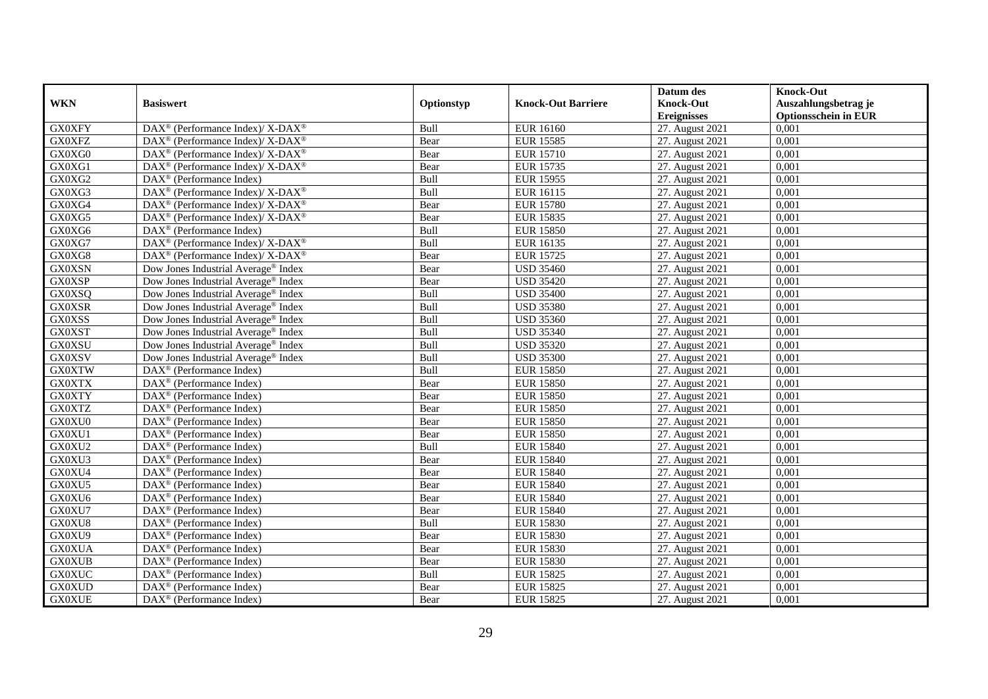|               |                                                                                         |            |                           | Datum des          | <b>Knock-Out</b>            |
|---------------|-----------------------------------------------------------------------------------------|------------|---------------------------|--------------------|-----------------------------|
| <b>WKN</b>    | <b>Basiswert</b>                                                                        | Optionstyp | <b>Knock-Out Barriere</b> | <b>Knock-Out</b>   | Auszahlungsbetrag je        |
|               |                                                                                         |            |                           | <b>Ereignisses</b> | <b>Optionsschein in EUR</b> |
| <b>GX0XFY</b> | DAX <sup>®</sup> (Performance Index)/ X-DAX <sup>®</sup>                                | Bull       | <b>EUR 16160</b>          | 27. August 2021    | 0,001                       |
| <b>GX0XFZ</b> | $\text{DAX}^{\circledast}$ (Performance Index)/ X-DAX <sup>®</sup>                      | Bear       | <b>EUR 15585</b>          | 27. August 2021    | 0,001                       |
| GX0XG0        | $\text{DAX}^{\circledast}$ (Performance Index)/ X-DAX <sup>®</sup>                      | Bear       | <b>EUR 15710</b>          | 27. August 2021    | 0,001                       |
| GX0XG1        | $DAX^{\circledast}$ (Performance Index)/X-DAX <sup>®</sup>                              | Bear       | <b>EUR 15735</b>          | 27. August 2021    | 0,001                       |
| GX0XG2        | DAX <sup>®</sup> (Performance Index)                                                    | Bull       | <b>EUR 15955</b>          | 27. August 2021    | 0,001                       |
| GX0XG3        | $\text{DAX}^{\circledast}$ (Performance Index)/ $\overline{\text{X-DAX}^{\circledast}}$ | Bull       | <b>EUR 16115</b>          | 27. August 2021    | 0,001                       |
| GX0XG4        | DAX <sup>®</sup> (Performance Index)/X-DAX <sup>®</sup>                                 | Bear       | <b>EUR 15780</b>          | 27. August 2021    | 0,001                       |
| GX0XG5        | $\text{DAX}^{\circledast}$ (Performance Index)/ X-DAX <sup>®</sup>                      | Bear       | <b>EUR 15835</b>          | 27. August 2021    | 0,001                       |
| GX0XG6        | $\text{DAX}^{\circledast}$ (Performance Index)                                          | Bull       | <b>EUR 15850</b>          | 27. August 2021    | 0,001                       |
| GX0XG7        | DAX <sup>®</sup> (Performance Index)/ X-DAX <sup>®</sup>                                | Bull       | <b>EUR 16135</b>          | 27. August 2021    | 0,001                       |
| GX0XG8        | DAX <sup>®</sup> (Performance Index)/ X-DAX <sup>®</sup>                                | Bear       | <b>EUR 15725</b>          | 27. August 2021    | 0,001                       |
| <b>GX0XSN</b> | Dow Jones Industrial Average® Index                                                     | Bear       | <b>USD 35460</b>          | 27. August 2021    | 0,001                       |
| <b>GX0XSP</b> | Dow Jones Industrial Average <sup>®</sup> Index                                         | Bear       | <b>USD 35420</b>          | 27. August 2021    | 0,001                       |
| GX0XSQ        | Dow Jones Industrial Average <sup>®</sup> Index                                         | Bull       | <b>USD 35400</b>          | 27. August 2021    | 0.001                       |
| <b>GX0XSR</b> | Dow Jones Industrial Average <sup>®</sup> Index                                         | Bull       | <b>USD 35380</b>          | 27. August 2021    | 0,001                       |
| <b>GX0XSS</b> | Dow Jones Industrial Average® Index                                                     | Bull       | <b>USD 35360</b>          | 27. August 2021    | 0,001                       |
| <b>GX0XST</b> | Dow Jones Industrial Average <sup>®</sup> Index                                         | Bull       | <b>USD 35340</b>          | 27. August 2021    | 0,001                       |
| <b>GX0XSU</b> | Dow Jones Industrial Average® Index                                                     | Bull       | <b>USD 35320</b>          | 27. August 2021    | 0,001                       |
| <b>GX0XSV</b> | Dow Jones Industrial Average® Index                                                     | Bull       | <b>USD 35300</b>          | 27. August 2021    | 0,001                       |
| <b>GX0XTW</b> | $\text{DAX}^{\otimes}$ (Performance Index)                                              | Bull       | <b>EUR 15850</b>          | 27. August 2021    | 0,001                       |
| <b>GX0XTX</b> | DAX <sup>®</sup> (Performance Index)                                                    | Bear       | <b>EUR 15850</b>          | 27. August 2021    | 0,001                       |
| <b>GX0XTY</b> | $DAX^{\circledR}$ (Performance Index)                                                   | Bear       | <b>EUR 15850</b>          | 27. August 2021    | 0,001                       |
| <b>GX0XTZ</b> | $\text{DAX}^{\textcircled{p}}$ (Performance Index)                                      | Bear       | <b>EUR 15850</b>          | 27. August 2021    | 0,001                       |
| GX0XU0        | $\text{DAX}^{\textcircled{p}}$ (Performance Index)                                      | Bear       | <b>EUR 15850</b>          | 27. August 2021    | 0,001                       |
| GX0XU1        | $DAX^{\circledR}$ (Performance Index)                                                   | Bear       | <b>EUR 15850</b>          | 27. August 2021    | 0,001                       |
| GX0XU2        | DAX <sup>®</sup> (Performance Index)                                                    | Bull       | <b>EUR 15840</b>          | 27. August 2021    | 0,001                       |
| GX0XU3        | DAX <sup>®</sup> (Performance Index)                                                    | Bear       | <b>EUR 15840</b>          | 27. August 2021    | 0,001                       |
| GX0XU4        | DAX <sup>®</sup> (Performance Index)                                                    | Bear       | <b>EUR 15840</b>          | 27. August 2021    | 0,001                       |
| GX0XU5        | $\text{DAX}^{\otimes}$ (Performance Index)                                              | Bear       | <b>EUR 15840</b>          | 27. August 2021    | 0,001                       |
| GX0XU6        | $\text{DAX}^{\textcircled{n}}$ (Performance Index)                                      | Bear       | <b>EUR 15840</b>          | 27. August 2021    | 0,001                       |
| GX0XU7        | $DAX^{\otimes}$ (Performance Index)                                                     | Bear       | <b>EUR 15840</b>          | 27. August 2021    | 0,001                       |
| GX0XU8        | DAX <sup>®</sup> (Performance Index)                                                    | Bull       | <b>EUR 15830</b>          | 27. August 2021    | 0,001                       |
| GX0XU9        | $\overline{\text{DAX}^{\otimes}}$ (Performance Index)                                   | Bear       | <b>EUR 15830</b>          | 27. August 2021    | 0,001                       |
| <b>GX0XUA</b> | $\overline{\text{DAX}}^{\textcirc}$ (Performance Index)                                 | Bear       | <b>EUR 15830</b>          | 27. August 2021    | 0,001                       |
| <b>GX0XUB</b> | $\text{DAX}^{\otimes}$ (Performance Index)                                              | Bear       | <b>EUR 15830</b>          | 27. August 2021    | 0,001                       |
| <b>GX0XUC</b> | DAX <sup>®</sup> (Performance Index)                                                    | Bull       | <b>EUR 15825</b>          | 27. August 2021    | 0,001                       |
| <b>GX0XUD</b> | $\text{DAX}^{\otimes}$ (Performance Index)                                              | Bear       | <b>EUR 15825</b>          | 27. August 2021    | 0,001                       |
| <b>GX0XUE</b> | $\text{DAX}^{\textcircled{n}}$ (Performance Index)                                      | Bear       | <b>EUR 15825</b>          | 27. August 2021    | 0,001                       |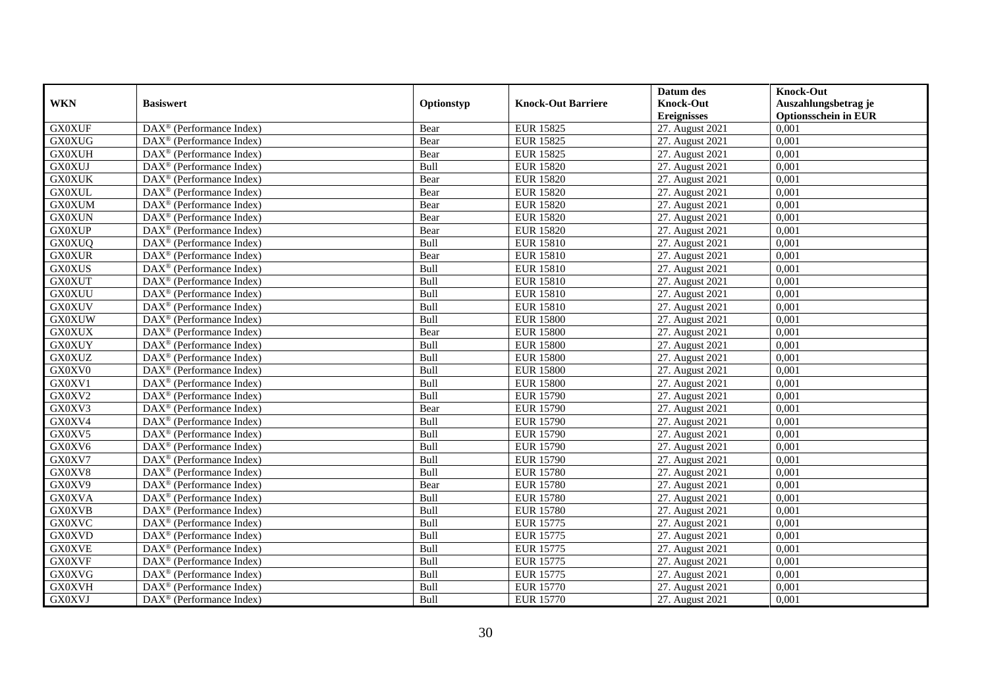|               |                                                              |            |                           | Datum des          | <b>Knock-Out</b>            |
|---------------|--------------------------------------------------------------|------------|---------------------------|--------------------|-----------------------------|
| <b>WKN</b>    | <b>Basiswert</b>                                             | Optionstyp | <b>Knock-Out Barriere</b> | <b>Knock-Out</b>   | Auszahlungsbetrag je        |
|               |                                                              |            |                           | <b>Ereignisses</b> | <b>Optionsschein in EUR</b> |
| <b>GX0XUF</b> | DAX <sup>®</sup> (Performance Index)                         | Bear       | <b>EUR 15825</b>          | 27. August 2021    | 0,001                       |
| <b>GX0XUG</b> | $\text{DAX}^{\textcircled{p}}$ (Performance Index)           | Bear       | <b>EUR 15825</b>          | 27. August 2021    | 0,001                       |
| <b>GX0XUH</b> | DAX <sup>®</sup> (Performance Index)                         | Bear       | <b>EUR 15825</b>          | 27. August 2021    | 0,001                       |
| <b>GX0XUJ</b> | $\text{DAX}^{\otimes}$ (Performance Index)                   | Bull       | <b>EUR 15820</b>          | 27. August 2021    | 0,001                       |
| <b>GX0XUK</b> | DAX <sup>®</sup> (Performance Index)                         | Bear       | <b>EUR 15820</b>          | 27. August 2021    | 0,001                       |
| <b>GX0XUL</b> | $\text{DAX}^{\textcircled{n}}$ (Performance Index)           | Bear       | <b>EUR 15820</b>          | 27. August 2021    | 0,001                       |
| <b>GX0XUM</b> | $\text{DAX}^{\textcircled{n}}$ (Performance Index)           | Bear       | <b>EUR 15820</b>          | 27. August 2021    | 0,001                       |
| <b>GX0XUN</b> | $\text{DAX}^{\textcircled{}}$ (Performance Index)            | Bear       | <b>EUR 15820</b>          | 27. August 2021    | 0,001                       |
| <b>GX0XUP</b> | $\text{DAX}^{\textcircled{p}}$ (Performance Index)           | Bear       | <b>EUR 15820</b>          | 27. August 2021    | 0,001                       |
| <b>GX0XUQ</b> | $DAX^{\otimes}$ (Performance Index)                          | Bull       | <b>EUR 15810</b>          | 27. August 2021    | 0,001                       |
| <b>GX0XUR</b> | $\overline{\text{DAX}}^{\textcircled{}}$ (Performance Index) | Bear       | <b>EUR 15810</b>          | 27. August 2021    | 0,001                       |
| <b>GX0XUS</b> | $\overline{\text{DAX}^{\otimes}}$ (Performance Index)        | Bull       | <b>EUR 15810</b>          | 27. August 2021    | 0,001                       |
| <b>GX0XUT</b> | $\text{DAX}^{\textcircled{n}}$ (Performance Index)           | Bull       | <b>EUR 15810</b>          | 27. August 2021    | 0,001                       |
| <b>GX0XUU</b> | DAX <sup>®</sup> (Performance Index)                         | Bull       | <b>EUR 15810</b>          | 27. August 2021    | 0,001                       |
| <b>GX0XUV</b> | DAX <sup>®</sup> (Performance Index)                         | Bull       | <b>EUR 15810</b>          | 27. August 2021    | 0,001                       |
| <b>GX0XUW</b> | DAX <sup>®</sup> (Performance Index)                         | Bull       | <b>EUR 15800</b>          | 27. August 2021    | 0,001                       |
| <b>GX0XUX</b> | DAX <sup>®</sup> (Performance Index)                         | Bear       | <b>EUR 15800</b>          | 27. August 2021    | 0,001                       |
| <b>GX0XUY</b> | $\overline{\text{DAX}^{\otimes}}$ (Performance Index)        | Bull       | <b>EUR 15800</b>          | 27. August 2021    | 0,001                       |
| <b>GX0XUZ</b> | $\overline{\text{DAX}}^{\textcircled{}}$ (Performance Index) | Bull       | <b>EUR 15800</b>          | 27. August 2021    | 0,001                       |
| GX0XV0        | DAX <sup>®</sup> (Performance Index)                         | Bull       | <b>EUR 15800</b>          | 27. August 2021    | 0,001                       |
| GX0XV1        | DAX <sup>®</sup> (Performance Index)                         | Bull       | <b>EUR 15800</b>          | 27. August 2021    | 0,001                       |
| GX0XV2        | $\overline{\text{DAX}^{\otimes}}$ (Performance Index)        | Bull       | <b>EUR 15790</b>          | 27. August 2021    | 0,001                       |
| GX0XV3        | $\overline{\text{DAX}}^{\textcirc}$ (Performance Index)      | Bear       | <b>EUR 15790</b>          | 27. August 2021    | 0,001                       |
| GX0XV4        | DAX <sup>®</sup> (Performance Index)                         | Bull       | <b>EUR 15790</b>          | 27. August 2021    | 0,001                       |
| GX0XV5        | DAX <sup>®</sup> (Performance Index)                         | Bull       | <b>EUR 15790</b>          | 27. August 2021    | 0,001                       |
| GX0XV6        | $\text{DAX}^{\otimes}$ (Performance Index)                   | Bull       | <b>EUR 15790</b>          | 27. August 2021    | 0,001                       |
| GX0XV7        | DAX <sup>®</sup> (Performance Index)                         | Bull       | <b>EUR 15790</b>          | 27. August 2021    | 0,001                       |
| GX0XV8        | $\text{DAX}^{\textcircled{D}}$ (Performance Index)           | Bull       | <b>EUR 15780</b>          | 27. August 2021    | 0.001                       |
| GX0XV9        | $\text{DAX}^{\textcircled{D}}$ (Performance Index)           | Bear       | <b>EUR 15780</b>          | 27. August 2021    | 0,001                       |
| <b>GX0XVA</b> | $DAX^{\otimes}$ (Performance Index)                          | Bull       | <b>EUR 15780</b>          | 27. August 2021    | 0,001                       |
| <b>GX0XVB</b> | DAX <sup>®</sup> (Performance Index)                         | Bull       | <b>EUR 15780</b>          | 27. August 2021    | 0,001                       |
| <b>GX0XVC</b> | DAX <sup>®</sup> (Performance Index)                         | Bull       | <b>EUR 15775</b>          | 27. August 2021    | 0.001                       |
| <b>GX0XVD</b> | $\overline{\text{DAX}^{\otimes}}$ (Performance Index)        | Bull       | <b>EUR 15775</b>          | 27. August 2021    | 0,001                       |
| <b>GX0XVE</b> | DAX <sup>®</sup> (Performance Index)                         | Bull       | <b>EUR 15775</b>          | 27. August 2021    | 0,001                       |
| <b>GX0XVF</b> | $\text{DAX}^{\textcircled{n}}$ (Performance Index)           | Bull       | <b>EUR 15775</b>          | 27. August 2021    | 0,001                       |
| <b>GX0XVG</b> | $\text{DAX}^{\textcircled{n}}$ (Performance Index)           | Bull       | <b>EUR 15775</b>          | 27. August 2021    | 0,001                       |
| <b>GX0XVH</b> | $\text{DAX}^{\otimes}$ (Performance Index)                   | Bull       | <b>EUR 15770</b>          | 27. August 2021    | 0,001                       |
| <b>GX0XVJ</b> | $\overline{\text{DAX}}^{\textcirc}$ (Performance Index)      | Bull       | <b>EUR 15770</b>          | 27. August 2021    | 0,001                       |